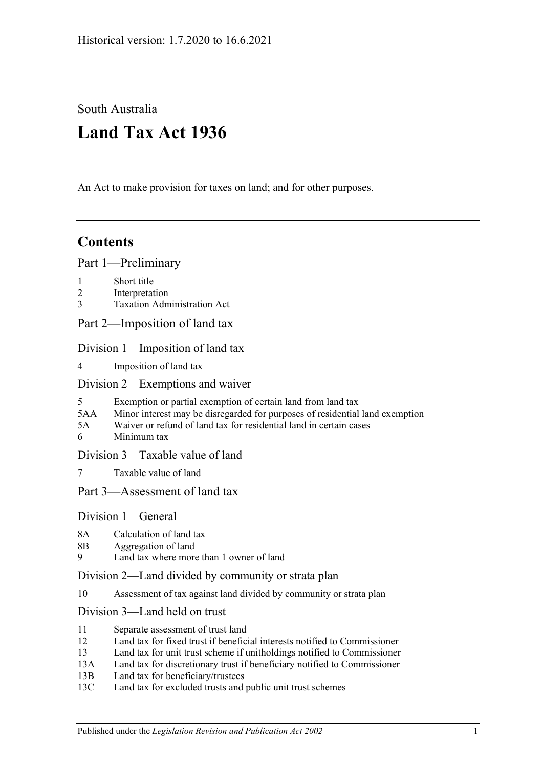South Australia

# **Land Tax Act 1936**

An Act to make provision for taxes on land; and for other purposes.

# **Contents**

[Part 1—Preliminary](#page-2-0)

- 1 [Short title](#page-2-1)
- 2 [Interpretation](#page-2-2)
- 3 [Taxation Administration Act](#page-7-0)
- [Part 2—Imposition of land tax](#page-7-1)

[Division 1—Imposition of land tax](#page-7-2)

4 [Imposition of land tax](#page-7-3)

[Division 2—Exemptions and waiver](#page-10-0)

- 5 [Exemption or partial exemption of certain land from land tax](#page-10-1)
- 5AA [Minor interest may be disregarded for purposes of residential land exemption](#page-19-0)
- 5A [Waiver or refund of land tax for residential land in certain cases](#page-21-0)
- 6 [Minimum tax](#page-23-0)

[Division 3—Taxable value of land](#page-23-1)

7 [Taxable value of land](#page-23-2)

[Part 3—Assessment of land tax](#page-23-3)

[Division 1—General](#page-23-4)

- 8A [Calculation of land tax](#page-23-5)
- 8B [Aggregation of land](#page-26-0)
- 9 [Land tax where more than 1](#page-27-0) owner of land

[Division 2—Land divided by community or strata plan](#page-28-0)

10 [Assessment of tax against land divided by community or strata plan](#page-28-1)

#### [Division 3—Land held on trust](#page-29-0)

- 11 [Separate assessment of trust land](#page-29-1)
- 12 [Land tax for fixed trust if beneficial interests notified to Commissioner](#page-29-2)
- 13 [Land tax for unit trust scheme if unitholdings notified to Commissioner](#page-31-0)
- 13A [Land tax for discretionary trust if beneficiary notified to Commissioner](#page-32-0)
- 13B [Land tax for beneficiary/trustees](#page-35-0)<br>13C Land tax for excluded trusts and
- [Land tax for excluded trusts and public unit trust](#page-36-0) schemes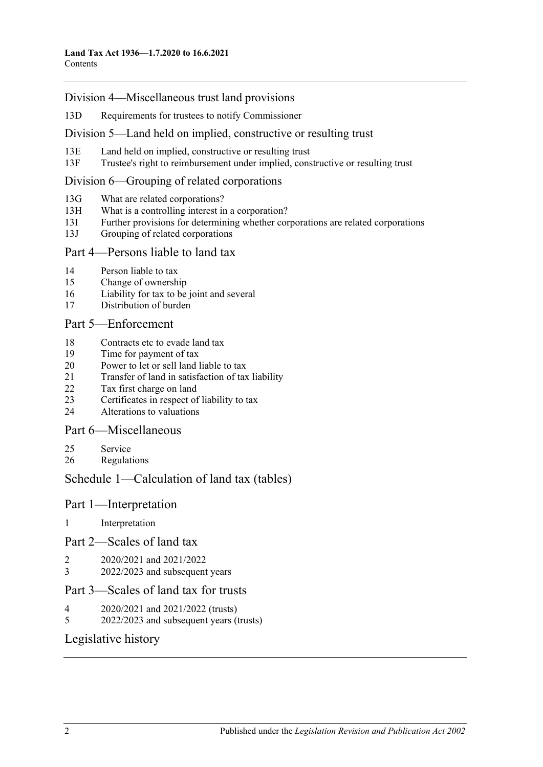[Division 4—Miscellaneous trust land provisions](#page-36-1)

13D [Requirements for trustees to notify Commissioner](#page-36-2)

#### [Division 5—Land held on implied, constructive or resulting trust](#page-37-0)

- 13E [Land held on implied, constructive or resulting trust](#page-37-1)
- 13F [Trustee's right to reimbursement under implied, constructive or resulting trust](#page-37-2)

#### [Division 6—Grouping of related corporations](#page-37-3)

- 13G [What are related](#page-37-4) corporations?
- 13H [What is a controlling interest in a corporation?](#page-38-0)
- 13I [Further provisions for determining whether corporations are related corporations](#page-39-0)
- 13J [Grouping of related corporations](#page-40-0)

#### [Part 4—Persons liable to land tax](#page-41-0)

- 14 [Person liable to tax](#page-41-1)
- 15 [Change of ownership](#page-41-2)
- 16 [Liability for tax to be joint and several](#page-41-3)
- 17 [Distribution of burden](#page-41-4)

#### [Part 5—Enforcement](#page-41-5)

- 18 [Contracts etc to evade land tax](#page-41-6)
- 19 [Time for payment of tax](#page-42-0)
- 20 [Power to let or sell land liable to tax](#page-43-0)
- 21 [Transfer of land in satisfaction of tax liability](#page-43-1)
- 22 [Tax first charge on land](#page-44-0)
- 23 [Certificates in respect of liability to tax](#page-44-1)
- 24 [Alterations to valuations](#page-44-2)

#### [Part 6—Miscellaneous](#page-44-3)

- 25 [Service](#page-44-4)
- 26 [Regulations](#page-45-0)

## [Schedule 1—Calculation of land tax \(tables\)](#page-45-1)

#### Part 1—Interpretation

1 [Interpretation](#page-45-2)

#### Part 2—Scales of land tax

- 2 [2020/2021 and 2021/2022](#page-45-3)
- 3 [2022/2023 and subsequent years](#page-46-0)

#### Part 3—Scales of land tax for trusts

- 4 [2020/2021 and 2021/2022 \(trusts\)](#page-46-1)
- 5 [2022/2023 and subsequent years \(trusts\)](#page-46-2)

#### [Legislative history](#page-48-0)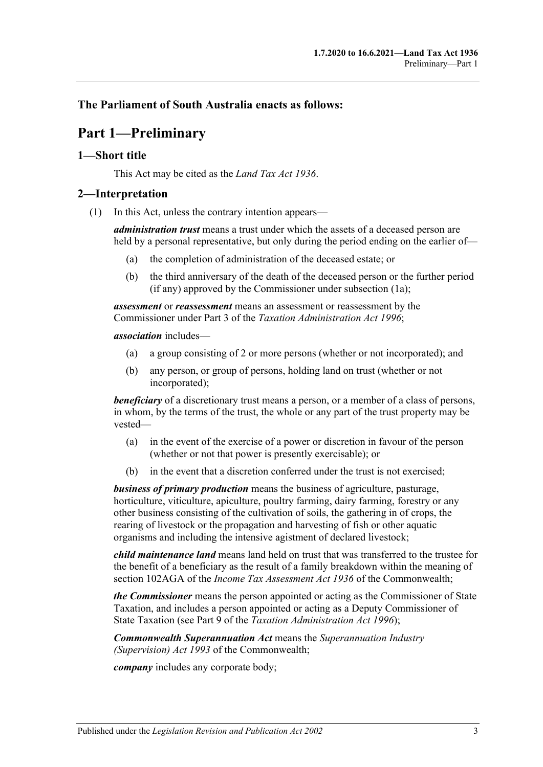### <span id="page-2-0"></span>**The Parliament of South Australia enacts as follows:**

# **Part 1—Preliminary**

#### <span id="page-2-1"></span>**1—Short title**

This Act may be cited as the *Land Tax Act 1936*.

#### <span id="page-2-3"></span><span id="page-2-2"></span>**2—Interpretation**

(1) In this Act, unless the contrary intention appears—

*administration trust* means a trust under which the assets of a deceased person are held by a personal representative, but only during the period ending on the earlier of—

- (a) the completion of administration of the deceased estate; or
- (b) the third anniversary of the death of the deceased person or the further period (if any) approved by the Commissioner under [subsection](#page-6-0) (1a);

*assessment* or *reassessment* means an assessment or reassessment by the Commissioner under Part 3 of the *[Taxation Administration Act](http://www.legislation.sa.gov.au/index.aspx?action=legref&type=act&legtitle=Taxation%20Administration%20Act%201996) 1996*;

*association* includes—

- (a) a group consisting of 2 or more persons (whether or not incorporated); and
- (b) any person, or group of persons, holding land on trust (whether or not incorporated);

*beneficiary* of a discretionary trust means a person, or a member of a class of persons, in whom, by the terms of the trust, the whole or any part of the trust property may be vested—

- (a) in the event of the exercise of a power or discretion in favour of the person (whether or not that power is presently exercisable); or
- (b) in the event that a discretion conferred under the trust is not exercised;

*business of primary production* means the business of agriculture, pasturage, horticulture, viticulture, apiculture, poultry farming, dairy farming, forestry or any other business consisting of the cultivation of soils, the gathering in of crops, the rearing of livestock or the propagation and harvesting of fish or other aquatic organisms and including the intensive agistment of declared livestock;

*child maintenance land* means land held on trust that was transferred to the trustee for the benefit of a beneficiary as the result of a family breakdown within the meaning of section 102AGA of the *Income Tax Assessment Act 1936* of the Commonwealth;

*the Commissioner* means the person appointed or acting as the Commissioner of State Taxation, and includes a person appointed or acting as a Deputy Commissioner of State Taxation (see Part 9 of the *[Taxation Administration Act](http://www.legislation.sa.gov.au/index.aspx?action=legref&type=act&legtitle=Taxation%20Administration%20Act%201996) 1996*);

*Commonwealth Superannuation Act* means the *Superannuation Industry (Supervision) Act 1993* of the Commonwealth;

*company* includes any corporate body;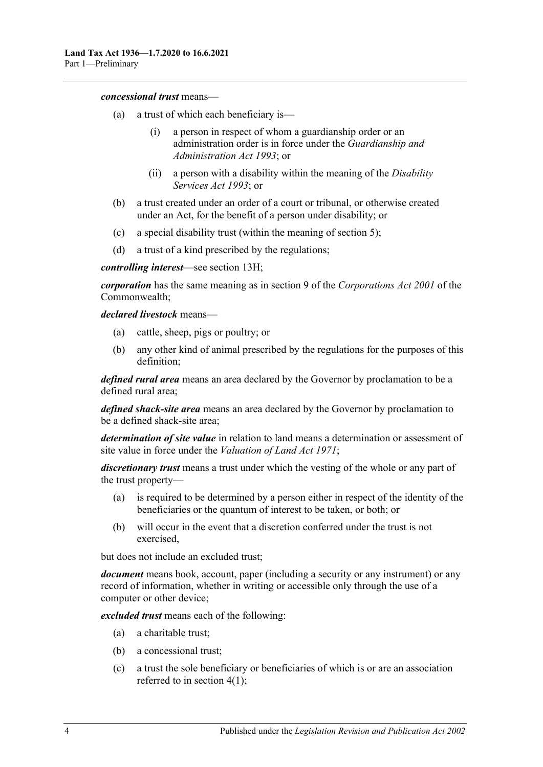#### *concessional trust* means—

- (a) a trust of which each beneficiary is—
	- (i) a person in respect of whom a guardianship order or an administration order is in force under the *[Guardianship and](http://www.legislation.sa.gov.au/index.aspx?action=legref&type=act&legtitle=Guardianship%20and%20Administration%20Act%201993)  [Administration Act](http://www.legislation.sa.gov.au/index.aspx?action=legref&type=act&legtitle=Guardianship%20and%20Administration%20Act%201993) 1993*; or
	- (ii) a person with a disability within the meaning of the *[Disability](http://www.legislation.sa.gov.au/index.aspx?action=legref&type=act&legtitle=Disability%20Services%20Act%201993)  [Services Act](http://www.legislation.sa.gov.au/index.aspx?action=legref&type=act&legtitle=Disability%20Services%20Act%201993) 1993*; or
- (b) a trust created under an order of a court or tribunal, or otherwise created under an Act, for the benefit of a person under disability; or
- (c) a special disability trust (within the meaning of [section](#page-10-1) 5);
- (d) a trust of a kind prescribed by the regulations;

*controlling interest*—see [section](#page-38-0) 13H;

*corporation* has the same meaning as in section 9 of the *Corporations Act 2001* of the Commonwealth;

*declared livestock* means—

- (a) cattle, sheep, pigs or poultry; or
- (b) any other kind of animal prescribed by the regulations for the purposes of this definition;

*defined rural area* means an area declared by the Governor by proclamation to be a defined rural area;

*defined shack-site area* means an area declared by the Governor by proclamation to be a defined shack-site area;

*determination of site value* in relation to land means a determination or assessment of site value in force under the *[Valuation of Land Act](http://www.legislation.sa.gov.au/index.aspx?action=legref&type=act&legtitle=Valuation%20of%20Land%20Act%201971) 1971*;

*discretionary trust* means a trust under which the vesting of the whole or any part of the trust property—

- (a) is required to be determined by a person either in respect of the identity of the beneficiaries or the quantum of interest to be taken, or both; or
- (b) will occur in the event that a discretion conferred under the trust is not exercised,

but does not include an excluded trust;

*document* means book, account, paper (including a security or any instrument) or any record of information, whether in writing or accessible only through the use of a computer or other device;

*excluded trust* means each of the following:

- (a) a charitable trust;
- (b) a concessional trust;
- (c) a trust the sole beneficiary or beneficiaries of which is or are an association referred to in [section](#page-7-4) 4(1);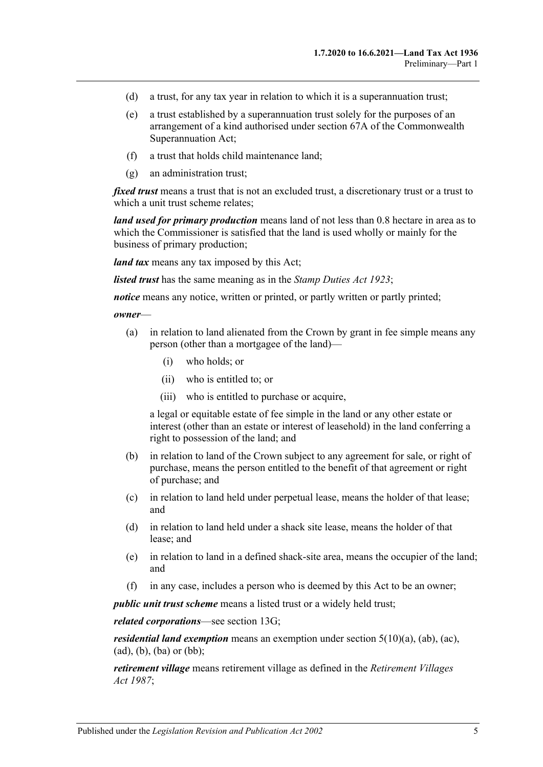- (d) a trust, for any tax year in relation to which it is a superannuation trust;
- (e) a trust established by a superannuation trust solely for the purposes of an arrangement of a kind authorised under section 67A of the Commonwealth Superannuation Act;
- (f) a trust that holds child maintenance land;
- (g) an administration trust;

*fixed trust* means a trust that is not an excluded trust, a discretionary trust or a trust to which a unit trust scheme relates;

*land used for primary production* means land of not less than 0.8 hectare in area as to which the Commissioner is satisfied that the land is used wholly or mainly for the business of primary production;

*land tax* means any tax imposed by this Act;

*listed trust* has the same meaning as in the *[Stamp Duties Act](http://www.legislation.sa.gov.au/index.aspx?action=legref&type=act&legtitle=Stamp%20Duties%20Act%201923) 1923*;

*notice* means any notice, written or printed, or partly written or partly printed;

*owner*—

- (a) in relation to land alienated from the Crown by grant in fee simple means any person (other than a mortgagee of the land)—
	- (i) who holds; or
	- (ii) who is entitled to; or
	- (iii) who is entitled to purchase or acquire,

a legal or equitable estate of fee simple in the land or any other estate or interest (other than an estate or interest of leasehold) in the land conferring a right to possession of the land; and

- (b) in relation to land of the Crown subject to any agreement for sale, or right of purchase, means the person entitled to the benefit of that agreement or right of purchase; and
- (c) in relation to land held under perpetual lease, means the holder of that lease; and
- (d) in relation to land held under a shack site lease, means the holder of that lease; and
- (e) in relation to land in a defined shack-site area, means the occupier of the land; and
- (f) in any case, includes a person who is deemed by this Act to be an owner;

*public unit trust scheme* means a listed trust or a widely held trust;

*related corporations*—see [section](#page-37-4) 13G;

*residential land exemption* means an exemption under section [5\(10\)\(a\),](#page-11-0) [\(ab\),](#page-11-1) [\(ac\),](#page-11-2) [\(ad\),](#page-12-0) [\(b\),](#page-13-0) [\(ba\)](#page-13-1) or [\(bb\);](#page-13-2)

*retirement village* means retirement village as defined in the *[Retirement Villages](http://www.legislation.sa.gov.au/index.aspx?action=legref&type=act&legtitle=Retirement%20Villages%20Act%201987)  Act [1987](http://www.legislation.sa.gov.au/index.aspx?action=legref&type=act&legtitle=Retirement%20Villages%20Act%201987)*;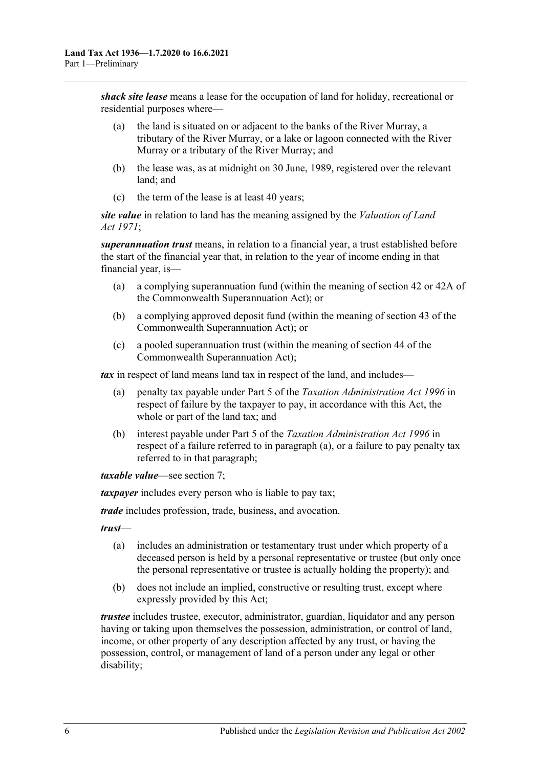*shack site lease* means a lease for the occupation of land for holiday, recreational or residential purposes where—

- (a) the land is situated on or adjacent to the banks of the River Murray, a tributary of the River Murray, or a lake or lagoon connected with the River Murray or a tributary of the River Murray; and
- (b) the lease was, as at midnight on 30 June, 1989, registered over the relevant land; and
- (c) the term of the lease is at least 40 years;

*site value* in relation to land has the meaning assigned by the *[Valuation of Land](http://www.legislation.sa.gov.au/index.aspx?action=legref&type=act&legtitle=Valuation%20of%20Land%20Act%201971)  Act [1971](http://www.legislation.sa.gov.au/index.aspx?action=legref&type=act&legtitle=Valuation%20of%20Land%20Act%201971)*;

*superannuation trust* means, in relation to a financial year, a trust established before the start of the financial year that, in relation to the year of income ending in that financial year, is—

- (a) a complying superannuation fund (within the meaning of section 42 or 42A of the Commonwealth Superannuation Act); or
- (b) a complying approved deposit fund (within the meaning of section 43 of the Commonwealth Superannuation Act); or
- (c) a pooled superannuation trust (within the meaning of section 44 of the Commonwealth Superannuation Act);

<span id="page-5-0"></span>*tax* in respect of land means land tax in respect of the land, and includes—

- (a) penalty tax payable under Part 5 of the *[Taxation Administration Act](http://www.legislation.sa.gov.au/index.aspx?action=legref&type=act&legtitle=Taxation%20Administration%20Act%201996) 1996* in respect of failure by the taxpayer to pay, in accordance with this Act, the whole or part of the land tax; and
- (b) interest payable under Part 5 of the *[Taxation Administration Act](http://www.legislation.sa.gov.au/index.aspx?action=legref&type=act&legtitle=Taxation%20Administration%20Act%201996) 1996* in respect of a failure referred to in [paragraph](#page-5-0) (a), or a failure to pay penalty tax referred to in that paragraph;

*taxable value*—see [section](#page-23-2) 7;

*taxpayer* includes every person who is liable to pay tax;

*trade* includes profession, trade, business, and avocation.

*trust*—

- (a) includes an administration or testamentary trust under which property of a deceased person is held by a personal representative or trustee (but only once the personal representative or trustee is actually holding the property); and
- (b) does not include an implied, constructive or resulting trust, except where expressly provided by this Act;

*trustee* includes trustee, executor, administrator, guardian, liquidator and any person having or taking upon themselves the possession, administration, or control of land, income, or other property of any description affected by any trust, or having the possession, control, or management of land of a person under any legal or other disability;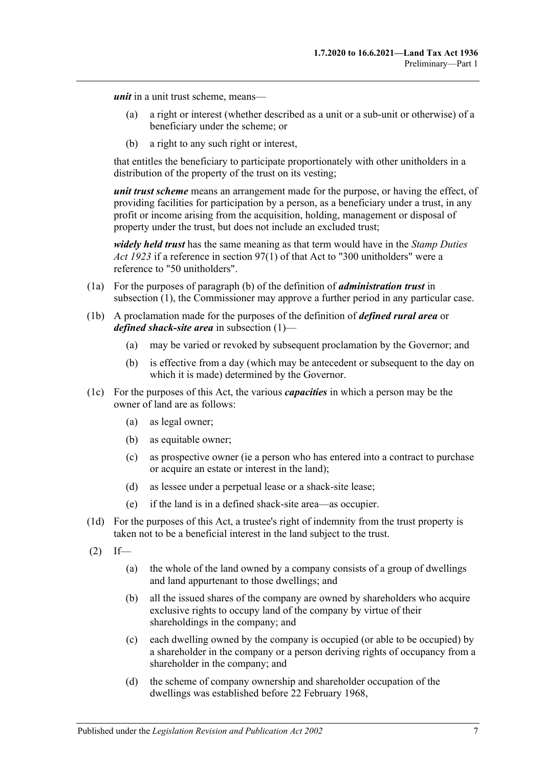*unit* in a unit trust scheme, means—

- (a) a right or interest (whether described as a unit or a sub-unit or otherwise) of a beneficiary under the scheme; or
- (b) a right to any such right or interest,

that entitles the beneficiary to participate proportionately with other unitholders in a distribution of the property of the trust on its vesting;

*unit trust scheme* means an arrangement made for the purpose, or having the effect, of providing facilities for participation by a person, as a beneficiary under a trust, in any profit or income arising from the acquisition, holding, management or disposal of property under the trust, but does not include an excluded trust;

*widely held trust* has the same meaning as that term would have in the *[Stamp Duties](http://www.legislation.sa.gov.au/index.aspx?action=legref&type=act&legtitle=Stamp%20Duties%20Act%201923)  Act [1923](http://www.legislation.sa.gov.au/index.aspx?action=legref&type=act&legtitle=Stamp%20Duties%20Act%201923)* if a reference in section 97(1) of that Act to "300 unitholders" were a reference to "50 unitholders".

- <span id="page-6-0"></span>(1a) For the purposes of paragraph (b) of the definition of *administration trust* in [subsection](#page-2-3) (1), the Commissioner may approve a further period in any particular case.
- (1b) A proclamation made for the purposes of the definition of *defined rural area* or *defined shack-site area* in [subsection](#page-2-3) (1)—
	- (a) may be varied or revoked by subsequent proclamation by the Governor; and
	- (b) is effective from a day (which may be antecedent or subsequent to the day on which it is made) determined by the Governor.
- (1c) For the purposes of this Act, the various *capacities* in which a person may be the owner of land are as follows:
	- (a) as legal owner;
	- (b) as equitable owner;
	- (c) as prospective owner (ie a person who has entered into a contract to purchase or acquire an estate or interest in the land);
	- (d) as lessee under a perpetual lease or a shack-site lease;
	- (e) if the land is in a defined shack-site area—as occupier.
- (1d) For the purposes of this Act, a trustee's right of indemnity from the trust property is taken not to be a beneficial interest in the land subject to the trust.
- $(2)$  If—
	- (a) the whole of the land owned by a company consists of a group of dwellings and land appurtenant to those dwellings; and
	- (b) all the issued shares of the company are owned by shareholders who acquire exclusive rights to occupy land of the company by virtue of their shareholdings in the company; and
	- (c) each dwelling owned by the company is occupied (or able to be occupied) by a shareholder in the company or a person deriving rights of occupancy from a shareholder in the company; and
	- (d) the scheme of company ownership and shareholder occupation of the dwellings was established before 22 February 1968,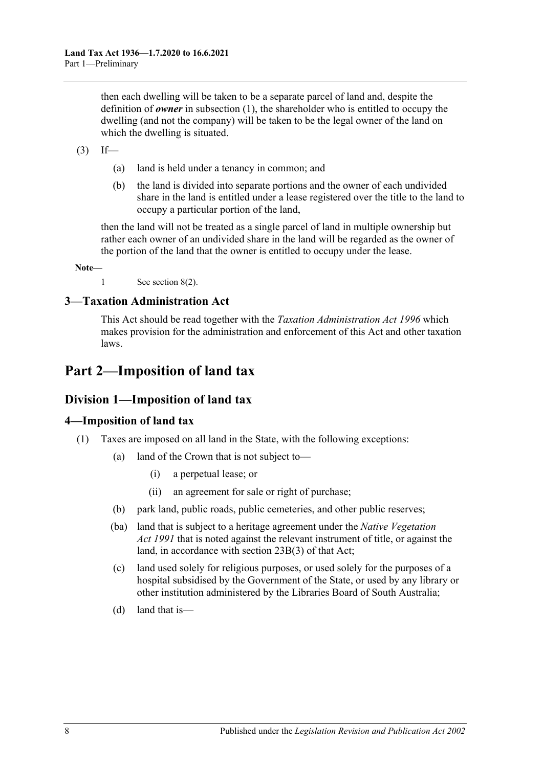then each dwelling will be taken to be a separate parcel of land and, despite the definition of *owner* in [subsection](#page-2-3) (1), the shareholder who is entitled to occupy the dwelling (and not the company) will be taken to be the legal owner of the land on which the dwelling is situated.

 $(3)$  If—

- (a) land is held under a tenancy in common; and
- (b) the land is divided into separate portions and the owner of each undivided share in the land is entitled under a lease registered over the title to the land to occupy a particular portion of the land,

then the land will not be treated as a single parcel of land in multiple ownership but rather each owner of an undivided share in the land will be regarded as the owner of the portion of the land that the owner is entitled to occupy under the lease.

**Note—**

1 See section 8(2).

### <span id="page-7-0"></span>**3—Taxation Administration Act**

This Act should be read together with the *[Taxation Administration Act](http://www.legislation.sa.gov.au/index.aspx?action=legref&type=act&legtitle=Taxation%20Administration%20Act%201996) 1996* which makes provision for the administration and enforcement of this Act and other taxation laws.

# <span id="page-7-1"></span>**Part 2—Imposition of land tax**

## <span id="page-7-2"></span>**Division 1—Imposition of land tax**

#### <span id="page-7-4"></span><span id="page-7-3"></span>**4—Imposition of land tax**

- <span id="page-7-5"></span>(1) Taxes are imposed on all land in the State, with the following exceptions:
	- (a) land of the Crown that is not subject to—
		- (i) a perpetual lease; or
		- (ii) an agreement for sale or right of purchase;
	- (b) park land, public roads, public cemeteries, and other public reserves;
	- (ba) land that is subject to a heritage agreement under the *[Native Vegetation](http://www.legislation.sa.gov.au/index.aspx?action=legref&type=act&legtitle=Native%20Vegetation%20Act%201991)  Act [1991](http://www.legislation.sa.gov.au/index.aspx?action=legref&type=act&legtitle=Native%20Vegetation%20Act%201991)* that is noted against the relevant instrument of title, or against the land, in accordance with section 23B(3) of that Act;
	- (c) land used solely for religious purposes, or used solely for the purposes of a hospital subsidised by the Government of the State, or used by any library or other institution administered by the Libraries Board of South Australia;
	- (d) land that is—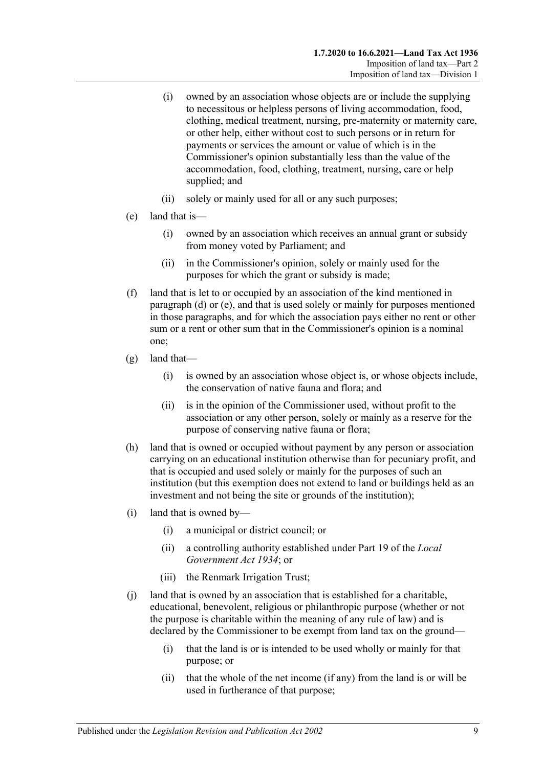- (i) owned by an association whose objects are or include the supplying to necessitous or helpless persons of living accommodation, food, clothing, medical treatment, nursing, pre-maternity or maternity care, or other help, either without cost to such persons or in return for payments or services the amount or value of which is in the Commissioner's opinion substantially less than the value of the accommodation, food, clothing, treatment, nursing, care or help supplied; and
- (ii) solely or mainly used for all or any such purposes;
- <span id="page-8-0"></span>(e) land that is—
	- (i) owned by an association which receives an annual grant or subsidy from money voted by Parliament; and
	- (ii) in the Commissioner's opinion, solely or mainly used for the purposes for which the grant or subsidy is made;
- (f) land that is let to or occupied by an association of the kind mentioned in [paragraph](#page-7-5) (d) or [\(e\),](#page-8-0) and that is used solely or mainly for purposes mentioned in those paragraphs, and for which the association pays either no rent or other sum or a rent or other sum that in the Commissioner's opinion is a nominal one;
- (g) land that—
	- (i) is owned by an association whose object is, or whose objects include, the conservation of native fauna and flora; and
	- (ii) is in the opinion of the Commissioner used, without profit to the association or any other person, solely or mainly as a reserve for the purpose of conserving native fauna or flora;
- (h) land that is owned or occupied without payment by any person or association carrying on an educational institution otherwise than for pecuniary profit, and that is occupied and used solely or mainly for the purposes of such an institution (but this exemption does not extend to land or buildings held as an investment and not being the site or grounds of the institution);
- (i) land that is owned by—
	- (i) a municipal or district council; or
	- (ii) a controlling authority established under Part 19 of the *[Local](http://www.legislation.sa.gov.au/index.aspx?action=legref&type=act&legtitle=Local%20Government%20Act%201934)  [Government Act](http://www.legislation.sa.gov.au/index.aspx?action=legref&type=act&legtitle=Local%20Government%20Act%201934) 1934*; or
	- (iii) the Renmark Irrigation Trust;
- (j) land that is owned by an association that is established for a charitable, educational, benevolent, religious or philanthropic purpose (whether or not the purpose is charitable within the meaning of any rule of law) and is declared by the Commissioner to be exempt from land tax on the ground—
	- (i) that the land is or is intended to be used wholly or mainly for that purpose; or
	- (ii) that the whole of the net income (if any) from the land is or will be used in furtherance of that purpose;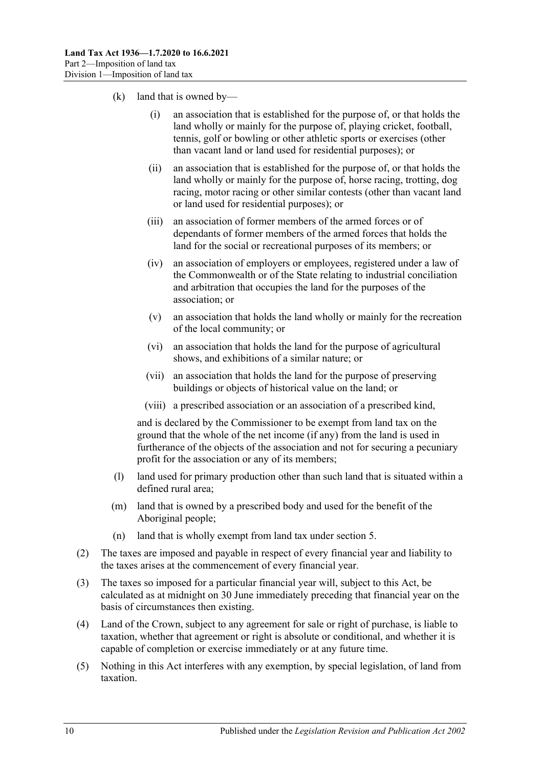- (k) land that is owned by—
	- (i) an association that is established for the purpose of, or that holds the land wholly or mainly for the purpose of, playing cricket, football, tennis, golf or bowling or other athletic sports or exercises (other than vacant land or land used for residential purposes); or
	- (ii) an association that is established for the purpose of, or that holds the land wholly or mainly for the purpose of, horse racing, trotting, dog racing, motor racing or other similar contests (other than vacant land or land used for residential purposes); or
	- (iii) an association of former members of the armed forces or of dependants of former members of the armed forces that holds the land for the social or recreational purposes of its members; or
	- (iv) an association of employers or employees, registered under a law of the Commonwealth or of the State relating to industrial conciliation and arbitration that occupies the land for the purposes of the association; or
	- (v) an association that holds the land wholly or mainly for the recreation of the local community; or
	- (vi) an association that holds the land for the purpose of agricultural shows, and exhibitions of a similar nature; or
	- (vii) an association that holds the land for the purpose of preserving buildings or objects of historical value on the land; or
	- (viii) a prescribed association or an association of a prescribed kind,

and is declared by the Commissioner to be exempt from land tax on the ground that the whole of the net income (if any) from the land is used in furtherance of the objects of the association and not for securing a pecuniary profit for the association or any of its members;

- (l) land used for primary production other than such land that is situated within a defined rural area;
- (m) land that is owned by a prescribed body and used for the benefit of the Aboriginal people;
- (n) land that is wholly exempt from land tax under section 5.
- (2) The taxes are imposed and payable in respect of every financial year and liability to the taxes arises at the commencement of every financial year.
- (3) The taxes so imposed for a particular financial year will, subject to this Act, be calculated as at midnight on 30 June immediately preceding that financial year on the basis of circumstances then existing.
- (4) Land of the Crown, subject to any agreement for sale or right of purchase, is liable to taxation, whether that agreement or right is absolute or conditional, and whether it is capable of completion or exercise immediately or at any future time.
- (5) Nothing in this Act interferes with any exemption, by special legislation, of land from taxation.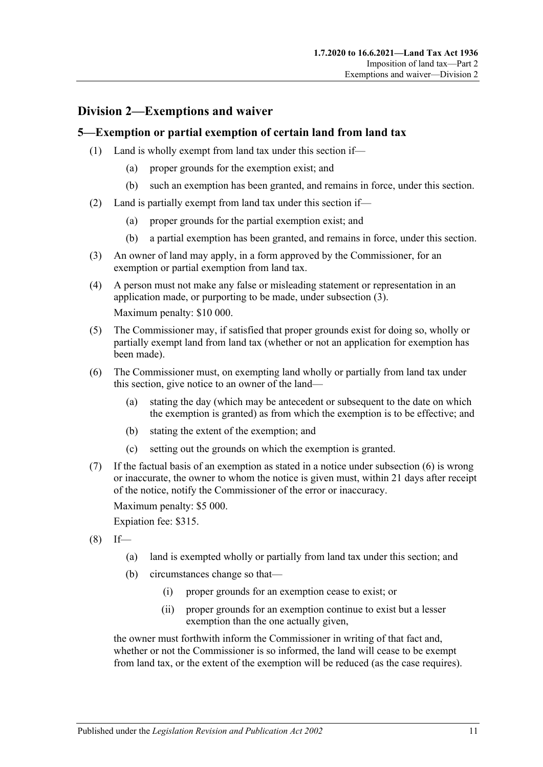## <span id="page-10-0"></span>**Division 2—Exemptions and waiver**

#### <span id="page-10-1"></span>**5—Exemption or partial exemption of certain land from land tax**

- (1) Land is wholly exempt from land tax under this section if—
	- (a) proper grounds for the exemption exist; and
	- (b) such an exemption has been granted, and remains in force, under this section.
- (2) Land is partially exempt from land tax under this section if—
	- (a) proper grounds for the partial exemption exist; and
	- (b) a partial exemption has been granted, and remains in force, under this section.
- <span id="page-10-2"></span>(3) An owner of land may apply, in a form approved by the Commissioner, for an exemption or partial exemption from land tax.
- (4) A person must not make any false or misleading statement or representation in an application made, or purporting to be made, under [subsection](#page-10-2) (3). Maximum penalty: \$10 000.
- (5) The Commissioner may, if satisfied that proper grounds exist for doing so, wholly or partially exempt land from land tax (whether or not an application for exemption has been made).
- <span id="page-10-3"></span>(6) The Commissioner must, on exempting land wholly or partially from land tax under this section, give notice to an owner of the land—
	- (a) stating the day (which may be antecedent or subsequent to the date on which the exemption is granted) as from which the exemption is to be effective; and
	- (b) stating the extent of the exemption; and
	- (c) setting out the grounds on which the exemption is granted.
- (7) If the factual basis of an exemption as stated in a notice under [subsection](#page-10-3) (6) is wrong or inaccurate, the owner to whom the notice is given must, within 21 days after receipt of the notice, notify the Commissioner of the error or inaccuracy.

Maximum penalty: \$5 000.

Expiation fee: \$315.

- <span id="page-10-4"></span> $(8)$  If—
	- (a) land is exempted wholly or partially from land tax under this section; and
	- (b) circumstances change so that—
		- (i) proper grounds for an exemption cease to exist; or
		- (ii) proper grounds for an exemption continue to exist but a lesser exemption than the one actually given,

the owner must forthwith inform the Commissioner in writing of that fact and, whether or not the Commissioner is so informed, the land will cease to be exempt from land tax, or the extent of the exemption will be reduced (as the case requires).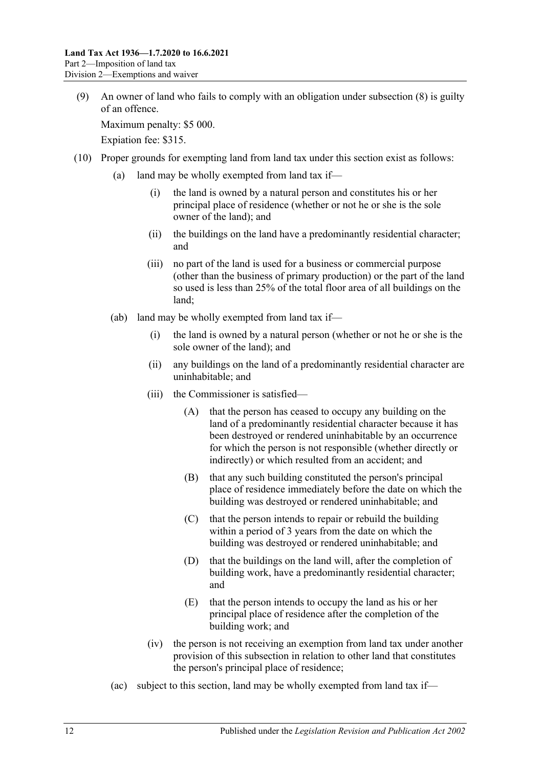(9) An owner of land who fails to comply with an obligation under [subsection](#page-10-4) (8) is guilty of an offence.

Maximum penalty: \$5 000.

Expiation fee: \$315.

- <span id="page-11-3"></span><span id="page-11-2"></span><span id="page-11-1"></span><span id="page-11-0"></span>(10) Proper grounds for exempting land from land tax under this section exist as follows:
	- (a) land may be wholly exempted from land tax if—
		- (i) the land is owned by a natural person and constitutes his or her principal place of residence (whether or not he or she is the sole owner of the land); and
		- (ii) the buildings on the land have a predominantly residential character; and
		- (iii) no part of the land is used for a business or commercial purpose (other than the business of primary production) or the part of the land so used is less than 25% of the total floor area of all buildings on the land;
	- (ab) land may be wholly exempted from land tax if—
		- (i) the land is owned by a natural person (whether or not he or she is the sole owner of the land); and
		- (ii) any buildings on the land of a predominantly residential character are uninhabitable; and
		- (iii) the Commissioner is satisfied—
			- (A) that the person has ceased to occupy any building on the land of a predominantly residential character because it has been destroyed or rendered uninhabitable by an occurrence for which the person is not responsible (whether directly or indirectly) or which resulted from an accident; and
			- (B) that any such building constituted the person's principal place of residence immediately before the date on which the building was destroyed or rendered uninhabitable; and
			- (C) that the person intends to repair or rebuild the building within a period of 3 years from the date on which the building was destroyed or rendered uninhabitable; and
			- (D) that the buildings on the land will, after the completion of building work, have a predominantly residential character; and
			- (E) that the person intends to occupy the land as his or her principal place of residence after the completion of the building work; and
		- (iv) the person is not receiving an exemption from land tax under another provision of this subsection in relation to other land that constitutes the person's principal place of residence;
	- (ac) subject to this section, land may be wholly exempted from land tax if—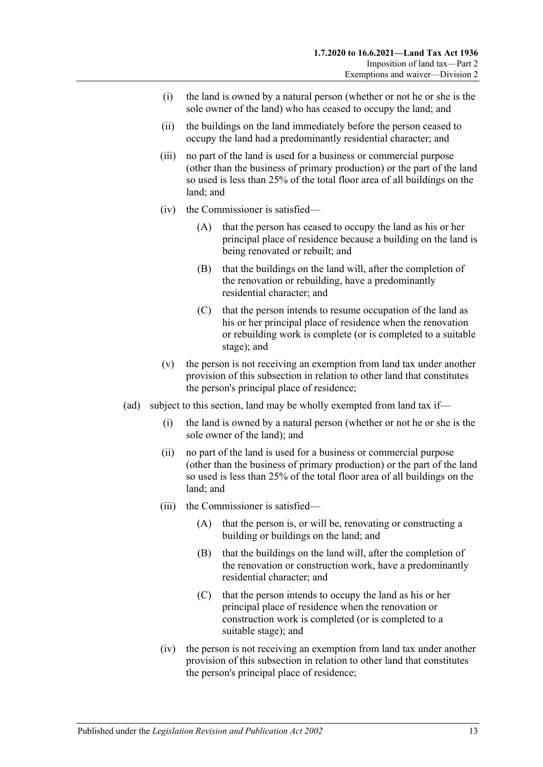- (i) the land is owned by a natural person (whether or not he or she is the sole owner of the land) who has ceased to occupy the land; and
- (ii) the buildings on the land immediately before the person ceased to occupy the land had a predominantly residential character; and
- (iii) no part of the land is used for a business or commercial purpose (other than the business of primary production) or the part of the land so used is less than 25% of the total floor area of all buildings on the land; and
- (iv) the Commissioner is satisfied—
	- (A) that the person has ceased to occupy the land as his or her principal place of residence because a building on the land is being renovated or rebuilt; and
	- (B) that the buildings on the land will, after the completion of the renovation or rebuilding, have a predominantly residential character; and
	- (C) that the person intends to resume occupation of the land as his or her principal place of residence when the renovation or rebuilding work is complete (or is completed to a suitable stage); and
- (v) the person is not receiving an exemption from land tax under another provision of this subsection in relation to other land that constitutes the person's principal place of residence;
- <span id="page-12-0"></span>(ad) subject to this section, land may be wholly exempted from land tax if—
	- (i) the land is owned by a natural person (whether or not he or she is the sole owner of the land); and
	- (ii) no part of the land is used for a business or commercial purpose (other than the business of primary production) or the part of the land so used is less than 25% of the total floor area of all buildings on the land; and
	- (iii) the Commissioner is satisfied—
		- (A) that the person is, or will be, renovating or constructing a building or buildings on the land; and
		- (B) that the buildings on the land will, after the completion of the renovation or construction work, have a predominantly residential character; and
		- (C) that the person intends to occupy the land as his or her principal place of residence when the renovation or construction work is completed (or is completed to a suitable stage); and
	- (iv) the person is not receiving an exemption from land tax under another provision of this subsection in relation to other land that constitutes the person's principal place of residence;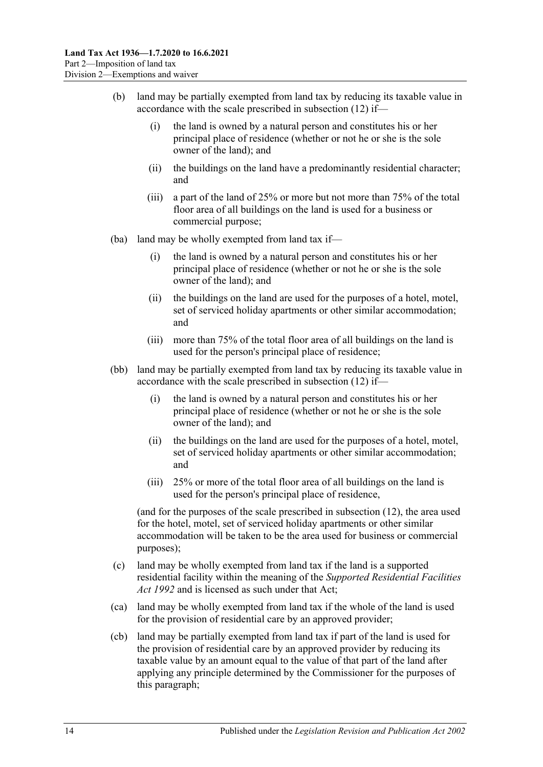- <span id="page-13-0"></span>(b) land may be partially exempted from land tax by reducing its taxable value in accordance with the scale prescribed in [subsection](#page-16-0) (12) if—
	- (i) the land is owned by a natural person and constitutes his or her principal place of residence (whether or not he or she is the sole owner of the land); and
	- (ii) the buildings on the land have a predominantly residential character; and
	- (iii) a part of the land of 25% or more but not more than 75% of the total floor area of all buildings on the land is used for a business or commercial purpose;
- <span id="page-13-1"></span>(ba) land may be wholly exempted from land tax if—
	- (i) the land is owned by a natural person and constitutes his or her principal place of residence (whether or not he or she is the sole owner of the land); and
	- (ii) the buildings on the land are used for the purposes of a hotel, motel, set of serviced holiday apartments or other similar accommodation; and
	- (iii) more than 75% of the total floor area of all buildings on the land is used for the person's principal place of residence;
- <span id="page-13-2"></span>(bb) land may be partially exempted from land tax by reducing its taxable value in accordance with the scale prescribed in [subsection](#page-16-0) (12) if—
	- (i) the land is owned by a natural person and constitutes his or her principal place of residence (whether or not he or she is the sole owner of the land); and
	- (ii) the buildings on the land are used for the purposes of a hotel, motel, set of serviced holiday apartments or other similar accommodation; and
	- (iii) 25% or more of the total floor area of all buildings on the land is used for the person's principal place of residence,

(and for the purposes of the scale prescribed in [subsection](#page-16-0) (12), the area used for the hotel, motel, set of serviced holiday apartments or other similar accommodation will be taken to be the area used for business or commercial purposes);

- (c) land may be wholly exempted from land tax if the land is a supported residential facility within the meaning of the *[Supported Residential Facilities](http://www.legislation.sa.gov.au/index.aspx?action=legref&type=act&legtitle=Supported%20Residential%20Facilities%20Act%201992)  Act [1992](http://www.legislation.sa.gov.au/index.aspx?action=legref&type=act&legtitle=Supported%20Residential%20Facilities%20Act%201992)* and is licensed as such under that Act;
- (ca) land may be wholly exempted from land tax if the whole of the land is used for the provision of residential care by an approved provider;
- (cb) land may be partially exempted from land tax if part of the land is used for the provision of residential care by an approved provider by reducing its taxable value by an amount equal to the value of that part of the land after applying any principle determined by the Commissioner for the purposes of this paragraph;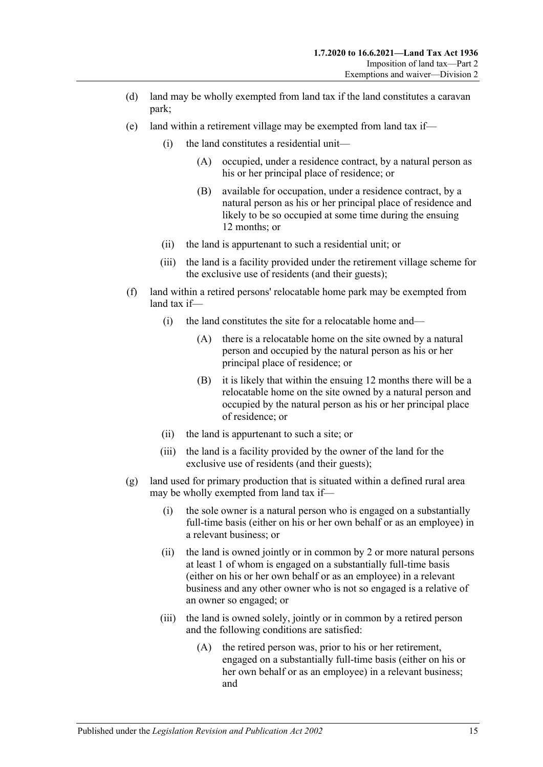- (d) land may be wholly exempted from land tax if the land constitutes a caravan park;
- (e) land within a retirement village may be exempted from land tax if—
	- (i) the land constitutes a residential unit—
		- (A) occupied, under a residence contract, by a natural person as his or her principal place of residence; or
		- (B) available for occupation, under a residence contract, by a natural person as his or her principal place of residence and likely to be so occupied at some time during the ensuing 12 months; or
	- (ii) the land is appurtenant to such a residential unit; or
	- (iii) the land is a facility provided under the retirement village scheme for the exclusive use of residents (and their guests);
- (f) land within a retired persons' relocatable home park may be exempted from land tax if—
	- (i) the land constitutes the site for a relocatable home and—
		- (A) there is a relocatable home on the site owned by a natural person and occupied by the natural person as his or her principal place of residence; or
		- (B) it is likely that within the ensuing 12 months there will be a relocatable home on the site owned by a natural person and occupied by the natural person as his or her principal place of residence; or
	- (ii) the land is appurtenant to such a site; or
	- (iii) the land is a facility provided by the owner of the land for the exclusive use of residents (and their guests);
- (g) land used for primary production that is situated within a defined rural area may be wholly exempted from land tax if—
	- (i) the sole owner is a natural person who is engaged on a substantially full-time basis (either on his or her own behalf or as an employee) in a relevant business; or
	- (ii) the land is owned jointly or in common by 2 or more natural persons at least 1 of whom is engaged on a substantially full-time basis (either on his or her own behalf or as an employee) in a relevant business and any other owner who is not so engaged is a relative of an owner so engaged; or
	- (iii) the land is owned solely, jointly or in common by a retired person and the following conditions are satisfied:
		- (A) the retired person was, prior to his or her retirement, engaged on a substantially full-time basis (either on his or her own behalf or as an employee) in a relevant business; and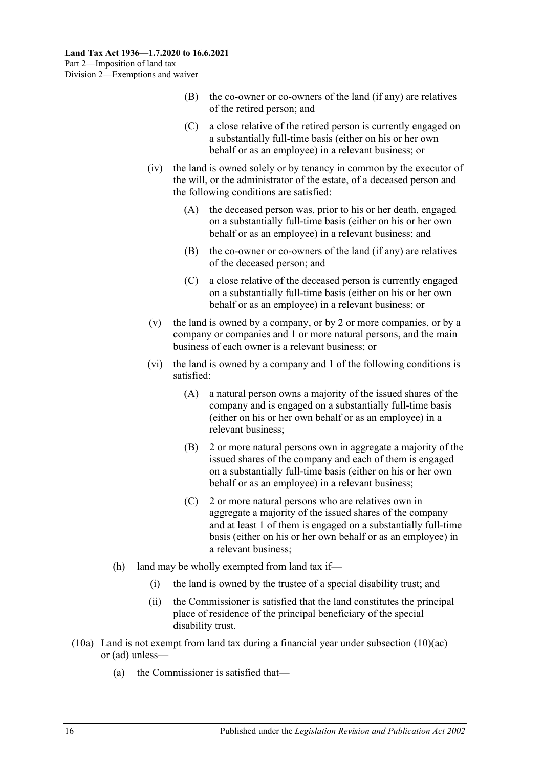- (B) the co-owner or co-owners of the land (if any) are relatives of the retired person; and
- (C) a close relative of the retired person is currently engaged on a substantially full-time basis (either on his or her own behalf or as an employee) in a relevant business; or
- (iv) the land is owned solely or by tenancy in common by the executor of the will, or the administrator of the estate, of a deceased person and the following conditions are satisfied:
	- (A) the deceased person was, prior to his or her death, engaged on a substantially full-time basis (either on his or her own behalf or as an employee) in a relevant business; and
	- (B) the co-owner or co-owners of the land (if any) are relatives of the deceased person; and
	- (C) a close relative of the deceased person is currently engaged on a substantially full-time basis (either on his or her own behalf or as an employee) in a relevant business; or
- (v) the land is owned by a company, or by 2 or more companies, or by a company or companies and 1 or more natural persons, and the main business of each owner is a relevant business; or
- (vi) the land is owned by a company and 1 of the following conditions is satisfied:
	- (A) a natural person owns a majority of the issued shares of the company and is engaged on a substantially full-time basis (either on his or her own behalf or as an employee) in a relevant business;
	- (B) 2 or more natural persons own in aggregate a majority of the issued shares of the company and each of them is engaged on a substantially full-time basis (either on his or her own behalf or as an employee) in a relevant business;
	- (C) 2 or more natural persons who are relatives own in aggregate a majority of the issued shares of the company and at least 1 of them is engaged on a substantially full-time basis (either on his or her own behalf or as an employee) in a relevant business;
- (h) land may be wholly exempted from land tax if—
	- (i) the land is owned by the trustee of a special disability trust; and
	- (ii) the Commissioner is satisfied that the land constitutes the principal place of residence of the principal beneficiary of the special disability trust.
- (10a) Land is not exempt from land tax during a financial year under [subsection](#page-11-2) (10)(ac) or (ad) unless—
	- (a) the Commissioner is satisfied that—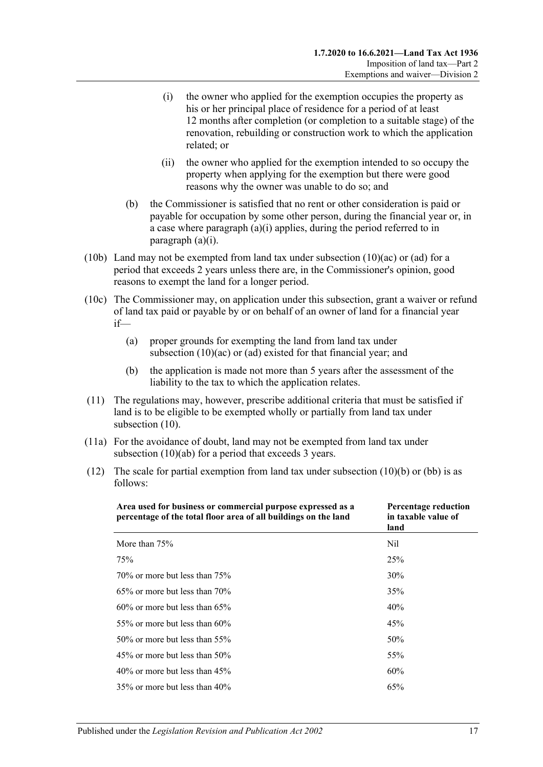- <span id="page-16-1"></span>(i) the owner who applied for the exemption occupies the property as his or her principal place of residence for a period of at least 12 months after completion (or completion to a suitable stage) of the renovation, rebuilding or construction work to which the application related; or
- (ii) the owner who applied for the exemption intended to so occupy the property when applying for the exemption but there were good reasons why the owner was unable to do so; and
- (b) the Commissioner is satisfied that no rent or other consideration is paid or payable for occupation by some other person, during the financial year or, in a case where [paragraph](#page-16-1) (a)(i) applies, during the period referred to in [paragraph](#page-16-1) (a)(i).
- (10b) Land may not be exempted from land tax under [subsection](#page-11-2) (10)(ac) or [\(ad\)](#page-12-0) for a period that exceeds 2 years unless there are, in the Commissioner's opinion, good reasons to exempt the land for a longer period.
- (10c) The Commissioner may, on application under this subsection, grant a waiver or refund of land tax paid or payable by or on behalf of an owner of land for a financial year if—
	- (a) proper grounds for exempting the land from land tax under [subsection](#page-11-2) (10)(ac) or [\(ad\)](#page-12-0) existed for that financial year; and
	- (b) the application is made not more than 5 years after the assessment of the liability to the tax to which the application relates.
- (11) The regulations may, however, prescribe additional criteria that must be satisfied if land is to be eligible to be exempted wholly or partially from land tax under [subsection](#page-11-3) (10).
- (11a) For the avoidance of doubt, land may not be exempted from land tax under [subsection](#page-11-1) (10)(ab) for a period that exceeds 3 years.
- <span id="page-16-0"></span>(12) The scale for partial exemption from land tax under [subsection](#page-13-0)  $(10)(b)$  or  $(bb)$  is as follows:

| Area used for business or commercial purpose expressed as a<br>percentage of the total floor area of all buildings on the land | <b>Percentage reduction</b><br>in taxable value of<br>land |
|--------------------------------------------------------------------------------------------------------------------------------|------------------------------------------------------------|
| More than $75%$                                                                                                                | Nil                                                        |
| 75%                                                                                                                            | 25%                                                        |
| $70\%$ or more but less than $75\%$                                                                                            | 30%                                                        |
| $65\%$ or more but less than $70\%$                                                                                            | 35%                                                        |
| $60\%$ or more but less than $65\%$                                                                                            | 40%                                                        |
| 55% or more but less than $60\%$                                                                                               | 45%                                                        |
| $50\%$ or more but less than $55\%$                                                                                            | 50%                                                        |
| $45\%$ or more but less than $50\%$                                                                                            | 55%                                                        |
| $40\%$ or more but less than $45\%$                                                                                            | 60%                                                        |
| $35\%$ or more but less than $40\%$                                                                                            | 65%                                                        |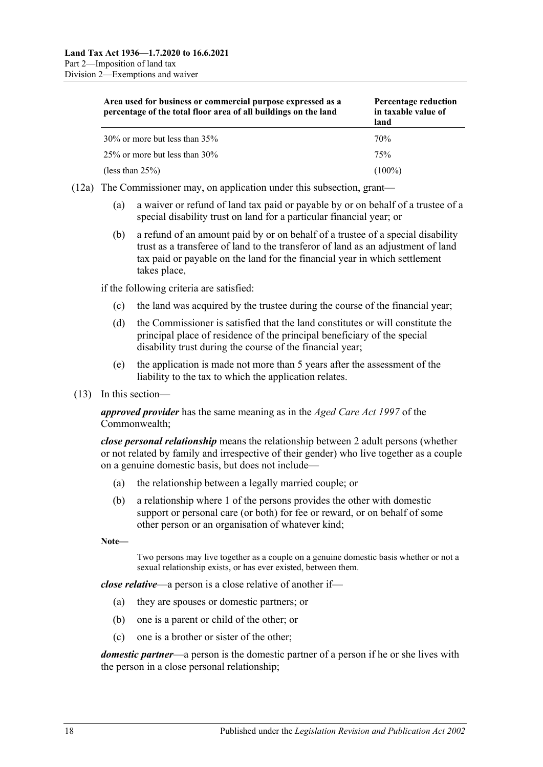| Area used for business or commercial purpose expressed as a<br>percentage of the total floor area of all buildings on the land | <b>Percentage reduction</b><br>in taxable value of<br>land |
|--------------------------------------------------------------------------------------------------------------------------------|------------------------------------------------------------|
| $30\%$ or more but less than $35\%$                                                                                            | 70%                                                        |
| $25\%$ or more but less than $30\%$                                                                                            | 75%                                                        |
| (less than $25\%$ )                                                                                                            | $(100\%)$                                                  |

- (12a) The Commissioner may, on application under this subsection, grant—
	- (a) a waiver or refund of land tax paid or payable by or on behalf of a trustee of a special disability trust on land for a particular financial year; or
	- (b) a refund of an amount paid by or on behalf of a trustee of a special disability trust as a transferee of land to the transferor of land as an adjustment of land tax paid or payable on the land for the financial year in which settlement takes place,

if the following criteria are satisfied:

- (c) the land was acquired by the trustee during the course of the financial year;
- (d) the Commissioner is satisfied that the land constitutes or will constitute the principal place of residence of the principal beneficiary of the special disability trust during the course of the financial year;
- (e) the application is made not more than 5 years after the assessment of the liability to the tax to which the application relates.
- (13) In this section—

*approved provider* has the same meaning as in the *Aged Care Act 1997* of the Commonwealth;

*close personal relationship* means the relationship between 2 adult persons (whether or not related by family and irrespective of their gender) who live together as a couple on a genuine domestic basis, but does not include—

- (a) the relationship between a legally married couple; or
- (b) a relationship where 1 of the persons provides the other with domestic support or personal care (or both) for fee or reward, or on behalf of some other person or an organisation of whatever kind;

**Note—**

Two persons may live together as a couple on a genuine domestic basis whether or not a sexual relationship exists, or has ever existed, between them.

*close relative*—a person is a close relative of another if—

- (a) they are spouses or domestic partners; or
- (b) one is a parent or child of the other; or
- (c) one is a brother or sister of the other;

*domestic partner*—a person is the domestic partner of a person if he or she lives with the person in a close personal relationship;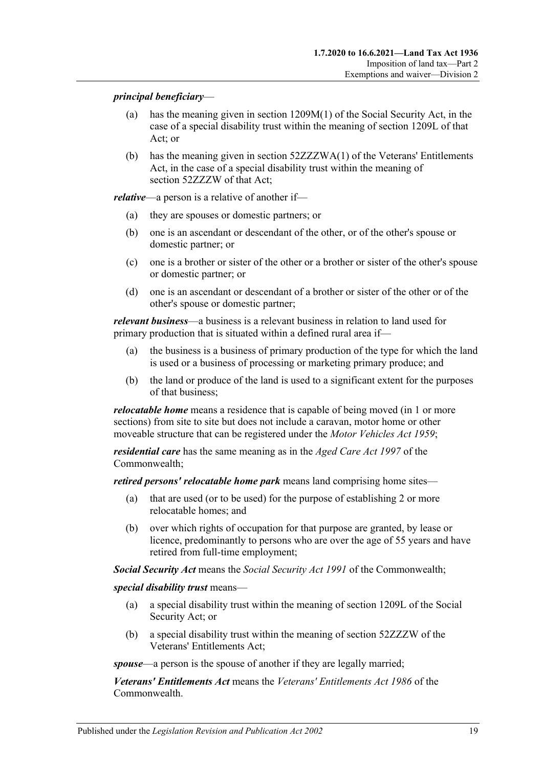#### *principal beneficiary*—

- (a) has the meaning given in section 1209M(1) of the Social Security Act, in the case of a special disability trust within the meaning of section 1209L of that Act; or
- (b) has the meaning given in section 52ZZZWA(1) of the Veterans' Entitlements Act, in the case of a special disability trust within the meaning of section 52ZZZW of that Act;

*relative*—a person is a relative of another if—

- (a) they are spouses or domestic partners; or
- (b) one is an ascendant or descendant of the other, or of the other's spouse or domestic partner; or
- (c) one is a brother or sister of the other or a brother or sister of the other's spouse or domestic partner; or
- (d) one is an ascendant or descendant of a brother or sister of the other or of the other's spouse or domestic partner;

*relevant business*—a business is a relevant business in relation to land used for primary production that is situated within a defined rural area if—

- (a) the business is a business of primary production of the type for which the land is used or a business of processing or marketing primary produce; and
- (b) the land or produce of the land is used to a significant extent for the purposes of that business;

*relocatable home* means a residence that is capable of being moved (in 1 or more sections) from site to site but does not include a caravan, motor home or other moveable structure that can be registered under the *[Motor Vehicles Act](http://www.legislation.sa.gov.au/index.aspx?action=legref&type=act&legtitle=Motor%20Vehicles%20Act%201959) 1959*;

*residential care* has the same meaning as in the *Aged Care Act 1997* of the Commonwealth;

*retired persons' relocatable home park* means land comprising home sites—

- (a) that are used (or to be used) for the purpose of establishing 2 or more relocatable homes; and
- (b) over which rights of occupation for that purpose are granted, by lease or licence, predominantly to persons who are over the age of 55 years and have retired from full-time employment;

*Social Security Act* means the *Social Security Act 1991* of the Commonwealth;

*special disability trust* means—

- (a) a special disability trust within the meaning of section 1209L of the Social Security Act; or
- (b) a special disability trust within the meaning of section 52ZZZW of the Veterans' Entitlements Act;

*spouse*—a person is the spouse of another if they are legally married;

*Veterans' Entitlements Act* means the *Veterans' Entitlements Act 1986* of the Commonwealth.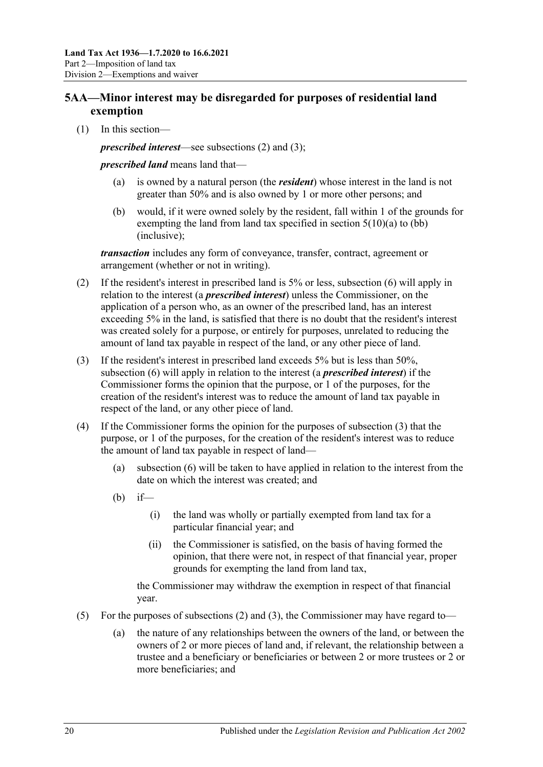### <span id="page-19-0"></span>**5AA—Minor interest may be disregarded for purposes of residential land exemption**

(1) In this section—

*prescribed interest*—see [subsections](#page-19-1) (2) and [\(3\);](#page-19-2)

*prescribed land* means land that—

- (a) is owned by a natural person (the *resident*) whose interest in the land is not greater than 50% and is also owned by 1 or more other persons; and
- (b) would, if it were owned solely by the resident, fall within 1 of the grounds for exempting the land from land tax specified in section [5\(10\)\(a\)](#page-11-0) to [\(bb\)](#page-13-2) (inclusive);

*transaction* includes any form of conveyance, transfer, contract, agreement or arrangement (whether or not in writing).

- <span id="page-19-1"></span>(2) If the resident's interest in prescribed land is 5% or less, [subsection](#page-20-0) (6) will apply in relation to the interest (a *prescribed interest*) unless the Commissioner, on the application of a person who, as an owner of the prescribed land, has an interest exceeding 5% in the land, is satisfied that there is no doubt that the resident's interest was created solely for a purpose, or entirely for purposes, unrelated to reducing the amount of land tax payable in respect of the land, or any other piece of land.
- <span id="page-19-2"></span>(3) If the resident's interest in prescribed land exceeds 5% but is less than 50%, [subsection](#page-20-0) (6) will apply in relation to the interest (a *prescribed interest*) if the Commissioner forms the opinion that the purpose, or 1 of the purposes, for the creation of the resident's interest was to reduce the amount of land tax payable in respect of the land, or any other piece of land.
- (4) If the Commissioner forms the opinion for the purposes of [subsection](#page-19-2) (3) that the purpose, or 1 of the purposes, for the creation of the resident's interest was to reduce the amount of land tax payable in respect of land—
	- (a) [subsection](#page-20-0) (6) will be taken to have applied in relation to the interest from the date on which the interest was created; and
	- $(b)$  if—
		- (i) the land was wholly or partially exempted from land tax for a particular financial year; and
		- (ii) the Commissioner is satisfied, on the basis of having formed the opinion, that there were not, in respect of that financial year, proper grounds for exempting the land from land tax,

the Commissioner may withdraw the exemption in respect of that financial year.

- (5) For the purposes of [subsections](#page-19-1) (2) and [\(3\),](#page-19-2) the Commissioner may have regard to—
	- (a) the nature of any relationships between the owners of the land, or between the owners of 2 or more pieces of land and, if relevant, the relationship between a trustee and a beneficiary or beneficiaries or between 2 or more trustees or 2 or more beneficiaries; and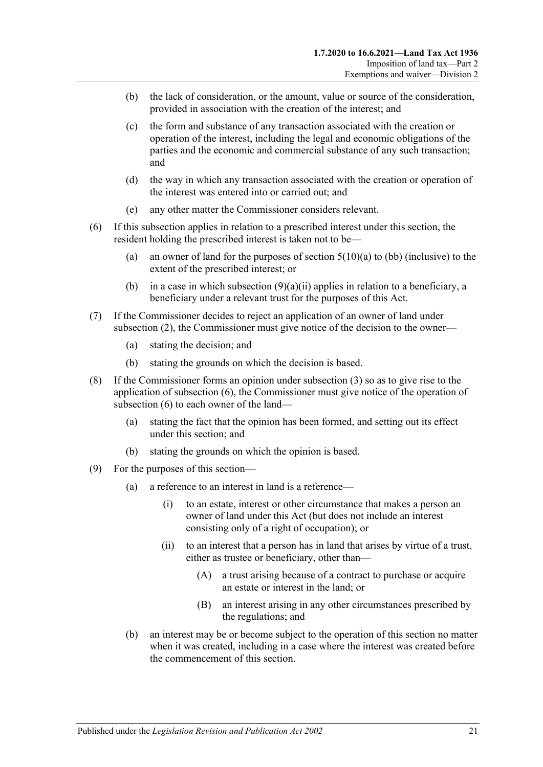- (b) the lack of consideration, or the amount, value or source of the consideration, provided in association with the creation of the interest; and
- (c) the form and substance of any transaction associated with the creation or operation of the interest, including the legal and economic obligations of the parties and the economic and commercial substance of any such transaction; and
- (d) the way in which any transaction associated with the creation or operation of the interest was entered into or carried out; and
- (e) any other matter the Commissioner considers relevant.
- <span id="page-20-0"></span>(6) If this subsection applies in relation to a prescribed interest under this section, the resident holding the prescribed interest is taken not to be—
	- (a) an owner of land for the purposes of section  $5(10)(a)$  to [\(bb\)](#page-13-2) (inclusive) to the extent of the prescribed interest; or
	- (b) in a case in which [subsection](#page-20-1)  $(9)(a)(ii)$  applies in relation to a beneficiary, a beneficiary under a relevant trust for the purposes of this Act.
- (7) If the Commissioner decides to reject an application of an owner of land under [subsection](#page-19-1) (2), the Commissioner must give notice of the decision to the owner—
	- (a) stating the decision; and
	- (b) stating the grounds on which the decision is based.
- (8) If the Commissioner forms an opinion under [subsection](#page-19-2) (3) so as to give rise to the application of [subsection](#page-20-0) (6), the Commissioner must give notice of the operation of [subsection](#page-20-0) (6) to each owner of the land—
	- (a) stating the fact that the opinion has been formed, and setting out its effect under this section; and
	- (b) stating the grounds on which the opinion is based.
- <span id="page-20-1"></span>(9) For the purposes of this section—
	- (a) a reference to an interest in land is a reference—
		- (i) to an estate, interest or other circumstance that makes a person an owner of land under this Act (but does not include an interest consisting only of a right of occupation); or
		- (ii) to an interest that a person has in land that arises by virtue of a trust, either as trustee or beneficiary, other than—
			- (A) a trust arising because of a contract to purchase or acquire an estate or interest in the land; or
			- (B) an interest arising in any other circumstances prescribed by the regulations; and
	- (b) an interest may be or become subject to the operation of this section no matter when it was created, including in a case where the interest was created before the commencement of this section.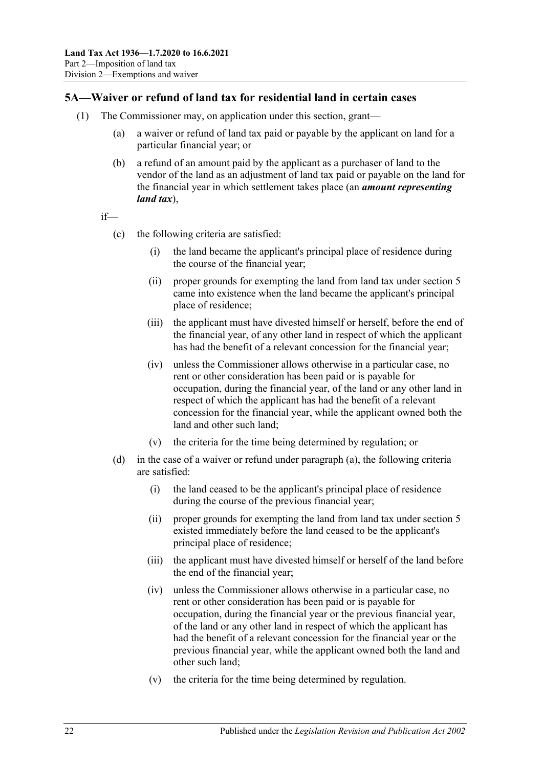### <span id="page-21-1"></span><span id="page-21-0"></span>**5A—Waiver or refund of land tax for residential land in certain cases**

- (1) The Commissioner may, on application under this section, grant—
	- (a) a waiver or refund of land tax paid or payable by the applicant on land for a particular financial year; or
	- (b) a refund of an amount paid by the applicant as a purchaser of land to the vendor of the land as an adjustment of land tax paid or payable on the land for the financial year in which settlement takes place (an *amount representing land tax*),

if—

- (c) the following criteria are satisfied:
	- (i) the land became the applicant's principal place of residence during the course of the financial year;
	- (ii) proper grounds for exempting the land from land tax under [section](#page-10-1) 5 came into existence when the land became the applicant's principal place of residence;
	- (iii) the applicant must have divested himself or herself, before the end of the financial year, of any other land in respect of which the applicant has had the benefit of a relevant concession for the financial year;
	- (iv) unless the Commissioner allows otherwise in a particular case, no rent or other consideration has been paid or is payable for occupation, during the financial year, of the land or any other land in respect of which the applicant has had the benefit of a relevant concession for the financial year, while the applicant owned both the land and other such land;
	- (v) the criteria for the time being determined by regulation; or
- (d) in the case of a waiver or refund under paragraph (a), the following criteria are satisfied:
	- (i) the land ceased to be the applicant's principal place of residence during the course of the previous financial year;
	- (ii) proper grounds for exempting the land from land tax under [section](#page-10-1) 5 existed immediately before the land ceased to be the applicant's principal place of residence;
	- (iii) the applicant must have divested himself or herself of the land before the end of the financial year;
	- (iv) unless the Commissioner allows otherwise in a particular case, no rent or other consideration has been paid or is payable for occupation, during the financial year or the previous financial year, of the land or any other land in respect of which the applicant has had the benefit of a relevant concession for the financial year or the previous financial year, while the applicant owned both the land and other such land;
	- (v) the criteria for the time being determined by regulation.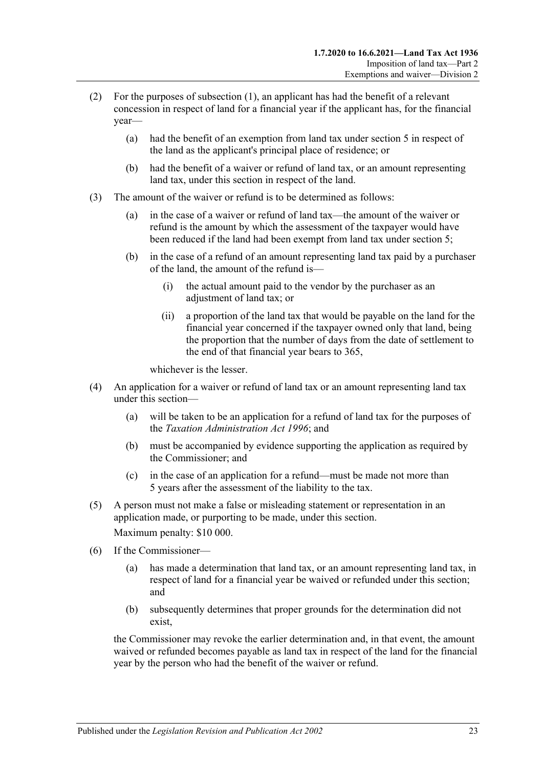- (2) For the purposes of [subsection](#page-21-1) (1), an applicant has had the benefit of a relevant concession in respect of land for a financial year if the applicant has, for the financial year—
	- (a) had the benefit of an exemption from land tax under [section](#page-10-1) 5 in respect of the land as the applicant's principal place of residence; or
	- (b) had the benefit of a waiver or refund of land tax, or an amount representing land tax, under this section in respect of the land.
- (3) The amount of the waiver or refund is to be determined as follows:
	- (a) in the case of a waiver or refund of land tax—the amount of the waiver or refund is the amount by which the assessment of the taxpayer would have been reduced if the land had been exempt from land tax under [section](#page-10-1) 5;
	- (b) in the case of a refund of an amount representing land tax paid by a purchaser of the land, the amount of the refund is—
		- (i) the actual amount paid to the vendor by the purchaser as an adjustment of land tax; or
		- (ii) a proportion of the land tax that would be payable on the land for the financial year concerned if the taxpayer owned only that land, being the proportion that the number of days from the date of settlement to the end of that financial year bears to 365,

whichever is the lesser.

- (4) An application for a waiver or refund of land tax or an amount representing land tax under this section—
	- (a) will be taken to be an application for a refund of land tax for the purposes of the *[Taxation Administration Act](http://www.legislation.sa.gov.au/index.aspx?action=legref&type=act&legtitle=Taxation%20Administration%20Act%201996) 1996*; and
	- (b) must be accompanied by evidence supporting the application as required by the Commissioner; and
	- (c) in the case of an application for a refund—must be made not more than 5 years after the assessment of the liability to the tax.
- (5) A person must not make a false or misleading statement or representation in an application made, or purporting to be made, under this section.

Maximum penalty: \$10 000.

- (6) If the Commissioner—
	- (a) has made a determination that land tax, or an amount representing land tax, in respect of land for a financial year be waived or refunded under this section; and
	- (b) subsequently determines that proper grounds for the determination did not exist,

the Commissioner may revoke the earlier determination and, in that event, the amount waived or refunded becomes payable as land tax in respect of the land for the financial year by the person who had the benefit of the waiver or refund.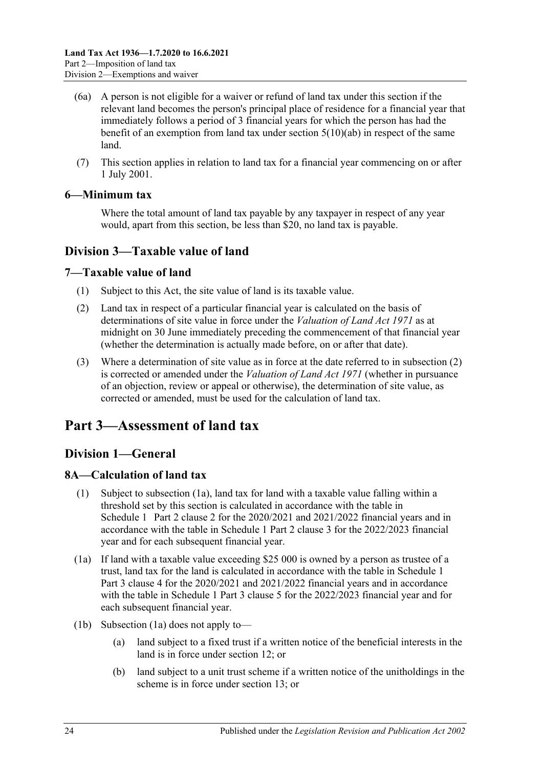- (6a) A person is not eligible for a waiver or refund of land tax under this section if the relevant land becomes the person's principal place of residence for a financial year that immediately follows a period of 3 financial years for which the person has had the benefit of an exemption from land tax under section  $5(10)(ab)$  in respect of the same land.
- (7) This section applies in relation to land tax for a financial year commencing on or after 1 July 2001.

#### <span id="page-23-0"></span>**6—Minimum tax**

Where the total amount of land tax payable by any taxpayer in respect of any year would, apart from this section, be less than \$20, no land tax is payable.

## <span id="page-23-1"></span>**Division 3—Taxable value of land**

#### <span id="page-23-2"></span>**7—Taxable value of land**

- (1) Subject to this Act, the site value of land is its taxable value.
- <span id="page-23-6"></span>(2) Land tax in respect of a particular financial year is calculated on the basis of determinations of site value in force under the *[Valuation of Land Act](http://www.legislation.sa.gov.au/index.aspx?action=legref&type=act&legtitle=Valuation%20of%20Land%20Act%201971) 1971* as at midnight on 30 June immediately preceding the commencement of that financial year (whether the determination is actually made before, on or after that date).
- (3) Where a determination of site value as in force at the date referred to in [subsection](#page-23-6) (2) is corrected or amended under the *[Valuation of Land Act](http://www.legislation.sa.gov.au/index.aspx?action=legref&type=act&legtitle=Valuation%20of%20Land%20Act%201971) 1971* (whether in pursuance of an objection, review or appeal or otherwise), the determination of site value, as corrected or amended, must be used for the calculation of land tax.

# <span id="page-23-3"></span>**Part 3—Assessment of land tax**

# <span id="page-23-4"></span>**Division 1—General**

#### <span id="page-23-8"></span><span id="page-23-5"></span>**8A—Calculation of land tax**

- (1) Subject to [subsection](#page-23-7) (1a), land tax for land with a taxable value falling within a threshold set by this section is calculated in accordance with the table in Schedule 1 [Part 2 clause](#page-45-3) 2 for the 2020/2021 and 2021/2022 financial years and in accordance with the table in [Schedule](#page-46-0) 1 Part 2 clause 3 for the 2022/2023 financial year and for each subsequent financial year.
- <span id="page-23-7"></span>(1a) If land with a taxable value exceeding \$25 000 is owned by a person as trustee of a trust, land tax for the land is calculated in accordance with the table in [Schedule](#page-46-1) 1 Part [3 clause](#page-46-1) 4 for the 2020/2021 and 2021/2022 financial years and in accordance with the table in [Schedule](#page-46-2) 1 Part 3 clause 5 for the 2022/2023 financial year and for each subsequent financial year.
- (1b) [Subsection](#page-23-7) (1a) does not apply to—
	- (a) land subject to a fixed trust if a written notice of the beneficial interests in the land is in force under [section](#page-29-2) 12; or
	- (b) land subject to a unit trust scheme if a written notice of the unitholdings in the scheme is in force under [section](#page-31-0) 13; or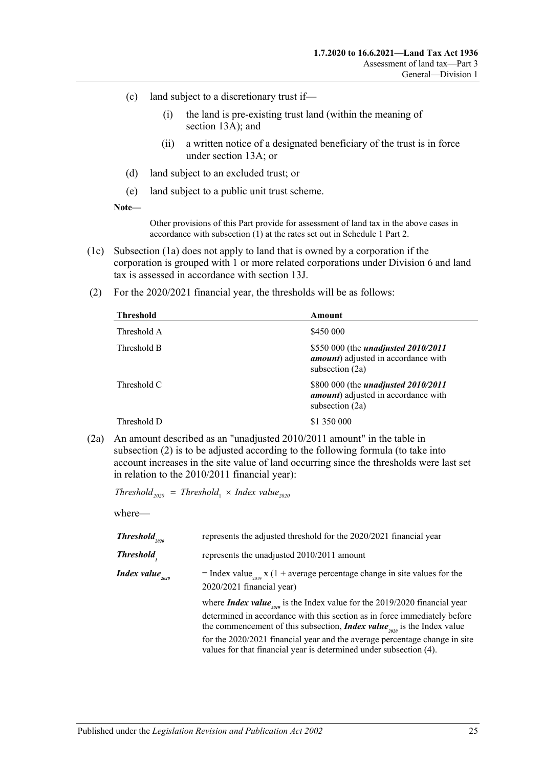- (c) land subject to a discretionary trust if—
	- (i) the land is pre-existing trust land (within the meaning of [section](#page-32-0) 13A); and
	- (ii) a written notice of a designated beneficiary of the trust is in force under [section](#page-32-0) 13A; or
- (d) land subject to an excluded trust; or
- (e) land subject to a public unit trust scheme.

**Note—**

Other provisions of this Part provide for assessment of land tax in the above cases in accordance with [subsection](#page-23-8) (1) at the rates set out in Schedule 1 Part 2.

- (1c) [Subsection](#page-23-7) (1a) does not apply to land that is owned by a corporation if the corporation is grouped with 1 or more related corporations under [Division](#page-37-3) 6 and land tax is assessed in accordance with [section](#page-40-0) 13J.
- <span id="page-24-1"></span>(2) For the 2020/2021 financial year, the thresholds will be as follows:

| <b>Threshold</b> | Amount                                                                                                         |
|------------------|----------------------------------------------------------------------------------------------------------------|
| Threshold A      | \$450 000                                                                                                      |
| Threshold B      | \$550 000 (the <i>unadjusted 2010/2011</i><br><i>amount</i> ) adjusted in accordance with<br>subsection $(2a)$ |
| Threshold $C$    | \$800 000 (the <i>unadjusted 2010/2011</i><br><i>amount</i> ) adjusted in accordance with<br>subsection $(2a)$ |
| Threshold D      | \$1 350 000                                                                                                    |

<span id="page-24-0"></span>(2a) An amount described as an "unadjusted 2010/2011 amount" in the table in [subsection](#page-24-1) (2) is to be adjusted according to the following formula (to take into account increases in the site value of land occurring since the thresholds were last set in relation to the 2010/2011 financial year):

*Threshold*<sub>2020</sub> = *Threshold*<sub>1</sub>  $\times$  *Index value*<sub>2020</sub>

where—

| Threshold <sub>2020</sub>   | represents the adjusted threshold for the 2020/2021 financial year                                                                                                                                                                                                      |
|-----------------------------|-------------------------------------------------------------------------------------------------------------------------------------------------------------------------------------------------------------------------------------------------------------------------|
| Threshold <sub>,</sub>      | represents the unadjusted 2010/2011 amount                                                                                                                                                                                                                              |
| Index value <sub>2020</sub> | = Index value <sub>2010</sub> x (1 + average percentage change in site values for the<br>2020/2021 financial year)                                                                                                                                                      |
|                             | where <i>Index value</i> $_{2019}$ is the Index value for the 2019/2020 financial year<br>determined in accordance with this section as in force immediately before<br>the commencement of this subsection, <i>Index value</i> <sub><i>non</i></sub> is the Index value |
|                             | for the 2020/2021 financial year and the average percentage change in site<br>values for that financial year is determined under subsection (4).                                                                                                                        |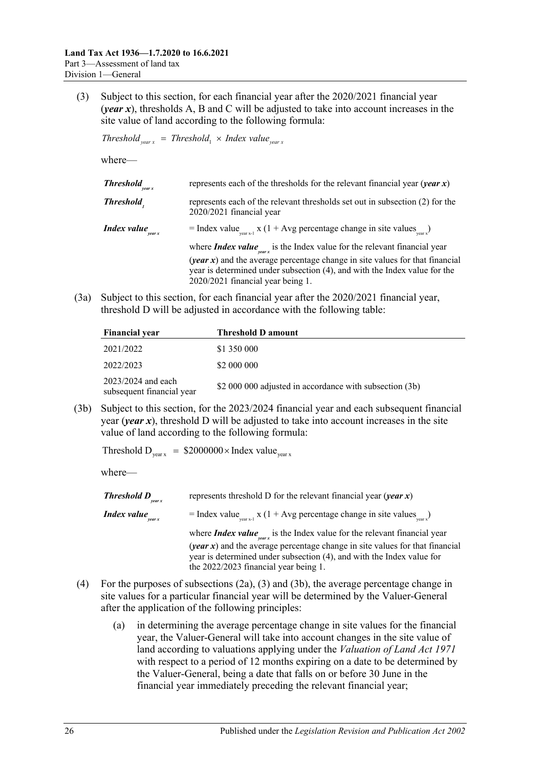<span id="page-25-2"></span>(3) Subject to this section, for each financial year after the 2020/2021 financial year (*year*  $x$ ), thresholds A, B and C will be adjusted to take into account increases in the site value of land according to the following formula:

|                            | Threshold <sub>year x</sub> = Threshold <sub>1</sub> $\times$ Index value <sub>year x</sub>                                                                                                                                                                                            |
|----------------------------|----------------------------------------------------------------------------------------------------------------------------------------------------------------------------------------------------------------------------------------------------------------------------------------|
| where—                     |                                                                                                                                                                                                                                                                                        |
| <b>Threshold</b><br>vear x | represents each of the thresholds for the relevant financial year ( <i>year x</i> )                                                                                                                                                                                                    |
| Threshold                  | represents each of the relevant thresholds set out in subsection (2) for the<br>2020/2021 financial year                                                                                                                                                                               |
| Index value<br>vear x      | = Index value $\sum_{\text{year }x}$ x (1 + Avg percentage change in site values $\sum_{\text{year }x}$ )                                                                                                                                                                              |
|                            | where <b>Index value</b> is the Index value for the relevant financial year<br>( <i>year x</i> ) and the average percentage change in site values for that financial<br>year is determined under subsection (4), and with the Index value for the<br>2020/2021 financial year being 1. |

(3a) Subject to this section, for each financial year after the 2020/2021 financial year, threshold D will be adjusted in accordance with the following table:

| <b>Financial year</b>                             | Threshold D amount                                      |
|---------------------------------------------------|---------------------------------------------------------|
| 2021/2022                                         | \$1 350 000                                             |
| 2022/2023                                         | \$2 000 000                                             |
| $2023/2024$ and each<br>subsequent financial year | \$2 000 000 adjusted in accordance with subsection (3b) |

<span id="page-25-0"></span>(3b) Subject to this section, for the 2023/2024 financial year and each subsequent financial year (*year x*), threshold D will be adjusted to take into account increases in the site value of land according to the following formula:

Threshold  $D_{\text{year}} = $2000000 \times \text{Index value}_{\text{year}}$ 

where—

| Threshold D<br>vear x | represents threshold D for the relevant financial year ( <i>year x</i> )                                                                                                                                  |
|-----------------------|-----------------------------------------------------------------------------------------------------------------------------------------------------------------------------------------------------------|
| Index value<br>year x | = Index value <sub>vear x-1</sub> x (1 + Avg percentage change in site values <sub>vear x</sub> )                                                                                                         |
|                       | where <b><i>Index value</i></b> is the Index value for the relevant financial year<br>vear x                                                                                                              |
|                       | ( <i>year x</i> ) and the average percentage change in site values for that financial<br>year is determined under subsection (4), and with the Index value for<br>the $2022/2023$ financial year being 1. |

- <span id="page-25-3"></span><span id="page-25-1"></span>(4) For the purposes of [subsections](#page-24-0) (2a), [\(3\)](#page-25-2) and [\(3b\),](#page-25-0) the average percentage change in site values for a particular financial year will be determined by the Valuer-General after the application of the following principles:
	- (a) in determining the average percentage change in site values for the financial year, the Valuer-General will take into account changes in the site value of land according to valuations applying under the *[Valuation of Land Act](http://www.legislation.sa.gov.au/index.aspx?action=legref&type=act&legtitle=Valuation%20of%20Land%20Act%201971) 1971* with respect to a period of 12 months expiring on a date to be determined by the Valuer-General, being a date that falls on or before 30 June in the financial year immediately preceding the relevant financial year;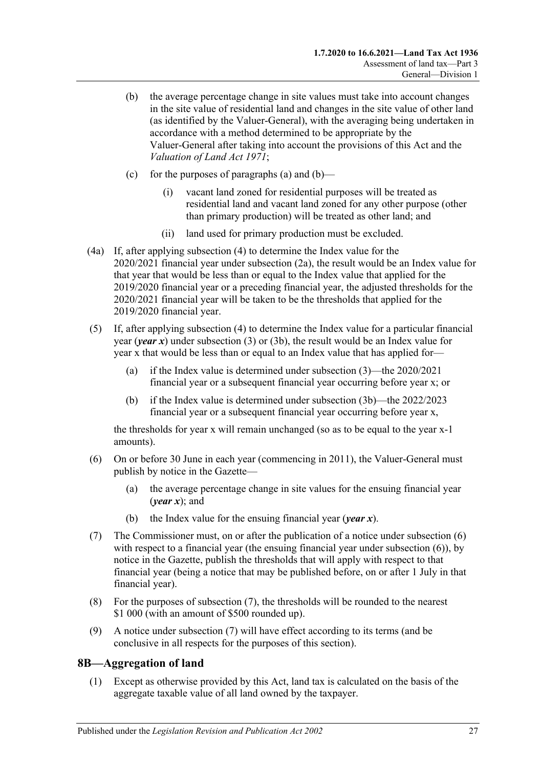- <span id="page-26-1"></span>(b) the average percentage change in site values must take into account changes in the site value of residential land and changes in the site value of other land (as identified by the Valuer-General), with the averaging being undertaken in accordance with a method determined to be appropriate by the Valuer-General after taking into account the provisions of this Act and the *[Valuation of Land Act](http://www.legislation.sa.gov.au/index.aspx?action=legref&type=act&legtitle=Valuation%20of%20Land%20Act%201971) 1971*;
- (c) for the purposes of [paragraphs](#page-25-3) (a) and  $(b)$ 
	- (i) vacant land zoned for residential purposes will be treated as residential land and vacant land zoned for any other purpose (other than primary production) will be treated as other land; and
	- (ii) land used for primary production must be excluded.
- (4a) If, after applying [subsection](#page-25-1) (4) to determine the Index value for the 2020/2021 financial year under [subsection](#page-24-0) (2a), the result would be an Index value for that year that would be less than or equal to the Index value that applied for the 2019/2020 financial year or a preceding financial year, the adjusted thresholds for the 2020/2021 financial year will be taken to be the thresholds that applied for the 2019/2020 financial year.
- (5) If, after applying [subsection](#page-25-1) (4) to determine the Index value for a particular financial year (*year*  $x$ ) under [subsection](#page-25-2) (3) or [\(3b\),](#page-25-0) the result would be an Index value for year x that would be less than or equal to an Index value that has applied for—
	- (a) if the Index value is determined under [subsection](#page-25-2) (3)—the 2020/2021 financial year or a subsequent financial year occurring before year x; or
	- (b) if the Index value is determined under [subsection](#page-25-0) (3b)—the 2022/2023 financial year or a subsequent financial year occurring before year x,

the thresholds for year x will remain unchanged (so as to be equal to the year x-1 amounts).

- <span id="page-26-2"></span>(6) On or before 30 June in each year (commencing in 2011), the Valuer-General must publish by notice in the Gazette—
	- (a) the average percentage change in site values for the ensuing financial year (*year x*); and
	- (b) the Index value for the ensuing financial year (*year x*).
- <span id="page-26-3"></span>(7) The Commissioner must, on or after the publication of a notice under [subsection](#page-26-2) (6) with respect to a financial year (the ensuing financial year under [subsection](#page-26-2) (6)), by notice in the Gazette, publish the thresholds that will apply with respect to that financial year (being a notice that may be published before, on or after 1 July in that financial year).
- (8) For the purposes of [subsection](#page-26-3) (7), the thresholds will be rounded to the nearest \$1,000 (with an amount of \$500 rounded up).
- (9) A notice under [subsection](#page-26-3) (7) will have effect according to its terms (and be conclusive in all respects for the purposes of this section).

## <span id="page-26-0"></span>**8B—Aggregation of land**

(1) Except as otherwise provided by this Act, land tax is calculated on the basis of the aggregate taxable value of all land owned by the taxpayer.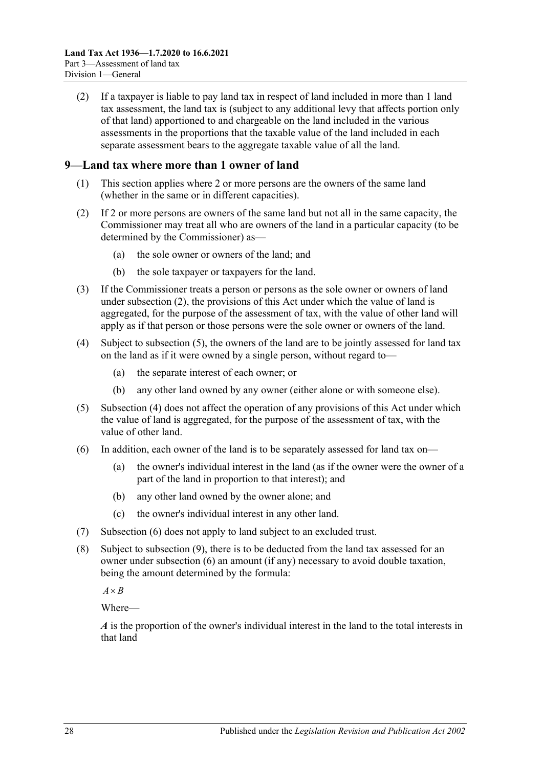(2) If a taxpayer is liable to pay land tax in respect of land included in more than 1 land tax assessment, the land tax is (subject to any additional levy that affects portion only of that land) apportioned to and chargeable on the land included in the various assessments in the proportions that the taxable value of the land included in each separate assessment bears to the aggregate taxable value of all the land.

#### <span id="page-27-0"></span>**9—Land tax where more than 1 owner of land**

- (1) This section applies where 2 or more persons are the owners of the same land (whether in the same or in different capacities).
- <span id="page-27-1"></span>(2) If 2 or more persons are owners of the same land but not all in the same capacity, the Commissioner may treat all who are owners of the land in a particular capacity (to be determined by the Commissioner) as—
	- (a) the sole owner or owners of the land; and
	- (b) the sole taxpayer or taxpayers for the land.
- (3) If the Commissioner treats a person or persons as the sole owner or owners of land under [subsection](#page-27-1) (2), the provisions of this Act under which the value of land is aggregated, for the purpose of the assessment of tax, with the value of other land will apply as if that person or those persons were the sole owner or owners of the land.
- <span id="page-27-3"></span>(4) Subject to [subsection](#page-27-2) (5), the owners of the land are to be jointly assessed for land tax on the land as if it were owned by a single person, without regard to—
	- (a) the separate interest of each owner; or
	- (b) any other land owned by any owner (either alone or with someone else).
- <span id="page-27-2"></span>(5) [Subsection](#page-27-3) (4) does not affect the operation of any provisions of this Act under which the value of land is aggregated, for the purpose of the assessment of tax, with the value of other land.
- <span id="page-27-4"></span>(6) In addition, each owner of the land is to be separately assessed for land tax on—
	- (a) the owner's individual interest in the land (as if the owner were the owner of a part of the land in proportion to that interest); and
	- (b) any other land owned by the owner alone; and
	- (c) the owner's individual interest in any other land.
- (7) [Subsection](#page-27-4) (6) does not apply to land subject to an excluded trust.
- <span id="page-27-5"></span>(8) Subject to [subsection](#page-28-2) (9), there is to be deducted from the land tax assessed for an owner under [subsection](#page-27-4) (6) an amount (if any) necessary to avoid double taxation, being the amount determined by the formula:

 $A \times B$ 

Where—

*A* is the proportion of the owner's individual interest in the land to the total interests in that land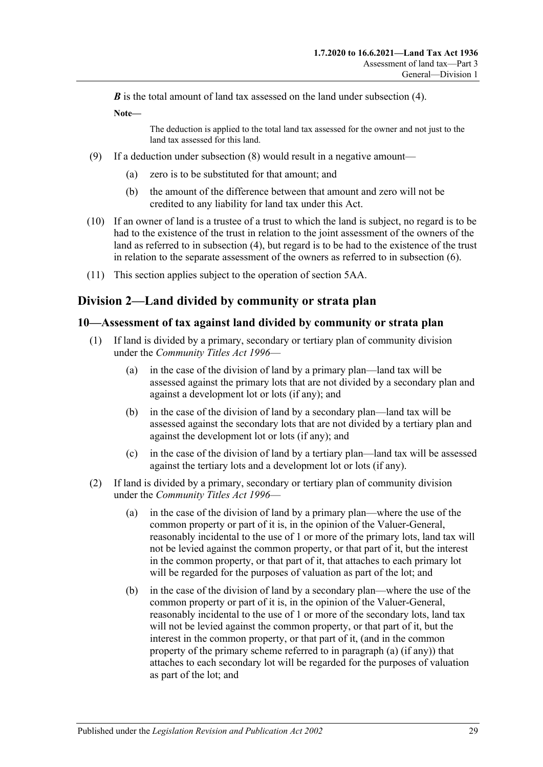*B* is the total amount of land tax assessed on the land under [subsection](#page-27-3) (4).

**Note—**

The deduction is applied to the total land tax assessed for the owner and not just to the land tax assessed for this land.

- <span id="page-28-2"></span>(9) If a deduction under [subsection](#page-27-5) (8) would result in a negative amount—
	- (a) zero is to be substituted for that amount; and
	- (b) the amount of the difference between that amount and zero will not be credited to any liability for land tax under this Act.
- (10) If an owner of land is a trustee of a trust to which the land is subject, no regard is to be had to the existence of the trust in relation to the joint assessment of the owners of the land as referred to in [subsection](#page-27-3) (4), but regard is to be had to the existence of the trust in relation to the separate assessment of the owners as referred to in [subsection](#page-27-4) (6).
- (11) This section applies subject to the operation of [section](#page-19-0) 5AA.

# <span id="page-28-0"></span>**Division 2—Land divided by community or strata plan**

## <span id="page-28-1"></span>**10—Assessment of tax against land divided by community or strata plan**

- (1) If land is divided by a primary, secondary or tertiary plan of community division under the *[Community Titles Act](http://www.legislation.sa.gov.au/index.aspx?action=legref&type=act&legtitle=Community%20Titles%20Act%201996) 1996*—
	- (a) in the case of the division of land by a primary plan—land tax will be assessed against the primary lots that are not divided by a secondary plan and against a development lot or lots (if any); and
	- (b) in the case of the division of land by a secondary plan—land tax will be assessed against the secondary lots that are not divided by a tertiary plan and against the development lot or lots (if any); and
	- (c) in the case of the division of land by a tertiary plan—land tax will be assessed against the tertiary lots and a development lot or lots (if any).
- <span id="page-28-4"></span><span id="page-28-3"></span>(2) If land is divided by a primary, secondary or tertiary plan of community division under the *[Community Titles Act](http://www.legislation.sa.gov.au/index.aspx?action=legref&type=act&legtitle=Community%20Titles%20Act%201996) 1996*—
	- (a) in the case of the division of land by a primary plan—where the use of the common property or part of it is, in the opinion of the Valuer-General, reasonably incidental to the use of 1 or more of the primary lots, land tax will not be levied against the common property, or that part of it, but the interest in the common property, or that part of it, that attaches to each primary lot will be regarded for the purposes of valuation as part of the lot; and
	- (b) in the case of the division of land by a secondary plan—where the use of the common property or part of it is, in the opinion of the Valuer-General, reasonably incidental to the use of 1 or more of the secondary lots, land tax will not be levied against the common property, or that part of it, but the interest in the common property, or that part of it, (and in the common property of the primary scheme referred to in [paragraph](#page-28-3) (a) (if any)) that attaches to each secondary lot will be regarded for the purposes of valuation as part of the lot; and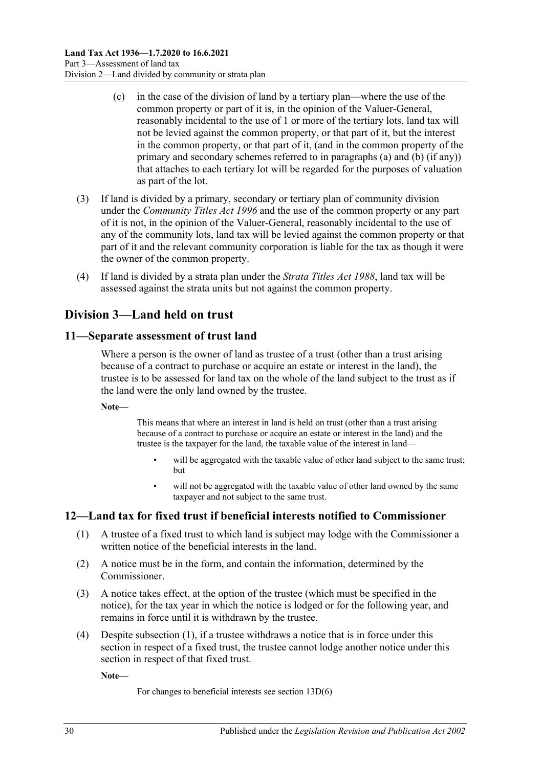- (c) in the case of the division of land by a tertiary plan—where the use of the common property or part of it is, in the opinion of the Valuer-General, reasonably incidental to the use of 1 or more of the tertiary lots, land tax will not be levied against the common property, or that part of it, but the interest in the common property, or that part of it, (and in the common property of the primary and secondary schemes referred to in [paragraphs](#page-28-3) (a) and [\(b\)](#page-28-4) (if any)) that attaches to each tertiary lot will be regarded for the purposes of valuation as part of the lot.
- (3) If land is divided by a primary, secondary or tertiary plan of community division under the *[Community Titles Act](http://www.legislation.sa.gov.au/index.aspx?action=legref&type=act&legtitle=Community%20Titles%20Act%201996) 1996* and the use of the common property or any part of it is not, in the opinion of the Valuer-General, reasonably incidental to the use of any of the community lots, land tax will be levied against the common property or that part of it and the relevant community corporation is liable for the tax as though it were the owner of the common property.
- (4) If land is divided by a strata plan under the *[Strata Titles Act](http://www.legislation.sa.gov.au/index.aspx?action=legref&type=act&legtitle=Strata%20Titles%20Act%201988) 1988*, land tax will be assessed against the strata units but not against the common property.

# <span id="page-29-0"></span>**Division 3—Land held on trust**

### <span id="page-29-1"></span>**11—Separate assessment of trust land**

Where a person is the owner of land as trustee of a trust (other than a trust arising because of a contract to purchase or acquire an estate or interest in the land), the trustee is to be assessed for land tax on the whole of the land subject to the trust as if the land were the only land owned by the trustee.

**Note—**

This means that where an interest in land is held on trust (other than a trust arising because of a contract to purchase or acquire an estate or interest in the land) and the trustee is the taxpayer for the land, the taxable value of the interest in land—

- will be aggregated with the taxable value of other land subject to the same trust; but
- will not be aggregated with the taxable value of other land owned by the same taxpayer and not subject to the same trust.

#### <span id="page-29-3"></span><span id="page-29-2"></span>**12—Land tax for fixed trust if beneficial interests notified to Commissioner**

- (1) A trustee of a fixed trust to which land is subject may lodge with the Commissioner a written notice of the beneficial interests in the land.
- (2) A notice must be in the form, and contain the information, determined by the Commissioner.
- (3) A notice takes effect, at the option of the trustee (which must be specified in the notice), for the tax year in which the notice is lodged or for the following year, and remains in force until it is withdrawn by the trustee.
- (4) Despite [subsection](#page-29-3) (1), if a trustee withdraws a notice that is in force under this section in respect of a fixed trust, the trustee cannot lodge another notice under this section in respect of that fixed trust.

**Note—**

For changes to beneficial interests see section 13D(6)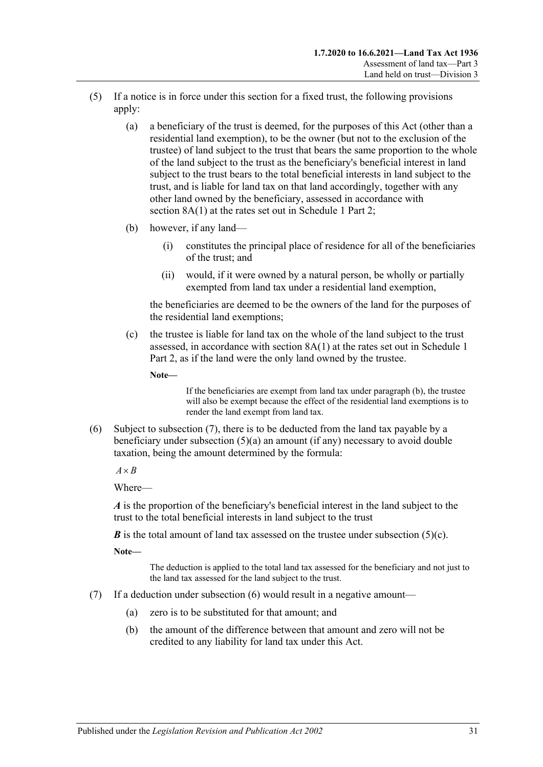- <span id="page-30-2"></span>(5) If a notice is in force under this section for a fixed trust, the following provisions apply:
	- (a) a beneficiary of the trust is deemed, for the purposes of this Act (other than a residential land exemption), to be the owner (but not to the exclusion of the trustee) of land subject to the trust that bears the same proportion to the whole of the land subject to the trust as the beneficiary's beneficial interest in land subject to the trust bears to the total beneficial interests in land subject to the trust, and is liable for land tax on that land accordingly, together with any other land owned by the beneficiary, assessed in accordance with [section](#page-23-8) 8A(1) at the rates set out in Schedule 1 Part 2;
	- (b) however, if any land—
		- (i) constitutes the principal place of residence for all of the beneficiaries of the trust; and
		- (ii) would, if it were owned by a natural person, be wholly or partially exempted from land tax under a residential land exemption,

<span id="page-30-0"></span>the beneficiaries are deemed to be the owners of the land for the purposes of the residential land exemptions;

<span id="page-30-3"></span>(c) the trustee is liable for land tax on the whole of the land subject to the trust assessed, in accordance with [section](#page-23-8) 8A(1) at the rates set out in Schedule 1 Part 2, as if the land were the only land owned by the trustee.

**Note—**

If the beneficiaries are exempt from land tax under [paragraph](#page-30-0) (b), the trustee will also be exempt because the effect of the residential land exemptions is to render the land exempt from land tax.

<span id="page-30-4"></span>(6) Subject to [subsection](#page-30-1) (7), there is to be deducted from the land tax payable by a beneficiary under [subsection](#page-30-2) (5)(a) an amount (if any) necessary to avoid double taxation, being the amount determined by the formula:

 $A \times B$ 

Where—

*A* is the proportion of the beneficiary's beneficial interest in the land subject to the trust to the total beneficial interests in land subject to the trust

*B* is the total amount of land tax assessed on the trustee under [subsection](#page-30-3) (5)(c).

**Note—**

The deduction is applied to the total land tax assessed for the beneficiary and not just to the land tax assessed for the land subject to the trust.

- <span id="page-30-1"></span>(7) If a deduction under [subsection](#page-30-4) (6) would result in a negative amount—
	- (a) zero is to be substituted for that amount; and
	- (b) the amount of the difference between that amount and zero will not be credited to any liability for land tax under this Act.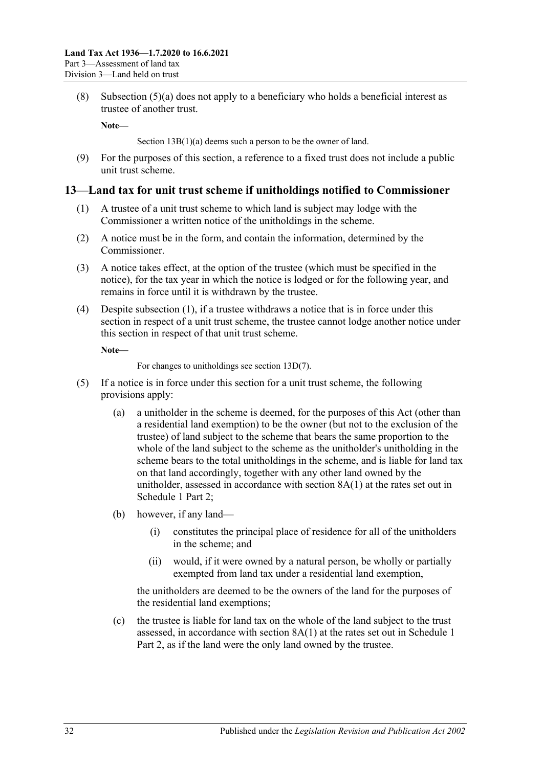(8) [Subsection](#page-30-2) (5)(a) does not apply to a beneficiary who holds a beneficial interest as trustee of another trust.

**Note—**

Section  $13B(1)(a)$  deems such a person to be the owner of land.

(9) For the purposes of this section, a reference to a fixed trust does not include a public unit trust scheme.

#### <span id="page-31-1"></span><span id="page-31-0"></span>**13—Land tax for unit trust scheme if unitholdings notified to Commissioner**

- (1) A trustee of a unit trust scheme to which land is subject may lodge with the Commissioner a written notice of the unitholdings in the scheme.
- (2) A notice must be in the form, and contain the information, determined by the Commissioner.
- (3) A notice takes effect, at the option of the trustee (which must be specified in the notice), for the tax year in which the notice is lodged or for the following year, and remains in force until it is withdrawn by the trustee.
- (4) Despite [subsection](#page-31-1) (1), if a trustee withdraws a notice that is in force under this section in respect of a unit trust scheme, the trustee cannot lodge another notice under this section in respect of that unit trust scheme.

**Note—**

For changes to unitholdings see section 13D(7).

- <span id="page-31-3"></span>(5) If a notice is in force under this section for a unit trust scheme, the following provisions apply:
	- (a) a unitholder in the scheme is deemed, for the purposes of this Act (other than a residential land exemption) to be the owner (but not to the exclusion of the trustee) of land subject to the scheme that bears the same proportion to the whole of the land subject to the scheme as the unitholder's unitholding in the scheme bears to the total unitholdings in the scheme, and is liable for land tax on that land accordingly, together with any other land owned by the unitholder, assessed in accordance with [section](#page-23-8) 8A(1) at the rates set out in Schedule 1 Part 2;
	- (b) however, if any land—
		- (i) constitutes the principal place of residence for all of the unitholders in the scheme; and
		- (ii) would, if it were owned by a natural person, be wholly or partially exempted from land tax under a residential land exemption,

<span id="page-31-2"></span>the unitholders are deemed to be the owners of the land for the purposes of the residential land exemptions;

<span id="page-31-4"></span>(c) the trustee is liable for land tax on the whole of the land subject to the trust assessed, in accordance with [section](#page-23-8) 8A(1) at the rates set out in Schedule 1 Part 2, as if the land were the only land owned by the trustee.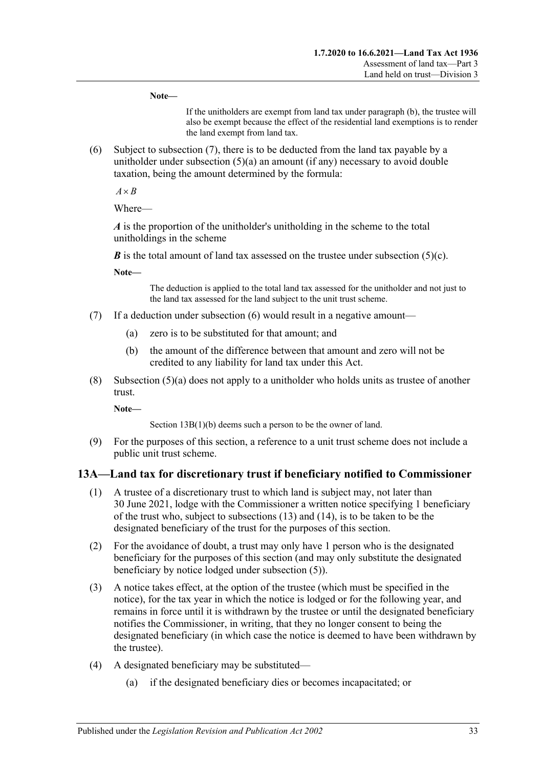**Note—**

If the unitholders are exempt from land tax under [paragraph](#page-31-2) (b), the trustee will also be exempt because the effect of the residential land exemptions is to render the land exempt from land tax.

<span id="page-32-2"></span>(6) Subject to [subsection](#page-32-1) (7), there is to be deducted from the land tax payable by a unitholder under [subsection](#page-31-3)  $(5)(a)$  an amount (if any) necessary to avoid double taxation, being the amount determined by the formula:

 $A \times B$ 

Where—

*A* is the proportion of the unitholder's unitholding in the scheme to the total unitholdings in the scheme

*B* is the total amount of land tax assessed on the trustee under [subsection](#page-31-4) (5)(c).

**Note—**

The deduction is applied to the total land tax assessed for the unitholder and not just to the land tax assessed for the land subject to the unit trust scheme.

- <span id="page-32-1"></span>(7) If a deduction under [subsection](#page-32-2) (6) would result in a negative amount—
	- (a) zero is to be substituted for that amount; and
	- (b) the amount of the difference between that amount and zero will not be credited to any liability for land tax under this Act.
- (8) [Subsection](#page-31-3) (5)(a) does not apply to a unitholder who holds units as trustee of another trust.

**Note—**

Section [13B\(1\)\(b\)](#page-35-2) deems such a person to be the owner of land.

(9) For the purposes of this section, a reference to a unit trust scheme does not include a public unit trust scheme.

#### <span id="page-32-4"></span><span id="page-32-0"></span>**13A—Land tax for discretionary trust if beneficiary notified to Commissioner**

- (1) A trustee of a discretionary trust to which land is subject may, not later than 30 June 2021, lodge with the Commissioner a written notice specifying 1 beneficiary of the trust who, subject to [subsections](#page-34-0) (13) and [\(14\),](#page-34-1) is to be taken to be the designated beneficiary of the trust for the purposes of this section.
- (2) For the avoidance of doubt, a trust may only have 1 person who is the designated beneficiary for the purposes of this section (and may only substitute the designated beneficiary by notice lodged under [subsection](#page-33-0) (5)).
- (3) A notice takes effect, at the option of the trustee (which must be specified in the notice), for the tax year in which the notice is lodged or for the following year, and remains in force until it is withdrawn by the trustee or until the designated beneficiary notifies the Commissioner, in writing, that they no longer consent to being the designated beneficiary (in which case the notice is deemed to have been withdrawn by the trustee).
- <span id="page-32-3"></span>(4) A designated beneficiary may be substituted—
	- (a) if the designated beneficiary dies or becomes incapacitated; or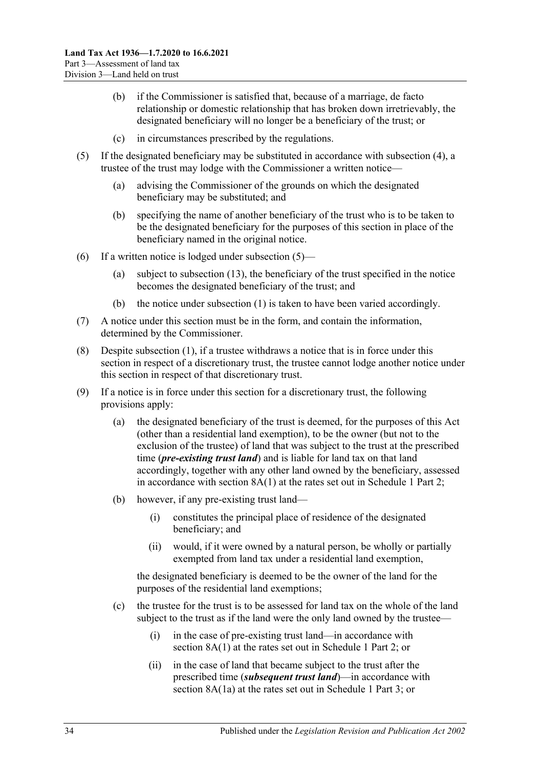- (b) if the Commissioner is satisfied that, because of a marriage, de facto relationship or domestic relationship that has broken down irretrievably, the designated beneficiary will no longer be a beneficiary of the trust; or
- (c) in circumstances prescribed by the regulations.
- <span id="page-33-0"></span>(5) If the designated beneficiary may be substituted in accordance with [subsection](#page-32-3) (4), a trustee of the trust may lodge with the Commissioner a written notice—
	- (a) advising the Commissioner of the grounds on which the designated beneficiary may be substituted; and
	- (b) specifying the name of another beneficiary of the trust who is to be taken to be the designated beneficiary for the purposes of this section in place of the beneficiary named in the original notice.
- (6) If a written notice is lodged under [subsection](#page-33-0)  $(5)$ 
	- (a) subject to [subsection](#page-34-0) (13), the beneficiary of the trust specified in the notice becomes the designated beneficiary of the trust; and
	- (b) the notice under [subsection](#page-32-4) (1) is taken to have been varied accordingly.
- (7) A notice under this section must be in the form, and contain the information, determined by the Commissioner.
- (8) Despite [subsection](#page-32-4) (1), if a trustee withdraws a notice that is in force under this section in respect of a discretionary trust, the trustee cannot lodge another notice under this section in respect of that discretionary trust.
- <span id="page-33-1"></span>(9) If a notice is in force under this section for a discretionary trust, the following provisions apply:
	- (a) the designated beneficiary of the trust is deemed, for the purposes of this Act (other than a residential land exemption), to be the owner (but not to the exclusion of the trustee) of land that was subject to the trust at the prescribed time (*pre-existing trust land*) and is liable for land tax on that land accordingly, together with any other land owned by the beneficiary, assessed in accordance with [section](#page-23-8) 8A(1) at the rates set out in Schedule 1 Part 2;
	- (b) however, if any pre-existing trust land—
		- (i) constitutes the principal place of residence of the designated beneficiary; and
		- (ii) would, if it were owned by a natural person, be wholly or partially exempted from land tax under a residential land exemption,

the designated beneficiary is deemed to be the owner of the land for the purposes of the residential land exemptions;

- <span id="page-33-2"></span>(c) the trustee for the trust is to be assessed for land tax on the whole of the land subject to the trust as if the land were the only land owned by the trustee—
	- (i) in the case of pre-existing trust land—in accordance with [section](#page-23-8) 8A(1) at the rates set out in Schedule 1 Part 2; or
	- (ii) in the case of land that became subject to the trust after the prescribed time (*subsequent trust land*)—in accordance with section [8A\(1a\)](#page-23-7) at the rates set out in Schedule 1 Part 3; or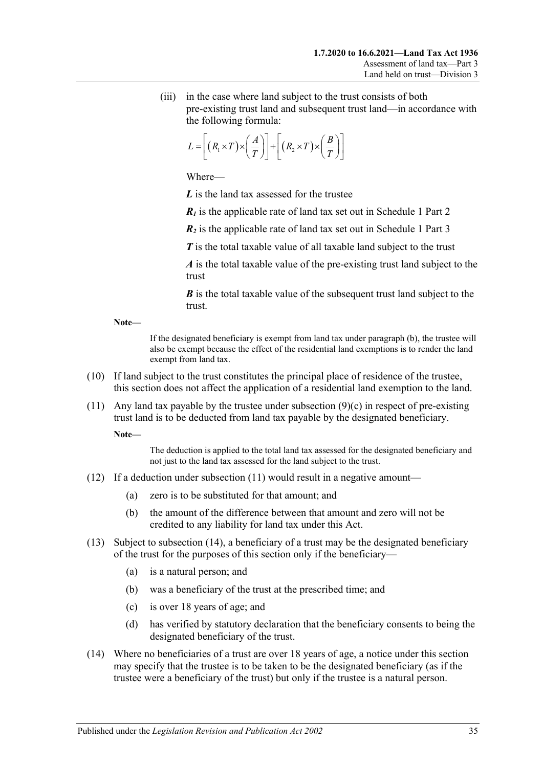(iii) in the case where land subject to the trust consists of both pre-existing trust land and subsequent trust land—in accordance with the following formula:

$$
L = \left[ \left( R_1 \times T \right) \times \left( \frac{A}{T} \right) \right] + \left[ \left( R_2 \times T \right) \times \left( \frac{B}{T} \right) \right]
$$

Where—

*L* is the land tax assessed for the trustee

*R<sub>1</sub>* is the applicable rate of land tax set out in Schedule 1 Part 2

*R2* is the applicable rate of land tax set out in Schedule 1 Part 3

*T* is the total taxable value of all taxable land subject to the trust

*A* is the total taxable value of the pre-existing trust land subject to the trust

*B* is the total taxable value of the subsequent trust land subject to the trust.

**Note—**

If the designated beneficiary is exempt from land tax under [paragraph](#page-33-1) (b), the trustee will also be exempt because the effect of the residential land exemptions is to render the land exempt from land tax.

- (10) If land subject to the trust constitutes the principal place of residence of the trustee, this section does not affect the application of a residential land exemption to the land.
- <span id="page-34-2"></span>(11) Any land tax payable by the trustee under [subsection](#page-33-2)  $(9)(c)$  in respect of pre-existing trust land is to be deducted from land tax payable by the designated beneficiary.

**Note—**

The deduction is applied to the total land tax assessed for the designated beneficiary and not just to the land tax assessed for the land subject to the trust.

- (12) If a deduction under [subsection](#page-34-2) (11) would result in a negative amount—
	- (a) zero is to be substituted for that amount; and
	- (b) the amount of the difference between that amount and zero will not be credited to any liability for land tax under this Act.
- <span id="page-34-0"></span>(13) Subject to [subsection](#page-34-1) (14), a beneficiary of a trust may be the designated beneficiary of the trust for the purposes of this section only if the beneficiary—
	- (a) is a natural person; and
	- (b) was a beneficiary of the trust at the prescribed time; and
	- (c) is over 18 years of age; and
	- (d) has verified by statutory declaration that the beneficiary consents to being the designated beneficiary of the trust.
- <span id="page-34-1"></span>(14) Where no beneficiaries of a trust are over 18 years of age, a notice under this section may specify that the trustee is to be taken to be the designated beneficiary (as if the trustee were a beneficiary of the trust) but only if the trustee is a natural person.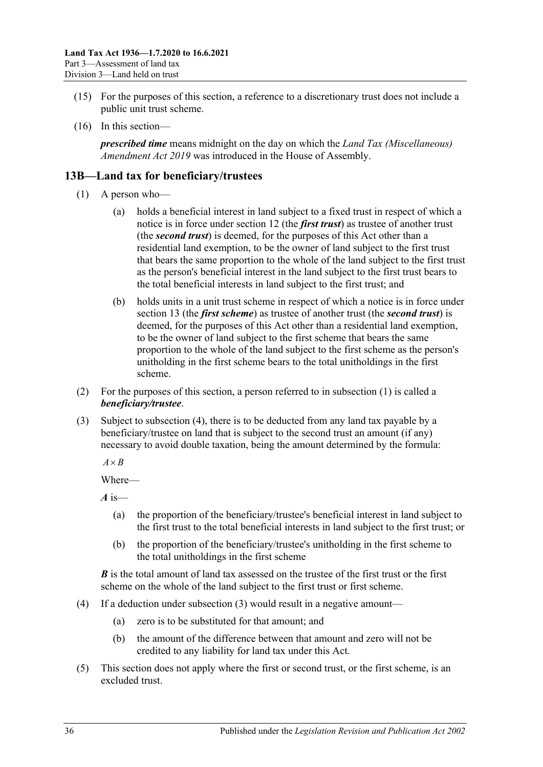- (15) For the purposes of this section, a reference to a discretionary trust does not include a public unit trust scheme.
- (16) In this section—

*prescribed time* means midnight on the day on which the *[Land Tax \(Miscellaneous\)](http://www.legislation.sa.gov.au/index.aspx?action=legref&type=act&legtitle=Land%20Tax%20(Miscellaneous)%20Amendment%20Act%202019)  [Amendment Act](http://www.legislation.sa.gov.au/index.aspx?action=legref&type=act&legtitle=Land%20Tax%20(Miscellaneous)%20Amendment%20Act%202019) 2019* was introduced in the House of Assembly.

### <span id="page-35-3"></span><span id="page-35-0"></span>**13B—Land tax for beneficiary/trustees**

- <span id="page-35-1"></span>(1) A person who
	- holds a beneficial interest in land subject to a fixed trust in respect of which a notice is in force under [section](#page-29-2) 12 (the *first trust*) as trustee of another trust (the *second trust*) is deemed, for the purposes of this Act other than a residential land exemption, to be the owner of land subject to the first trust that bears the same proportion to the whole of the land subject to the first trust as the person's beneficial interest in the land subject to the first trust bears to the total beneficial interests in land subject to the first trust; and
	- (b) holds units in a unit trust scheme in respect of which a notice is in force under [section](#page-31-0) 13 (the *first scheme*) as trustee of another trust (the *second trust*) is deemed, for the purposes of this Act other than a residential land exemption, to be the owner of land subject to the first scheme that bears the same proportion to the whole of the land subject to the first scheme as the person's unitholding in the first scheme bears to the total unitholdings in the first scheme.
- <span id="page-35-2"></span>(2) For the purposes of this section, a person referred to in [subsection](#page-35-3) (1) is called a *beneficiary/trustee*.
- <span id="page-35-5"></span>(3) Subject to [subsection](#page-35-4) (4), there is to be deducted from any land tax payable by a beneficiary/trustee on land that is subject to the second trust an amount (if any) necessary to avoid double taxation, being the amount determined by the formula:

 $A \times B$ 

Where—

*A* is—

- (a) the proportion of the beneficiary/trustee's beneficial interest in land subject to the first trust to the total beneficial interests in land subject to the first trust; or
- (b) the proportion of the beneficiary/trustee's unitholding in the first scheme to the total unitholdings in the first scheme

*B* is the total amount of land tax assessed on the trustee of the first trust or the first scheme on the whole of the land subject to the first trust or first scheme.

- <span id="page-35-4"></span>(4) If a deduction under [subsection](#page-35-5) (3) would result in a negative amount—
	- (a) zero is to be substituted for that amount; and
	- (b) the amount of the difference between that amount and zero will not be credited to any liability for land tax under this Act.
- (5) This section does not apply where the first or second trust, or the first scheme, is an excluded trust.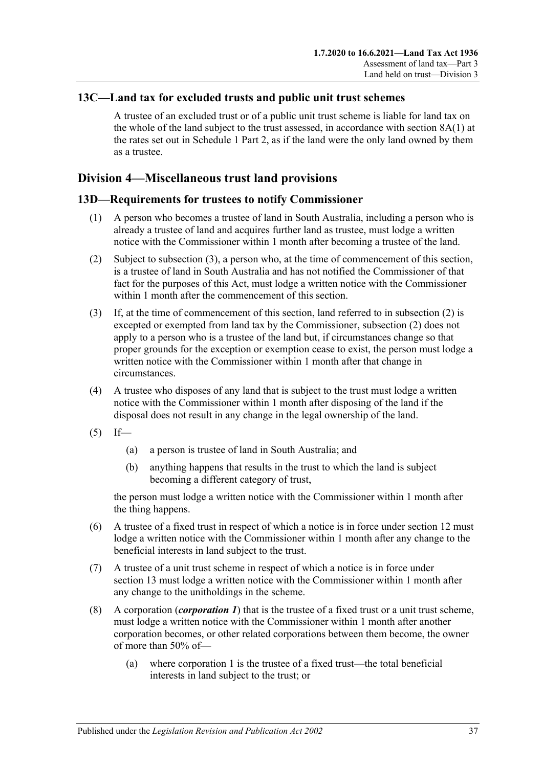### <span id="page-36-0"></span>**13C—Land tax for excluded trusts and public unit trust schemes**

A trustee of an excluded trust or of a public unit trust scheme is liable for land tax on the whole of the land subject to the trust assessed, in accordance with [section](#page-23-8) 8A(1) at the rates set out in Schedule 1 Part 2, as if the land were the only land owned by them as a trustee.

## <span id="page-36-1"></span>**Division 4—Miscellaneous trust land provisions**

### <span id="page-36-5"></span><span id="page-36-2"></span>**13D—Requirements for trustees to notify Commissioner**

- (1) A person who becomes a trustee of land in South Australia, including a person who is already a trustee of land and acquires further land as trustee, must lodge a written notice with the Commissioner within 1 month after becoming a trustee of the land.
- <span id="page-36-4"></span>(2) Subject to [subsection](#page-36-3) (3), a person who, at the time of commencement of this section, is a trustee of land in South Australia and has not notified the Commissioner of that fact for the purposes of this Act, must lodge a written notice with the Commissioner within 1 month after the commencement of this section.
- <span id="page-36-3"></span>(3) If, at the time of commencement of this section, land referred to in [subsection](#page-36-4) (2) is excepted or exempted from land tax by the Commissioner, [subsection](#page-36-4) (2) does not apply to a person who is a trustee of the land but, if circumstances change so that proper grounds for the exception or exemption cease to exist, the person must lodge a written notice with the Commissioner within 1 month after that change in circumstances.
- (4) A trustee who disposes of any land that is subject to the trust must lodge a written notice with the Commissioner within 1 month after disposing of the land if the disposal does not result in any change in the legal ownership of the land.
- $(5)$  If—
	- (a) a person is trustee of land in South Australia; and
	- (b) anything happens that results in the trust to which the land is subject becoming a different category of trust,

the person must lodge a written notice with the Commissioner within 1 month after the thing happens.

- (6) A trustee of a fixed trust in respect of which a notice is in force under section 12 must lodge a written notice with the Commissioner within 1 month after any change to the beneficial interests in land subject to the trust.
- (7) A trustee of a unit trust scheme in respect of which a notice is in force under section 13 must lodge a written notice with the Commissioner within 1 month after any change to the unitholdings in the scheme.
- (8) A corporation (*corporation 1*) that is the trustee of a fixed trust or a unit trust scheme, must lodge a written notice with the Commissioner within 1 month after another corporation becomes, or other related corporations between them become, the owner of more than 50% of—
	- (a) where corporation 1 is the trustee of a fixed trust—the total beneficial interests in land subject to the trust; or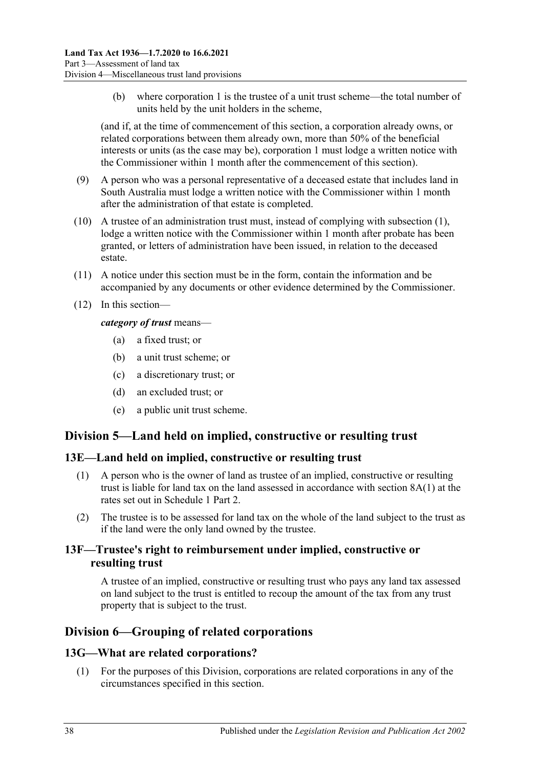(b) where corporation 1 is the trustee of a unit trust scheme—the total number of units held by the unit holders in the scheme,

(and if, at the time of commencement of this section, a corporation already owns, or related corporations between them already own, more than 50% of the beneficial interests or units (as the case may be), corporation 1 must lodge a written notice with the Commissioner within 1 month after the commencement of this section).

- (9) A person who was a personal representative of a deceased estate that includes land in South Australia must lodge a written notice with the Commissioner within 1 month after the administration of that estate is completed.
- (10) A trustee of an administration trust must, instead of complying with [subsection](#page-36-5) (1), lodge a written notice with the Commissioner within 1 month after probate has been granted, or letters of administration have been issued, in relation to the deceased estate.
- (11) A notice under this section must be in the form, contain the information and be accompanied by any documents or other evidence determined by the Commissioner.
- (12) In this section—

#### *category of trust* means—

- (a) a fixed trust; or
- (b) a unit trust scheme; or
- (c) a discretionary trust; or
- (d) an excluded trust; or
- (e) a public unit trust scheme.

## <span id="page-37-0"></span>**Division 5—Land held on implied, constructive or resulting trust**

#### <span id="page-37-1"></span>**13E—Land held on implied, constructive or resulting trust**

- (1) A person who is the owner of land as trustee of an implied, constructive or resulting trust is liable for land tax on the land assessed in accordance with [section](#page-23-8) 8A(1) at the rates set out in Schedule 1 Part 2.
- (2) The trustee is to be assessed for land tax on the whole of the land subject to the trust as if the land were the only land owned by the trustee.

### <span id="page-37-2"></span>**13F—Trustee's right to reimbursement under implied, constructive or resulting trust**

A trustee of an implied, constructive or resulting trust who pays any land tax assessed on land subject to the trust is entitled to recoup the amount of the tax from any trust property that is subject to the trust.

# <span id="page-37-3"></span>**Division 6—Grouping of related corporations**

#### <span id="page-37-4"></span>**13G—What are related corporations?**

(1) For the purposes of this Division, corporations are related corporations in any of the circumstances specified in this section.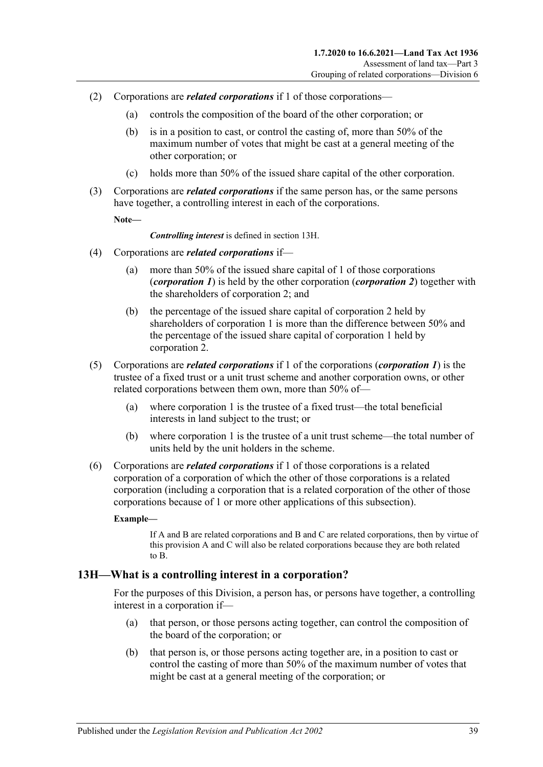- (2) Corporations are *related corporations* if 1 of those corporations—
	- (a) controls the composition of the board of the other corporation; or
	- (b) is in a position to cast, or control the casting of, more than 50% of the maximum number of votes that might be cast at a general meeting of the other corporation; or
	- (c) holds more than 50% of the issued share capital of the other corporation.
- (3) Corporations are *related corporations* if the same person has, or the same persons have together, a controlling interest in each of the corporations.

**Note—**

*Controlling interest* is defined in [section](#page-38-0) 13H.

- (4) Corporations are *related corporations* if—
	- (a) more than 50% of the issued share capital of 1 of those corporations (*corporation 1*) is held by the other corporation (*corporation 2*) together with the shareholders of corporation 2; and
	- (b) the percentage of the issued share capital of corporation 2 held by shareholders of corporation 1 is more than the difference between 50% and the percentage of the issued share capital of corporation 1 held by corporation 2.
- <span id="page-38-1"></span>(5) Corporations are *related corporations* if 1 of the corporations (*corporation 1*) is the trustee of a fixed trust or a unit trust scheme and another corporation owns, or other related corporations between them own, more than 50% of—
	- (a) where corporation 1 is the trustee of a fixed trust—the total beneficial interests in land subject to the trust; or
	- (b) where corporation 1 is the trustee of a unit trust scheme—the total number of units held by the unit holders in the scheme.
- (6) Corporations are *related corporations* if 1 of those corporations is a related corporation of a corporation of which the other of those corporations is a related corporation (including a corporation that is a related corporation of the other of those corporations because of 1 or more other applications of this subsection).

#### **Example—**

If A and B are related corporations and B and C are related corporations, then by virtue of this provision A and C will also be related corporations because they are both related to B.

#### <span id="page-38-0"></span>**13H—What is a controlling interest in a corporation?**

For the purposes of this Division, a person has, or persons have together, a controlling interest in a corporation if—

- (a) that person, or those persons acting together, can control the composition of the board of the corporation; or
- (b) that person is, or those persons acting together are, in a position to cast or control the casting of more than 50% of the maximum number of votes that might be cast at a general meeting of the corporation; or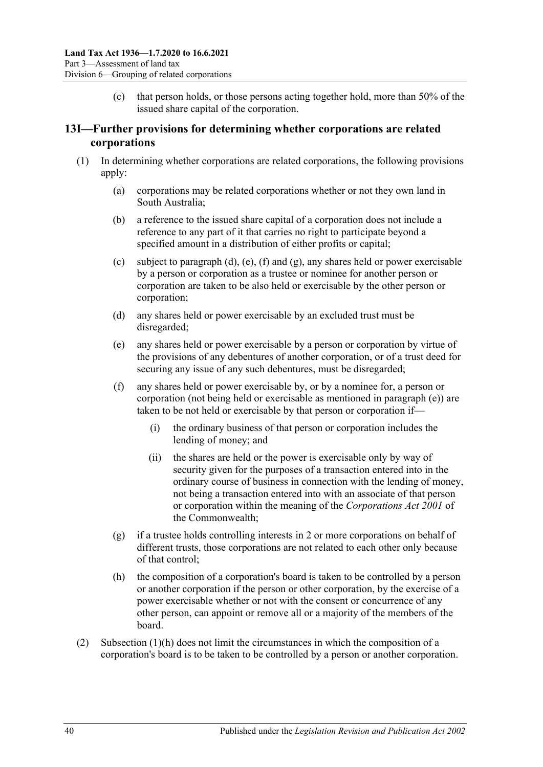(c) that person holds, or those persons acting together hold, more than 50% of the issued share capital of the corporation.

#### <span id="page-39-0"></span>**13I—Further provisions for determining whether corporations are related corporations**

- <span id="page-39-3"></span><span id="page-39-2"></span><span id="page-39-1"></span>(1) In determining whether corporations are related corporations, the following provisions apply:
	- (a) corporations may be related corporations whether or not they own land in South Australia;
	- (b) a reference to the issued share capital of a corporation does not include a reference to any part of it that carries no right to participate beyond a specified amount in a distribution of either profits or capital;
	- (c) subject to [paragraph](#page-39-1) (d), [\(e\),](#page-39-2) [\(f\)](#page-39-3) and [\(g\),](#page-39-4) any shares held or power exercisable by a person or corporation as a trustee or nominee for another person or corporation are taken to be also held or exercisable by the other person or corporation;
	- (d) any shares held or power exercisable by an excluded trust must be disregarded;
	- (e) any shares held or power exercisable by a person or corporation by virtue of the provisions of any debentures of another corporation, or of a trust deed for securing any issue of any such debentures, must be disregarded;
	- (f) any shares held or power exercisable by, or by a nominee for, a person or corporation (not being held or exercisable as mentioned in [paragraph](#page-39-2) (e)) are taken to be not held or exercisable by that person or corporation if—
		- (i) the ordinary business of that person or corporation includes the lending of money; and
		- (ii) the shares are held or the power is exercisable only by way of security given for the purposes of a transaction entered into in the ordinary course of business in connection with the lending of money, not being a transaction entered into with an associate of that person or corporation within the meaning of the *Corporations Act 2001* of the Commonwealth;
	- (g) if a trustee holds controlling interests in 2 or more corporations on behalf of different trusts, those corporations are not related to each other only because of that control;
	- (h) the composition of a corporation's board is taken to be controlled by a person or another corporation if the person or other corporation, by the exercise of a power exercisable whether or not with the consent or concurrence of any other person, can appoint or remove all or a majority of the members of the board.
- <span id="page-39-5"></span><span id="page-39-4"></span>(2) [Subsection](#page-39-5) (1)(h) does not limit the circumstances in which the composition of a corporation's board is to be taken to be controlled by a person or another corporation.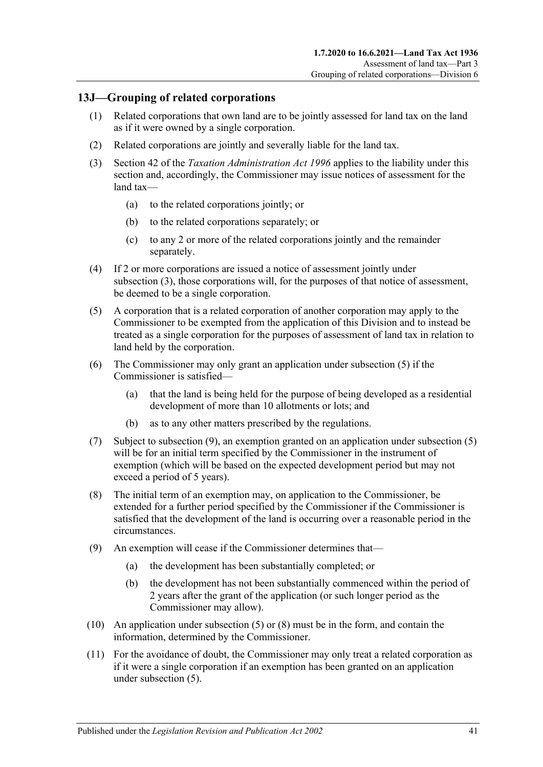### <span id="page-40-0"></span>**13J—Grouping of related corporations**

- (1) Related corporations that own land are to be jointly assessed for land tax on the land as if it were owned by a single corporation.
- (2) Related corporations are jointly and severally liable for the land tax.
- <span id="page-40-1"></span>(3) Section 42 of the *[Taxation Administration Act](http://www.legislation.sa.gov.au/index.aspx?action=legref&type=act&legtitle=Taxation%20Administration%20Act%201996) 1996* applies to the liability under this section and, accordingly, the Commissioner may issue notices of assessment for the land tax—
	- (a) to the related corporations jointly; or
	- (b) to the related corporations separately; or
	- (c) to any 2 or more of the related corporations jointly and the remainder separately.
- (4) If 2 or more corporations are issued a notice of assessment jointly under [subsection](#page-40-1) (3), those corporations will, for the purposes of that notice of assessment, be deemed to be a single corporation.
- <span id="page-40-2"></span>(5) A corporation that is a related corporation of another corporation may apply to the Commissioner to be exempted from the application of this Division and to instead be treated as a single corporation for the purposes of assessment of land tax in relation to land held by the corporation.
- (6) The Commissioner may only grant an application under [subsection](#page-40-2) (5) if the Commissioner is satisfied—
	- (a) that the land is being held for the purpose of being developed as a residential development of more than 10 allotments or lots; and
	- (b) as to any other matters prescribed by the regulations.
- (7) Subject to [subsection](#page-40-3) (9), an exemption granted on an application under [subsection](#page-40-2) (5) will be for an initial term specified by the Commissioner in the instrument of exemption (which will be based on the expected development period but may not exceed a period of 5 years).
- <span id="page-40-4"></span>(8) The initial term of an exemption may, on application to the Commissioner, be extended for a further period specified by the Commissioner if the Commissioner is satisfied that the development of the land is occurring over a reasonable period in the circumstances.
- <span id="page-40-3"></span>(9) An exemption will cease if the Commissioner determines that—
	- (a) the development has been substantially completed; or
	- (b) the development has not been substantially commenced within the period of 2 years after the grant of the application (or such longer period as the Commissioner may allow).
- (10) An application under [subsection](#page-40-2) (5) or [\(8\)](#page-40-4) must be in the form, and contain the information, determined by the Commissioner.
- (11) For the avoidance of doubt, the Commissioner may only treat a related corporation as if it were a single corporation if an exemption has been granted on an application under [subsection](#page-40-2) (5).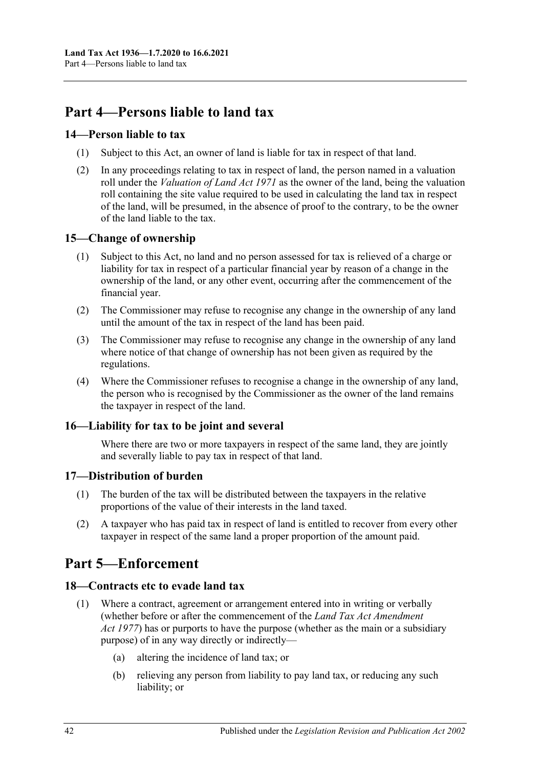# <span id="page-41-0"></span>**Part 4—Persons liable to land tax**

#### <span id="page-41-1"></span>**14—Person liable to tax**

- (1) Subject to this Act, an owner of land is liable for tax in respect of that land.
- (2) In any proceedings relating to tax in respect of land, the person named in a valuation roll under the *[Valuation of Land Act](http://www.legislation.sa.gov.au/index.aspx?action=legref&type=act&legtitle=Valuation%20of%20Land%20Act%201971) 1971* as the owner of the land, being the valuation roll containing the site value required to be used in calculating the land tax in respect of the land, will be presumed, in the absence of proof to the contrary, to be the owner of the land liable to the tax.

### <span id="page-41-2"></span>**15—Change of ownership**

- (1) Subject to this Act, no land and no person assessed for tax is relieved of a charge or liability for tax in respect of a particular financial year by reason of a change in the ownership of the land, or any other event, occurring after the commencement of the financial year.
- (2) The Commissioner may refuse to recognise any change in the ownership of any land until the amount of the tax in respect of the land has been paid.
- (3) The Commissioner may refuse to recognise any change in the ownership of any land where notice of that change of ownership has not been given as required by the regulations.
- (4) Where the Commissioner refuses to recognise a change in the ownership of any land, the person who is recognised by the Commissioner as the owner of the land remains the taxpayer in respect of the land.

## <span id="page-41-3"></span>**16—Liability for tax to be joint and several**

Where there are two or more taxpayers in respect of the same land, they are jointly and severally liable to pay tax in respect of that land.

#### <span id="page-41-4"></span>**17—Distribution of burden**

- (1) The burden of the tax will be distributed between the taxpayers in the relative proportions of the value of their interests in the land taxed.
- (2) A taxpayer who has paid tax in respect of land is entitled to recover from every other taxpayer in respect of the same land a proper proportion of the amount paid.

# <span id="page-41-5"></span>**Part 5—Enforcement**

#### <span id="page-41-6"></span>**18—Contracts etc to evade land tax**

- (1) Where a contract, agreement or arrangement entered into in writing or verbally (whether before or after the commencement of the *Land Tax Act Amendment Act 1977*) has or purports to have the purpose (whether as the main or a subsidiary purpose) of in any way directly or indirectly—
	- (a) altering the incidence of land tax; or
	- (b) relieving any person from liability to pay land tax, or reducing any such liability; or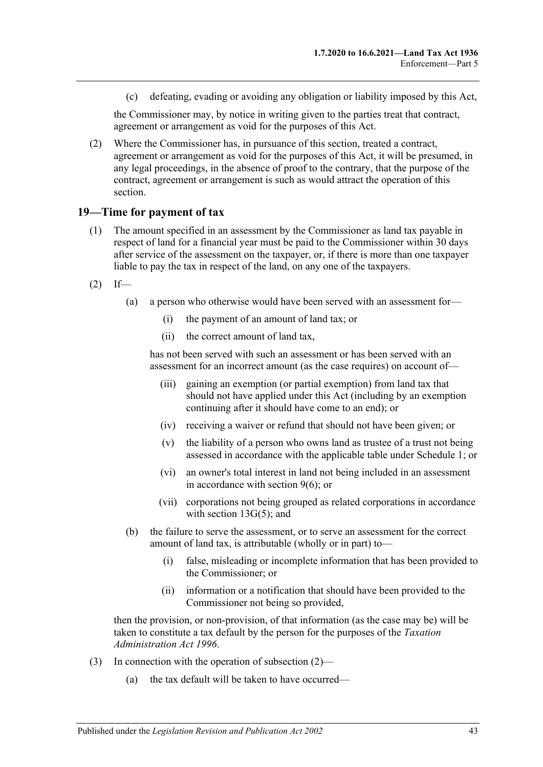(c) defeating, evading or avoiding any obligation or liability imposed by this Act,

the Commissioner may, by notice in writing given to the parties treat that contract, agreement or arrangement as void for the purposes of this Act.

(2) Where the Commissioner has, in pursuance of this section, treated a contract, agreement or arrangement as void for the purposes of this Act, it will be presumed, in any legal proceedings, in the absence of proof to the contrary, that the purpose of the contract, agreement or arrangement is such as would attract the operation of this section.

#### <span id="page-42-2"></span><span id="page-42-0"></span>**19—Time for payment of tax**

- (1) The amount specified in an assessment by the Commissioner as land tax payable in respect of land for a financial year must be paid to the Commissioner within 30 days after service of the assessment on the taxpayer, or, if there is more than one taxpayer liable to pay the tax in respect of the land, on any one of the taxpayers.
- $(2)$  If—
	- (a) a person who otherwise would have been served with an assessment for—
		- (i) the payment of an amount of land tax; or
		- (ii) the correct amount of land tax,

<span id="page-42-1"></span>has not been served with such an assessment or has been served with an assessment for an incorrect amount (as the case requires) on account of—

- (iii) gaining an exemption (or partial exemption) from land tax that should not have applied under this Act (including by an exemption continuing after it should have come to an end); or
- (iv) receiving a waiver or refund that should not have been given; or
- $(v)$  the liability of a person who owns land as trustee of a trust not being assessed in accordance with the applicable table under [Schedule](#page-45-1) 1; or
- (vi) an owner's total interest in land not being included in an assessment in accordance with [section](#page-27-4) 9(6); or
- (vii) corporations not being grouped as related corporations in accordance with [section](#page-38-1) 13G(5); and
- (b) the failure to serve the assessment, or to serve an assessment for the correct amount of land tax, is attributable (wholly or in part) to—
	- (i) false, misleading or incomplete information that has been provided to the Commissioner; or
	- (ii) information or a notification that should have been provided to the Commissioner not being so provided,

then the provision, or non-provision, of that information (as the case may be) will be taken to constitute a tax default by the person for the purposes of the *[Taxation](http://www.legislation.sa.gov.au/index.aspx?action=legref&type=act&legtitle=Taxation%20Administration%20Act%201996)  [Administration Act](http://www.legislation.sa.gov.au/index.aspx?action=legref&type=act&legtitle=Taxation%20Administration%20Act%201996) 1996*.

- (3) In connection with the operation of subsection (2)—
	- (a) the tax default will be taken to have occurred—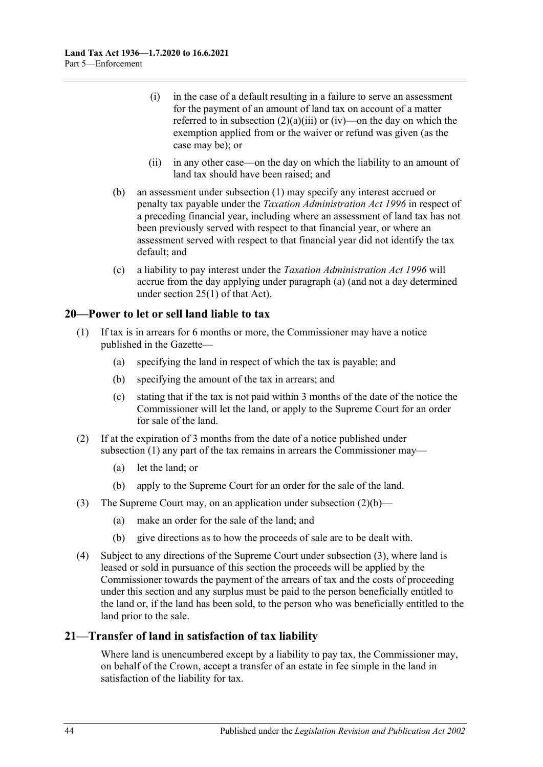- (i) in the case of a default resulting in a failure to serve an assessment for the payment of an amount of land tax on account of a matter referred to in [subsection](#page-42-1)  $(2)(a)(iii)$  or  $(iv)$ —on the day on which the exemption applied from or the waiver or refund was given (as the case may be); or
- (ii) in any other case—on the day on which the liability to an amount of land tax should have been raised; and
- (b) an assessment under [subsection](#page-42-2) (1) may specify any interest accrued or penalty tax payable under the *[Taxation Administration Act](http://www.legislation.sa.gov.au/index.aspx?action=legref&type=act&legtitle=Taxation%20Administration%20Act%201996) 1996* in respect of a preceding financial year, including where an assessment of land tax has not been previously served with respect to that financial year, or where an assessment served with respect to that financial year did not identify the tax default; and
- (c) a liability to pay interest under the *[Taxation Administration Act](http://www.legislation.sa.gov.au/index.aspx?action=legref&type=act&legtitle=Taxation%20Administration%20Act%201996) 1996* will accrue from the day applying under paragraph (a) (and not a day determined under section 25(1) of that Act).

#### <span id="page-43-2"></span><span id="page-43-0"></span>**20—Power to let or sell land liable to tax**

- (1) If tax is in arrears for 6 months or more, the Commissioner may have a notice published in the Gazette—
	- (a) specifying the land in respect of which the tax is payable; and
	- (b) specifying the amount of the tax in arrears; and
	- (c) stating that if the tax is not paid within 3 months of the date of the notice the Commissioner will let the land, or apply to the Supreme Court for an order for sale of the land.
- (2) If at the expiration of 3 months from the date of a notice published under [subsection](#page-43-2) (1) any part of the tax remains in arrears the Commissioner may—
	- (a) let the land; or
	- (b) apply to the Supreme Court for an order for the sale of the land.
- <span id="page-43-4"></span><span id="page-43-3"></span>(3) The Supreme Court may, on an application under [subsection](#page-43-3)  $(2)(b)$ —
	- (a) make an order for the sale of the land; and
	- (b) give directions as to how the proceeds of sale are to be dealt with.
- (4) Subject to any directions of the Supreme Court under [subsection](#page-43-4) (3), where land is leased or sold in pursuance of this section the proceeds will be applied by the Commissioner towards the payment of the arrears of tax and the costs of proceeding under this section and any surplus must be paid to the person beneficially entitled to the land or, if the land has been sold, to the person who was beneficially entitled to the land prior to the sale.

#### <span id="page-43-1"></span>**21—Transfer of land in satisfaction of tax liability**

Where land is unencumbered except by a liability to pay tax, the Commissioner may, on behalf of the Crown, accept a transfer of an estate in fee simple in the land in satisfaction of the liability for tax.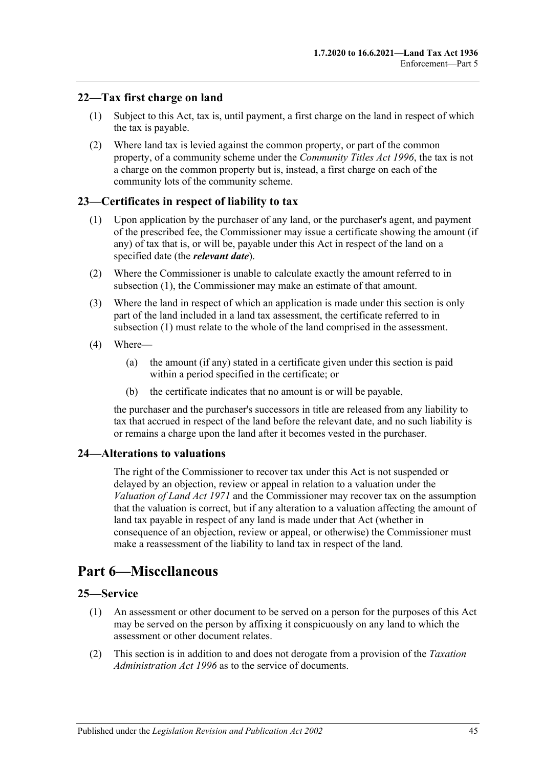#### <span id="page-44-0"></span>**22—Tax first charge on land**

- (1) Subject to this Act, tax is, until payment, a first charge on the land in respect of which the tax is payable.
- (2) Where land tax is levied against the common property, or part of the common property, of a community scheme under the *[Community Titles Act](http://www.legislation.sa.gov.au/index.aspx?action=legref&type=act&legtitle=Community%20Titles%20Act%201996) 1996*, the tax is not a charge on the common property but is, instead, a first charge on each of the community lots of the community scheme.

### <span id="page-44-5"></span><span id="page-44-1"></span>**23—Certificates in respect of liability to tax**

- (1) Upon application by the purchaser of any land, or the purchaser's agent, and payment of the prescribed fee, the Commissioner may issue a certificate showing the amount (if any) of tax that is, or will be, payable under this Act in respect of the land on a specified date (the *relevant date*).
- (2) Where the Commissioner is unable to calculate exactly the amount referred to in [subsection](#page-44-5) (1), the Commissioner may make an estimate of that amount.
- (3) Where the land in respect of which an application is made under this section is only part of the land included in a land tax assessment, the certificate referred to in [subsection](#page-44-5) (1) must relate to the whole of the land comprised in the assessment.
- (4) Where—
	- (a) the amount (if any) stated in a certificate given under this section is paid within a period specified in the certificate; or
	- (b) the certificate indicates that no amount is or will be payable,

the purchaser and the purchaser's successors in title are released from any liability to tax that accrued in respect of the land before the relevant date, and no such liability is or remains a charge upon the land after it becomes vested in the purchaser.

#### <span id="page-44-2"></span>**24—Alterations to valuations**

The right of the Commissioner to recover tax under this Act is not suspended or delayed by an objection, review or appeal in relation to a valuation under the *[Valuation of Land Act](http://www.legislation.sa.gov.au/index.aspx?action=legref&type=act&legtitle=Valuation%20of%20Land%20Act%201971) 1971* and the Commissioner may recover tax on the assumption that the valuation is correct, but if any alteration to a valuation affecting the amount of land tax payable in respect of any land is made under that Act (whether in consequence of an objection, review or appeal, or otherwise) the Commissioner must make a reassessment of the liability to land tax in respect of the land.

# <span id="page-44-3"></span>**Part 6—Miscellaneous**

#### <span id="page-44-4"></span>**25—Service**

- (1) An assessment or other document to be served on a person for the purposes of this Act may be served on the person by affixing it conspicuously on any land to which the assessment or other document relates.
- (2) This section is in addition to and does not derogate from a provision of the *[Taxation](http://www.legislation.sa.gov.au/index.aspx?action=legref&type=act&legtitle=Taxation%20Administration%20Act%201996)  [Administration Act](http://www.legislation.sa.gov.au/index.aspx?action=legref&type=act&legtitle=Taxation%20Administration%20Act%201996) 1996* as to the service of documents.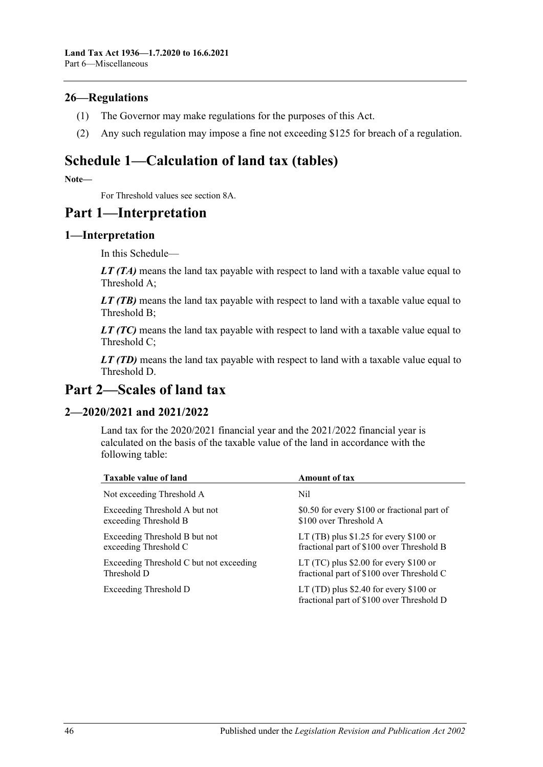#### <span id="page-45-0"></span>**26—Regulations**

- (1) The Governor may make regulations for the purposes of this Act.
- (2) Any such regulation may impose a fine not exceeding \$125 for breach of a regulation.

# <span id="page-45-1"></span>**Schedule 1—Calculation of land tax (tables)**

**Note—**

For Threshold values see [section](#page-23-5) 8A.

# **Part 1—Interpretation**

#### <span id="page-45-2"></span>**1—Interpretation**

In this Schedule—

*LT (TA)* means the land tax payable with respect to land with a taxable value equal to Threshold A;

*LT (TB)* means the land tax payable with respect to land with a taxable value equal to Threshold B;

*LT (TC)* means the land tax payable with respect to land with a taxable value equal to Threshold C;

*LT (TD)* means the land tax payable with respect to land with a taxable value equal to Threshold D.

# **Part 2—Scales of land tax**

## <span id="page-45-3"></span>**2—2020/2021 and 2021/2022**

Land tax for the 2020/2021 financial year and the 2021/2022 financial year is calculated on the basis of the taxable value of the land in accordance with the following table:

| Taxable value of land                   | <b>Amount of tax</b>                                                                  |
|-----------------------------------------|---------------------------------------------------------------------------------------|
| Not exceeding Threshold A               | Nil                                                                                   |
| Exceeding Threshold A but not           | \$0.50 for every \$100 or fractional part of                                          |
| exceeding Threshold B                   | \$100 over Threshold A                                                                |
| Exceeding Threshold B but not           | LT (TB) plus $$1.25$ for every $$100$ or                                              |
| exceeding Threshold C                   | fractional part of \$100 over Threshold B                                             |
| Exceeding Threshold C but not exceeding | LT (TC) plus $$2.00$ for every $$100$ or                                              |
| Threshold D                             | fractional part of \$100 over Threshold C                                             |
| <b>Exceeding Threshold D</b>            | LT (TD) plus $$2.40$ for every $$100$ or<br>fractional part of \$100 over Threshold D |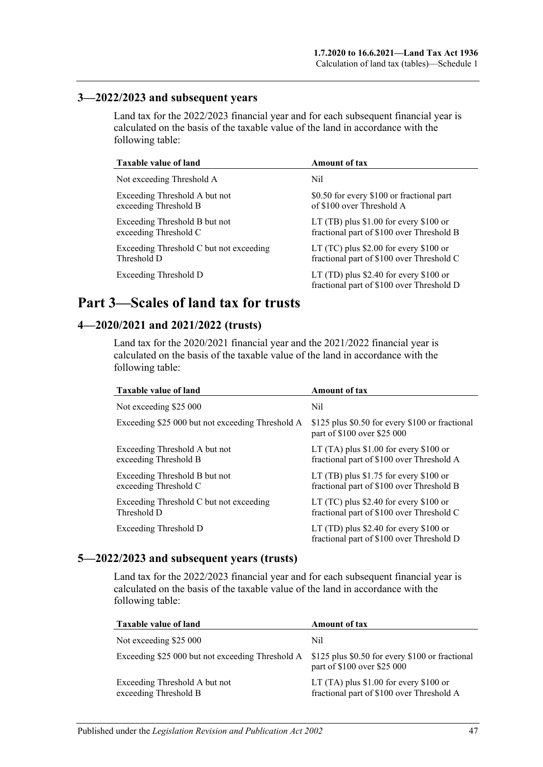#### <span id="page-46-0"></span>**3—2022/2023 and subsequent years**

Land tax for the 2022/2023 financial year and for each subsequent financial year is calculated on the basis of the taxable value of the land in accordance with the following table:

| <b>Taxable value of land</b>            | <b>Amount of tax</b>                                                                  |
|-----------------------------------------|---------------------------------------------------------------------------------------|
| Not exceeding Threshold A               | Nil                                                                                   |
| Exceeding Threshold A but not           | \$0.50 for every \$100 or fractional part                                             |
| exceeding Threshold B                   | of \$100 over Threshold A                                                             |
| Exceeding Threshold B but not           | LT (TB) plus $$1.00$ for every $$100$ or                                              |
| exceeding Threshold C                   | fractional part of \$100 over Threshold B                                             |
| Exceeding Threshold C but not exceeding | LT (TC) plus $$2.00$ for every $$100$ or                                              |
| Threshold D                             | fractional part of \$100 over Threshold C                                             |
| Exceeding Threshold D                   | LT (TD) plus $$2.40$ for every $$100$ or<br>fractional part of \$100 over Threshold D |

# **Part 3—Scales of land tax for trusts**

## <span id="page-46-1"></span>**4—2020/2021 and 2021/2022 (trusts)**

Land tax for the 2020/2021 financial year and the 2021/2022 financial year is calculated on the basis of the taxable value of the land in accordance with the following table:

| <b>Taxable value of land</b>                           | <b>Amount of tax</b>                                                                  |
|--------------------------------------------------------|---------------------------------------------------------------------------------------|
| Not exceeding \$25 000                                 | Nil                                                                                   |
| Exceeding \$25 000 but not exceeding Threshold A       | \$125 plus \$0.50 for every \$100 or fractional<br>part of \$100 over \$25 000        |
| Exceeding Threshold A but not<br>exceeding Threshold B | LT $(TA)$ plus \$1.00 for every \$100 or<br>fractional part of \$100 over Threshold A |
| Exceeding Threshold B but not<br>exceeding Threshold C | LT (TB) plus $$1.75$ for every $$100$ or<br>fractional part of \$100 over Threshold B |
| Exceeding Threshold C but not exceeding<br>Threshold D | LT (TC) plus $$2.40$ for every $$100$ or<br>fractional part of \$100 over Threshold C |
| Exceeding Threshold D                                  | LT (TD) plus $$2.40$ for every $$100$ or<br>fractional part of \$100 over Threshold D |

## <span id="page-46-2"></span>**5—2022/2023 and subsequent years (trusts)**

Land tax for the 2022/2023 financial year and for each subsequent financial year is calculated on the basis of the taxable value of the land in accordance with the following table:

| <b>Taxable value of land</b>                           | <b>Amount of tax</b>                                                                  |
|--------------------------------------------------------|---------------------------------------------------------------------------------------|
| Not exceeding \$25 000                                 | Nil                                                                                   |
| Exceeding \$25,000 but not exceeding Threshold A       | \$125 plus \$0.50 for every \$100 or fractional<br>part of \$100 over \$25 000        |
| Exceeding Threshold A but not<br>exceeding Threshold B | LT $(TA)$ plus \$1.00 for every \$100 or<br>fractional part of \$100 over Threshold A |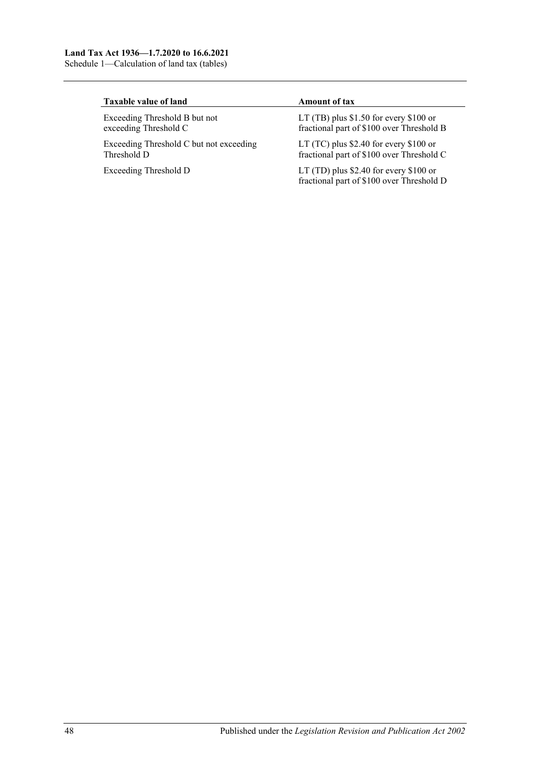| <b>Taxable value of land</b>            | <b>Amount of tax</b>                                                                  |
|-----------------------------------------|---------------------------------------------------------------------------------------|
| Exceeding Threshold B but not           | LT (TB) plus $$1.50$ for every $$100$ or                                              |
| exceeding Threshold C                   | fractional part of \$100 over Threshold B                                             |
| Exceeding Threshold C but not exceeding | LT (TC) plus $$2.40$ for every $$100$ or                                              |
| Threshold D                             | fractional part of \$100 over Threshold C                                             |
| Exceeding Threshold D                   | LT (TD) plus $$2.40$ for every $$100$ or<br>fractional part of \$100 over Threshold D |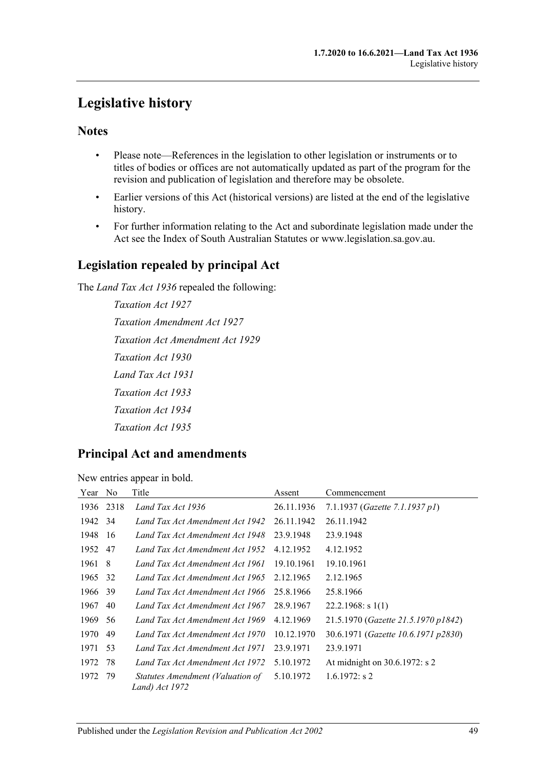# <span id="page-48-0"></span>**Legislative history**

### **Notes**

- Please note—References in the legislation to other legislation or instruments or to titles of bodies or offices are not automatically updated as part of the program for the revision and publication of legislation and therefore may be obsolete.
- Earlier versions of this Act (historical versions) are listed at the end of the legislative history.
- For further information relating to the Act and subordinate legislation made under the Act see the Index of South Australian Statutes or www.legislation.sa.gov.au.

## **Legislation repealed by principal Act**

The *Land Tax Act 1936* repealed the following:

*Taxation Act 1927 Taxation Amendment Act 1927 Taxation Act Amendment Act 1929 Taxation Act 1930 Land Tax Act 1931 Taxation Act 1933 Taxation Act 1934 Taxation Act 1935*

# **Principal Act and amendments**

New entries appear in bold.

| Year No |           | Title                                              | Assent     | Commencement                        |
|---------|-----------|----------------------------------------------------|------------|-------------------------------------|
|         | 1936 2318 | Land Tax Act 1936                                  | 26.11.1936 | 7.1.1937 (Gazette 7.1.1937 p1)      |
| 1942    | -34       | Land Tax Act Amendment Act 1942                    | 26.11.1942 | 26.11.1942                          |
| 1948    | -16       | Land Tax Act Amendment Act 1948                    | 23.9.1948  | 23.9.1948                           |
| 1952    | 47        | Land Tax Act Amendment Act 1952                    | 4.12.1952  | 4.12.1952                           |
| 1961    | -8        | Land Tax Act Amendment Act 1961                    | 19.10.1961 | 19.10.1961                          |
| 1965    | 32        | Land Tax Act Amendment Act 1965                    | 2.12.1965  | 2.12.1965                           |
| 1966    | 39        | Land Tax Act Amendment Act 1966                    | 25.8.1966  | 25.8.1966                           |
| 1967    | 40        | Land Tax Act Amendment Act 1967                    | 28.9.1967  | $22.2.1968$ : s 1(1)                |
| 1969    | 56        | Land Tax Act Amendment Act 1969                    | 4.12.1969  | 21.5.1970 (Gazette 21.5.1970 p1842) |
| 1970    | 49        | Land Tax Act Amendment Act 1970                    | 10.12.1970 | 30.6.1971 (Gazette 10.6.1971 p2830) |
| 1971    | 53        | Land Tax Act Amendment Act 1971                    | 23.9.1971  | 23.9.1971                           |
| 1972    | 78        | Land Tax Act Amendment Act 1972                    | 5.10.1972  | At midnight on 30.6.1972: s 2       |
| 1972    | 79        | Statutes Amendment (Valuation of<br>Land) Act 1972 | 5.10.1972  | $1.6.1972$ : s 2                    |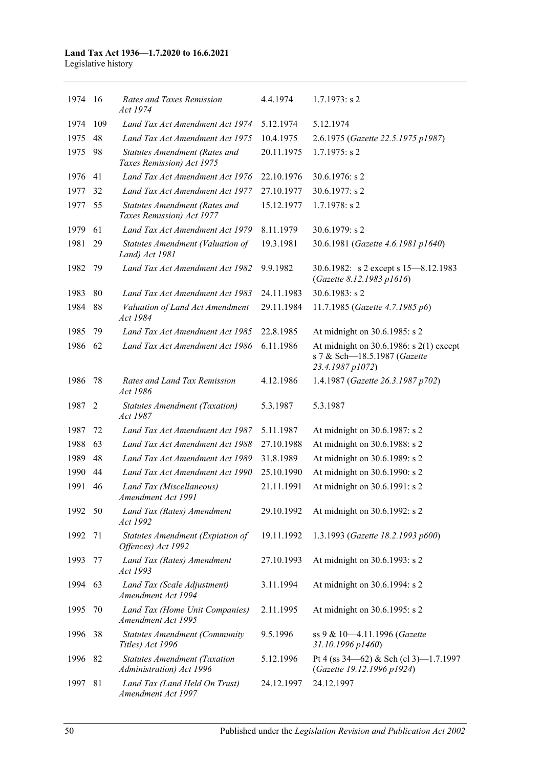| 1974 | -16 | Rates and Taxes Remission<br>Act 1974                           | 4.4.1974   | $1.7.1973$ : s 2                                                                                 |
|------|-----|-----------------------------------------------------------------|------------|--------------------------------------------------------------------------------------------------|
| 1974 | 109 | Land Tax Act Amendment Act 1974                                 | 5.12.1974  | 5.12.1974                                                                                        |
| 1975 | 48  | Land Tax Act Amendment Act 1975                                 | 10.4.1975  | 2.6.1975 (Gazette 22.5.1975 p1987)                                                               |
| 1975 | 98  | Statutes Amendment (Rates and<br>Taxes Remission) Act 1975      | 20.11.1975 | $1.7.1975$ : s 2                                                                                 |
| 1976 | 41  | Land Tax Act Amendment Act 1976                                 | 22.10.1976 | $30.6.1976$ : s 2                                                                                |
| 1977 | 32  | Land Tax Act Amendment Act 1977                                 | 27.10.1977 | 30.6.1977: s2                                                                                    |
| 1977 | 55  | Statutes Amendment (Rates and<br>Taxes Remission) Act 1977      | 15.12.1977 | $1.7.1978$ : s 2                                                                                 |
| 1979 | 61  | Land Tax Act Amendment Act 1979                                 | 8.11.1979  | $30.6.1979$ : s 2                                                                                |
| 1981 | 29  | Statutes Amendment (Valuation of<br>Land) Act 1981              | 19.3.1981  | 30.6.1981 (Gazette 4.6.1981 p1640)                                                               |
| 1982 | 79  | Land Tax Act Amendment Act 1982                                 | 9.9.1982   | 30.6.1982: s 2 except s 15-8.12.1983<br>(Gazette 8.12.1983 p1616)                                |
| 1983 | 80  | Land Tax Act Amendment Act 1983                                 | 24.11.1983 | $30.6.1983$ : s 2                                                                                |
| 1984 | 88  | Valuation of Land Act Amendment<br>Act 1984                     | 29.11.1984 | 11.7.1985 (Gazette 4.7.1985 p6)                                                                  |
| 1985 | 79  | Land Tax Act Amendment Act 1985                                 | 22.8.1985  | At midnight on 30.6.1985: s 2                                                                    |
| 1986 | 62  | Land Tax Act Amendment Act 1986                                 | 6.11.1986  | At midnight on $30.6.1986$ : s $2(1)$ except<br>s 7 & Sch-18.5.1987 (Gazette<br>23.4.1987 p1072) |
| 1986 | 78  | Rates and Land Tax Remission<br>Act 1986                        | 4.12.1986  | 1.4.1987 (Gazette 26.3.1987 p702)                                                                |
| 1987 | 2   | <b>Statutes Amendment (Taxation)</b><br>Act 1987                | 5.3.1987   | 5.3.1987                                                                                         |
| 1987 | 72  | Land Tax Act Amendment Act 1987                                 | 5.11.1987  | At midnight on 30.6.1987: s 2                                                                    |
| 1988 | 63  | Land Tax Act Amendment Act 1988                                 | 27.10.1988 | At midnight on 30.6.1988: s 2                                                                    |
| 1989 | 48  | Land Tax Act Amendment Act 1989                                 | 31.8.1989  | At midnight on 30.6.1989: s 2                                                                    |
| 1990 | 44  | Land Tax Act Amendment Act 1990                                 | 25.10.1990 | At midnight on 30.6.1990: s 2                                                                    |
| 1991 | 46  | Land Tax (Miscellaneous)<br>Amendment Act 1991                  | 21.11.1991 | At midnight on 30.6.1991: s 2                                                                    |
| 1992 | 50  | Land Tax (Rates) Amendment<br>Act 1992                          | 29.10.1992 | At midnight on 30.6.1992: s 2                                                                    |
| 1992 | 71  | Statutes Amendment (Expiation of<br>Offences) Act 1992          | 19.11.1992 | 1.3.1993 (Gazette 18.2.1993 p600)                                                                |
| 1993 | 77  | Land Tax (Rates) Amendment<br>Act 1993                          | 27.10.1993 | At midnight on 30.6.1993: s 2                                                                    |
| 1994 | 63  | Land Tax (Scale Adjustment)<br>Amendment Act 1994               | 3.11.1994  | At midnight on 30.6.1994: s 2                                                                    |
| 1995 | 70  | Land Tax (Home Unit Companies)<br>Amendment Act 1995            | 2.11.1995  | At midnight on 30.6.1995: s 2                                                                    |
| 1996 | 38  | <b>Statutes Amendment (Community</b><br>Titles) Act 1996        | 9.5.1996   | ss 9 & 10-4.11.1996 (Gazette<br>31.10.1996 p1460)                                                |
| 1996 | 82  | <b>Statutes Amendment (Taxation</b><br>Administration) Act 1996 | 5.12.1996  | Pt 4 (ss $34-62$ ) & Sch (cl 3)-1.7.1997<br>(Gazette 19.12.1996 p1924)                           |
| 1997 | 81  | Land Tax (Land Held On Trust)<br>Amendment Act 1997             | 24.12.1997 | 24.12.1997                                                                                       |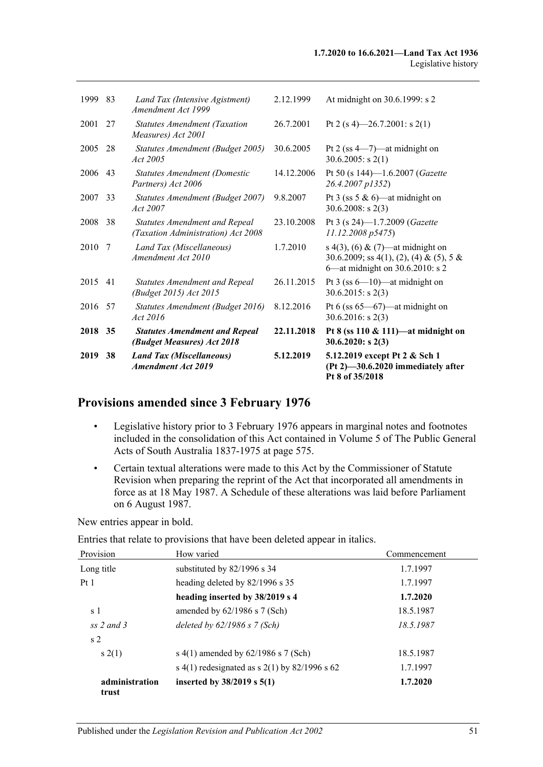| 2019    | 38 | <b>Land Tax (Miscellaneous)</b><br><b>Amendment Act 2019</b>               | 5.12.2019  | 5.12.2019 except Pt 2 & Sch 1<br>$(Pt 2)$ —30.6.2020 immediately after<br>Pt 8 of 35/2018                      |
|---------|----|----------------------------------------------------------------------------|------------|----------------------------------------------------------------------------------------------------------------|
| 2018    | 35 | <b>Statutes Amendment and Repeal</b><br>(Budget Measures) Act 2018         | 22.11.2018 | Pt $8$ (ss 110 $\&$ 111)—at midnight on<br>30.6.2020: $s$ 2(3)                                                 |
| 2016    | 57 | Statutes Amendment (Budget 2016)<br>Act 2016                               | 8.12.2016  | Pt 6 (ss $65-67$ )—at midnight on<br>$30.6.2016$ : s $2(3)$                                                    |
| 2015 41 |    | Statutes Amendment and Repeal<br>(Budget 2015) Act 2015                    | 26.11.2015 | Pt 3 (ss $6-10$ )—at midnight on<br>$30.6.2015$ : s 2(3)                                                       |
| 2010    | -7 | Land Tax (Miscellaneous)<br>Amendment Act 2010                             | 1.7.2010   | s 4(3), (6) & (7)—at midnight on<br>30.6.2009; ss 4(1), (2), (4) & (5), 5 &<br>6-at midnight on 30.6.2010: s 2 |
| 2008    | 38 | <b>Statutes Amendment and Repeal</b><br>(Taxation Administration) Act 2008 | 23.10.2008 | Pt 3 (s $24$ )-1.7.2009 ( <i>Gazette</i><br>11.12.2008 p5475                                                   |
| 2007    | 33 | Statutes Amendment (Budget 2007)<br>Act 2007                               | 9.8.2007   | Pt 3 (ss 5 & 6)—at midnight on<br>30.6.2008: $s$ 2(3)                                                          |
| 2006    | 43 | <b>Statutes Amendment (Domestic</b><br>Partners) Act 2006                  | 14.12.2006 | Pt 50 (s 144)-1.6.2007 (Gazette<br>26.4.2007 p1352)                                                            |
| 2005    | 28 | Statutes Amendment (Budget 2005)<br>Act 2005                               | 30.6.2005  | Pt 2 (ss $4-7$ )—at midnight on<br>30.6.2005: $s$ 2(1)                                                         |
| 2001    | 27 | <b>Statutes Amendment (Taxation</b><br>Measures) Act 2001                  | 26.7.2001  | Pt 2 (s 4)—26.7.2001: s 2(1)                                                                                   |
| 1999    | 83 | Land Tax (Intensive Agistment)<br>Amendment Act 1999                       | 2.12.1999  | At midnight on 30.6.1999: s 2                                                                                  |
|         |    |                                                                            |            |                                                                                                                |

## **Provisions amended since 3 February 1976**

- Legislative history prior to 3 February 1976 appears in marginal notes and footnotes included in the consolidation of this Act contained in Volume 5 of The Public General Acts of South Australia 1837-1975 at page 575.
- Certain textual alterations were made to this Act by the Commissioner of Statute Revision when preparing the reprint of the Act that incorporated all amendments in force as at 18 May 1987. A Schedule of these alterations was laid before Parliament on 6 August 1987.

New entries appear in bold.

Entries that relate to provisions that have been deleted appear in italics.

| Provision               | How varied                                    | Commencement |
|-------------------------|-----------------------------------------------|--------------|
| Long title              | substituted by 82/1996 s 34                   | 1.7.1997     |
| Pt <sub>1</sub>         | heading deleted by 82/1996 s 35               | 1.7.1997     |
|                         | heading inserted by 38/2019 s 4               | 1.7.2020     |
| s 1                     | amended by $62/1986$ s 7 (Sch)                | 18.5.1987    |
| ss 2 and 3              | deleted by $62/1986$ s 7 (Sch)                | 18.5.1987    |
| s <sub>2</sub>          |                                               |              |
| s(2(1))                 | s 4(1) amended by $62/1986$ s 7 (Sch)         | 18.5.1987    |
|                         | s 4(1) redesignated as s 2(1) by 82/1996 s 62 | 1.7.1997     |
| administration<br>trust | inserted by $38/2019$ s $5(1)$                | 1.7.2020     |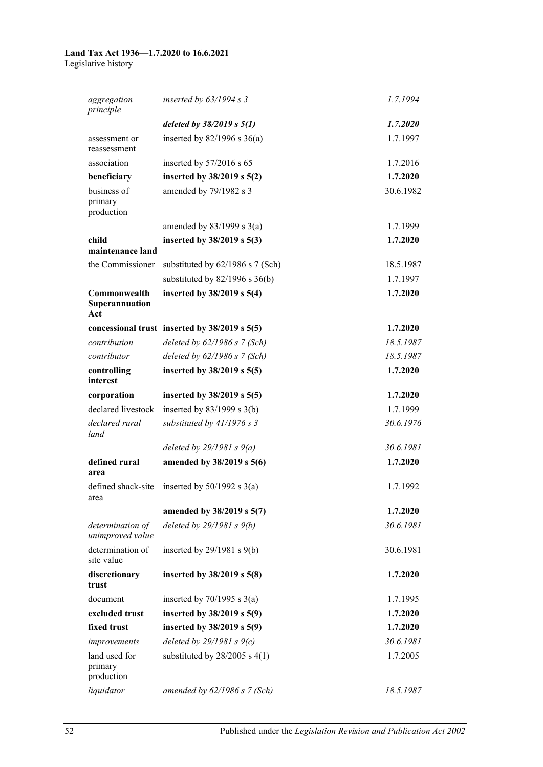| aggregation<br>principle               | inserted by $63/1994 s 3$                     | 1.7.1994  |
|----------------------------------------|-----------------------------------------------|-----------|
|                                        | deleted by $38/2019$ s $5(1)$                 | 1.7.2020  |
| assessment or<br>reassessment          | inserted by $82/1996$ s $36(a)$               | 1.7.1997  |
| association                            | inserted by $57/2016$ s 65                    | 1.7.2016  |
| beneficiary                            | inserted by $38/2019$ s $5(2)$                | 1.7.2020  |
| business of<br>primary<br>production   | amended by 79/1982 s 3                        | 30.6.1982 |
|                                        | amended by $83/1999$ s $3(a)$                 | 1.7.1999  |
| child<br>maintenance land              | inserted by $38/2019$ s $5(3)$                | 1.7.2020  |
| the Commissioner                       | substituted by 62/1986 s 7 (Sch)              | 18.5.1987 |
|                                        | substituted by $82/1996$ s $36(b)$            | 1.7.1997  |
| Commonwealth<br>Superannuation<br>Act  | inserted by $38/2019$ s $5(4)$                | 1.7.2020  |
|                                        | concessional trust inserted by 38/2019 s 5(5) | 1.7.2020  |
| contribution                           | deleted by $62/1986$ s 7 (Sch)                | 18.5.1987 |
| contributor                            | deleted by $62/1986$ s 7 (Sch)                | 18.5.1987 |
| controlling<br>interest                | inserted by $38/2019$ s $5(5)$                | 1.7.2020  |
| corporation                            | inserted by $38/2019$ s $5(5)$                | 1.7.2020  |
| declared livestock                     | inserted by $83/1999$ s $3(b)$                | 1.7.1999  |
| declared rural<br>land                 | substituted by $41/1976 s 3$                  | 30.6.1976 |
|                                        | deleted by $29/1981 s 9(a)$                   | 30.6.1981 |
| defined rural<br>area                  | amended by 38/2019 s 5(6)                     | 1.7.2020  |
| defined shack-site<br>area             | inserted by $50/1992$ s $3(a)$                | 1.7.1992  |
|                                        | amended by 38/2019 s 5(7)                     | 1.7.2020  |
| determination of<br>unimproved value   | deleted by $29/1981 s 9(b)$                   | 30.6.1981 |
| determination of<br>site value         | inserted by $29/1981$ s $9(b)$                | 30.6.1981 |
| discretionary<br>trust                 | inserted by 38/2019 s 5(8)                    | 1.7.2020  |
| document                               | inserted by $70/1995$ s $3(a)$                | 1.7.1995  |
| excluded trust                         | inserted by 38/2019 s 5(9)                    | 1.7.2020  |
| fixed trust                            | inserted by 38/2019 s 5(9)                    | 1.7.2020  |
| improvements                           | deleted by $29/1981 s$ 9(c)                   | 30.6.1981 |
| land used for<br>primary<br>production | substituted by $28/2005$ s 4(1)               | 1.7.2005  |
| liquidator                             | amended by $62/1986$ s 7 (Sch)                | 18.5.1987 |
|                                        |                                               |           |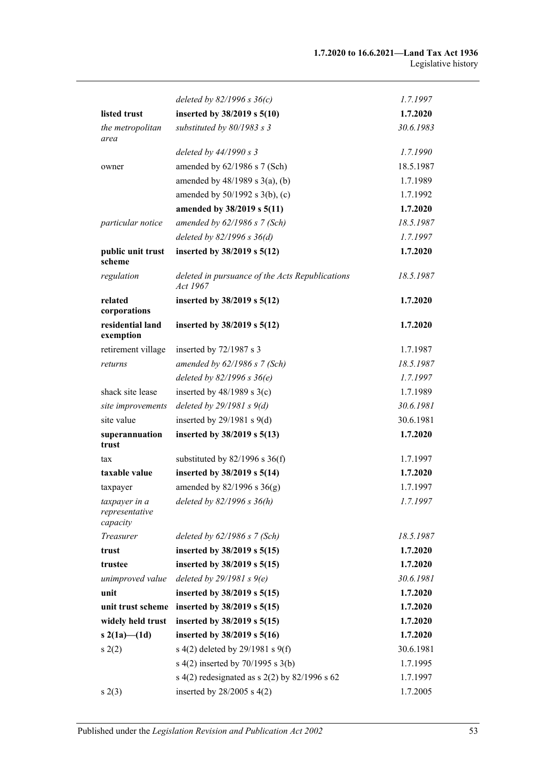|                                             | deleted by $82/1996 s 36(c)$                                | 1.7.1997  |
|---------------------------------------------|-------------------------------------------------------------|-----------|
| listed trust                                | inserted by 38/2019 s 5(10)                                 | 1.7.2020  |
| the metropolitan<br>area                    | substituted by $80/1983$ s 3                                | 30.6.1983 |
|                                             | deleted by $44/1990 s3$                                     | 1.7.1990  |
| owner                                       | amended by $62/1986$ s 7 (Sch)                              | 18.5.1987 |
|                                             | amended by $48/1989$ s $3(a)$ , (b)                         | 1.7.1989  |
|                                             | amended by $50/1992$ s $3(b)$ , (c)                         | 1.7.1992  |
|                                             | amended by 38/2019 s 5(11)                                  | 1.7.2020  |
| particular notice                           | amended by $62/1986$ s 7 (Sch)                              | 18.5.1987 |
|                                             | deleted by $82/1996 s 36(d)$                                | 1.7.1997  |
| public unit trust<br>scheme                 | inserted by 38/2019 s 5(12)                                 | 1.7.2020  |
| regulation                                  | deleted in pursuance of the Acts Republications<br>Act 1967 | 18.5.1987 |
| related<br>corporations                     | inserted by 38/2019 s 5(12)                                 | 1.7.2020  |
| residential land<br>exemption               | inserted by $38/2019$ s $5(12)$                             | 1.7.2020  |
| retirement village                          | inserted by 72/1987 s 3                                     | 1.7.1987  |
| returns                                     | amended by $62/1986$ s 7 (Sch)                              | 18.5.1987 |
|                                             | deleted by 82/1996 s 36(e)                                  | 1.7.1997  |
| shack site lease                            | inserted by $48/1989$ s $3(c)$                              | 1.7.1989  |
| site improvements                           | deleted by $29/1981 s 9(d)$                                 | 30.6.1981 |
| site value                                  | inserted by $29/1981$ s $9(d)$                              | 30.6.1981 |
| superannuation<br>trust                     | inserted by 38/2019 s 5(13)                                 | 1.7.2020  |
| tax                                         | substituted by $82/1996$ s $36(f)$                          | 1.7.1997  |
| taxable value                               | inserted by $38/2019$ s $5(14)$                             | 1.7.2020  |
| taxpayer                                    | amended by $82/1996$ s $36(g)$                              | 1.7.1997  |
| taxpayer in a<br>representative<br>capacity | deleted by 82/1996 s 36(h)                                  | 1.7.1997  |
| Treasurer                                   | deleted by $62/1986 s$ 7 (Sch)                              | 18.5.1987 |
| trust                                       | inserted by 38/2019 s 5(15)                                 | 1.7.2020  |
| trustee                                     | inserted by 38/2019 s 5(15)                                 | 1.7.2020  |
| unimproved value                            | deleted by $29/1981 s$ 9(e)                                 | 30.6.1981 |
| unit                                        | inserted by $38/2019$ s $5(15)$                             | 1.7.2020  |
| unit trust scheme                           | inserted by 38/2019 s 5(15)                                 | 1.7.2020  |
| widely held trust                           | inserted by 38/2019 s 5(15)                                 | 1.7.2020  |
| s 2(1a)—(1d)                                | inserted by 38/2019 s 5(16)                                 | 1.7.2020  |
| s(2)                                        | s 4(2) deleted by 29/1981 s 9(f)                            | 30.6.1981 |
|                                             | s 4(2) inserted by 70/1995 s 3(b)                           | 1.7.1995  |
|                                             | s 4(2) redesignated as s 2(2) by 82/1996 s 62               | 1.7.1997  |
| s(2(3))                                     | inserted by $28/2005$ s $4(2)$                              | 1.7.2005  |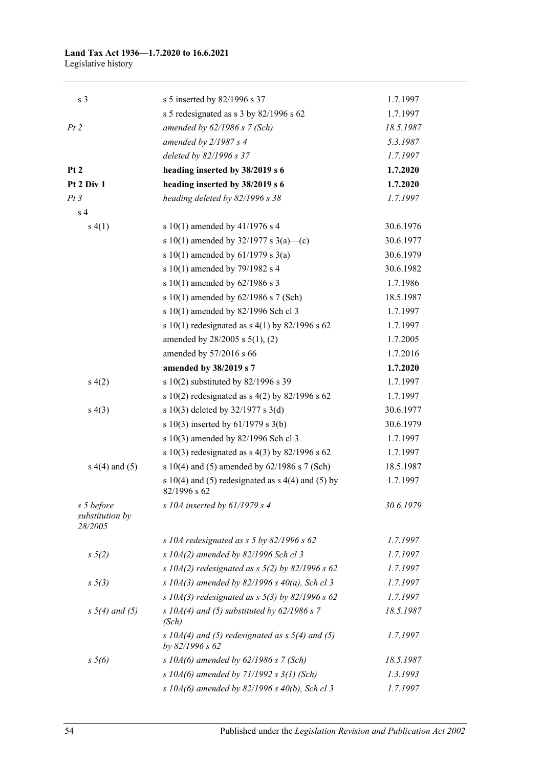| s <sub>3</sub>                           | s 5 inserted by 82/1996 s 37                                           | 1.7.1997  |
|------------------------------------------|------------------------------------------------------------------------|-----------|
|                                          | s 5 redesignated as s 3 by 82/1996 s 62                                | 1.7.1997  |
| Pt2                                      | amended by $62/1986$ s 7 (Sch)                                         | 18.5.1987 |
|                                          | amended by $2/1987 s 4$                                                | 5.3.1987  |
|                                          | deleted by 82/1996 s 37                                                | 1.7.1997  |
| Pt2                                      | heading inserted by 38/2019 s 6                                        | 1.7.2020  |
| Pt 2 Div 1                               | heading inserted by 38/2019 s 6                                        | 1.7.2020  |
| Pt3                                      | heading deleted by 82/1996 s 38                                        | 1.7.1997  |
| s <sub>4</sub>                           |                                                                        |           |
| s(4(1))                                  | s 10(1) amended by $41/1976$ s 4                                       | 30.6.1976 |
|                                          | s 10(1) amended by 32/1977 s 3(a)—(c)                                  | 30.6.1977 |
|                                          | s 10(1) amended by 61/1979 s 3(a)                                      | 30.6.1979 |
|                                          | s 10(1) amended by 79/1982 s 4                                         | 30.6.1982 |
|                                          | s 10(1) amended by $62/1986$ s 3                                       | 1.7.1986  |
|                                          | s $10(1)$ amended by $62/1986$ s 7 (Sch)                               | 18.5.1987 |
|                                          | s 10(1) amended by 82/1996 Sch cl 3                                    | 1.7.1997  |
|                                          | s 10(1) redesignated as $s$ 4(1) by 82/1996 s 62                       | 1.7.1997  |
|                                          | amended by 28/2005 s 5(1), (2)                                         | 1.7.2005  |
|                                          | amended by 57/2016 s 66                                                | 1.7.2016  |
|                                          | amended by 38/2019 s 7                                                 | 1.7.2020  |
| s(4(2)                                   | s 10(2) substituted by $82/1996$ s 39                                  | 1.7.1997  |
|                                          | s 10(2) redesignated as $s$ 4(2) by 82/1996 s 62                       | 1.7.1997  |
| s(4(3))                                  | s $10(3)$ deleted by $32/1977$ s $3(d)$                                | 30.6.1977 |
|                                          | s 10(3) inserted by $61/1979$ s 3(b)                                   | 30.6.1979 |
|                                          | s 10(3) amended by 82/1996 Sch cl 3                                    | 1.7.1997  |
|                                          | s 10(3) redesignated as $s$ 4(3) by 82/1996 s 62                       | 1.7.1997  |
| $s(4)$ and $(5)$                         | s 10(4) and (5) amended by 62/1986 s 7 (Sch)                           | 18.5.1987 |
|                                          | s 10(4) and (5) redesignated as $s$ 4(4) and (5) by<br>82/1996 s 62    | 1.7.1997  |
| s 5 before<br>substitution by<br>28/2005 | s 10A inserted by $61/1979$ s 4                                        | 30.6.1979 |
|                                          | s 10A redesignated as s 5 by 82/1996 s 62                              | 1.7.1997  |
| $s \frac{5(2)}{2}$                       | s $10A(2)$ amended by 82/1996 Sch cl 3                                 | 1.7.1997  |
|                                          | s 10A(2) redesignated as s $5(2)$ by 82/1996 s 62                      | 1.7.1997  |
| $s \; 5(3)$                              | s 10A(3) amended by 82/1996 s 40(a), Sch cl 3                          | 1.7.1997  |
|                                          | s 10A(3) redesignated as s $5(3)$ by 82/1996 s 62                      | 1.7.1997  |
| $s \, 5(4)$ and (5)                      | s $10A(4)$ and (5) substituted by 62/1986 s 7<br>(Sch)                 | 18.5.1987 |
|                                          | s $10A(4)$ and (5) redesignated as s $5(4)$ and (5)<br>by 82/1996 s 62 | 1.7.1997  |
| $s \, 5(6)$                              | s $10A(6)$ amended by $62/1986$ s 7 (Sch)                              | 18.5.1987 |
|                                          | s $10A(6)$ amended by $71/1992$ s $3(1)$ (Sch)                         | 1.3.1993  |
|                                          | s 10A(6) amended by 82/1996 s 40(b), Sch cl 3                          | 1.7.1997  |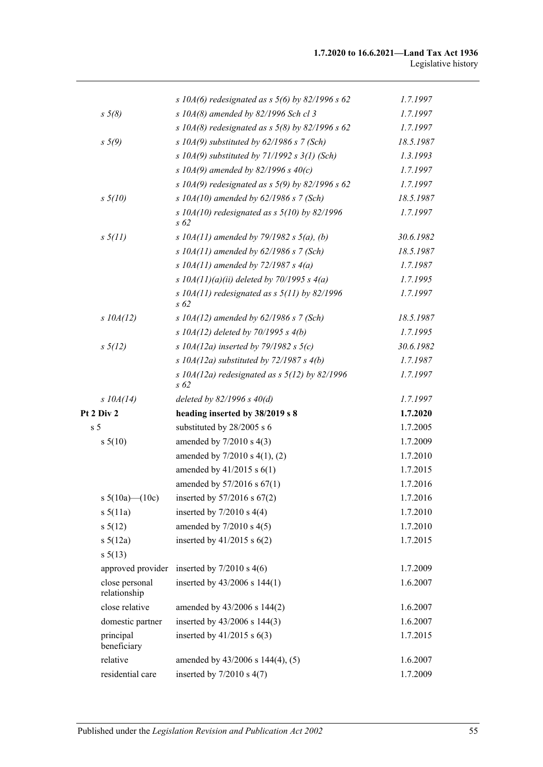|                                | s 10A(6) redesignated as s $5(6)$ by 82/1996 s 62           | 1.7.1997  |
|--------------------------------|-------------------------------------------------------------|-----------|
| $s \, 5(8)$                    | s $10A(8)$ amended by 82/1996 Sch cl 3                      | 1.7.1997  |
|                                | s 10A(8) redesignated as s $5(8)$ by 82/1996 s 62           | 1.7.1997  |
| $s \, 5(9)$                    | s $10A(9)$ substituted by 62/1986 s 7 (Sch)                 | 18.5.1987 |
|                                | s $10A(9)$ substituted by $71/1992$ s $3(1)$ (Sch)          | 1.3.1993  |
|                                | s 10A(9) amended by 82/1996 s 40(c)                         | 1.7.1997  |
|                                | s 10A(9) redesignated as s $5(9)$ by 82/1996 s 62           | 1.7.1997  |
| $s \frac{5}{10}$               | s $10A(10)$ amended by 62/1986 s 7 (Sch)                    | 18.5.1987 |
|                                | s $10A(10)$ redesignated as s $5(10)$ by 82/1996<br>$s\,62$ | 1.7.1997  |
| $s \frac{5}{11}$               | s $10A(11)$ amended by 79/1982 s $5(a)$ , (b)               | 30.6.1982 |
|                                | s $10A(11)$ amended by $62/1986$ s 7 (Sch)                  | 18.5.1987 |
|                                | s $10A(11)$ amended by 72/1987 s $4(a)$                     | 1.7.1987  |
|                                | s $10A(11)(a)(ii)$ deleted by 70/1995 s 4(a)                | 1.7.1995  |
|                                | s $10A(11)$ redesignated as s $5(11)$ by 82/1996<br>s 62    | 1.7.1997  |
| $s$ 10A(12)                    | s $10A(12)$ amended by 62/1986 s 7 (Sch)                    | 18.5.1987 |
|                                | s $10A(12)$ deleted by $70/1995$ s $4(b)$                   | 1.7.1995  |
| $s \frac{5(12)}{2}$            | s 10A(12a) inserted by 79/1982 s $5(c)$                     | 30.6.1982 |
|                                | s $10A(12a)$ substituted by 72/1987 s 4(b)                  | 1.7.1987  |
|                                | s 10A(12a) redesignated as s $5(12)$ by 82/1996<br>$s\,62$  | 1.7.1997  |
| $s$ 10A(14)                    | deleted by $82/1996 s 40(d)$                                | 1.7.1997  |
| Pt 2 Div 2                     | heading inserted by 38/2019 s 8                             | 1.7.2020  |
| s <sub>5</sub>                 | substituted by 28/2005 s 6                                  | 1.7.2005  |
| $s\ 5(10)$                     | amended by $7/2010$ s $4(3)$                                | 1.7.2009  |
|                                | amended by $7/2010$ s $4(1)$ , (2)                          | 1.7.2010  |
|                                | amended by $41/2015$ s $6(1)$                               | 1.7.2015  |
|                                | amended by 57/2016 s 67(1)                                  | 1.7.2016  |
| s $5(10a)$ (10c)               | inserted by $57/2016$ s $67(2)$                             | 1.7.2016  |
| $s\,5(11a)$                    | inserted by $7/2010$ s $4(4)$                               | 1.7.2010  |
| $s\,5(12)$                     | amended by $7/2010$ s $4(5)$                                | 1.7.2010  |
| $s\ 5(12a)$                    | inserted by $41/2015$ s $6(2)$                              | 1.7.2015  |
| $s\ 5(13)$                     |                                                             |           |
| approved provider              | inserted by $7/2010$ s $4(6)$                               | 1.7.2009  |
| close personal<br>relationship | inserted by 43/2006 s 144(1)                                | 1.6.2007  |
| close relative                 | amended by 43/2006 s 144(2)                                 | 1.6.2007  |
| domestic partner               | inserted by 43/2006 s 144(3)                                | 1.6.2007  |
| principal<br>beneficiary       | inserted by $41/2015$ s $6(3)$                              | 1.7.2015  |
| relative                       | amended by 43/2006 s 144(4), (5)                            | 1.6.2007  |
| residential care               | inserted by $7/2010$ s $4(7)$                               | 1.7.2009  |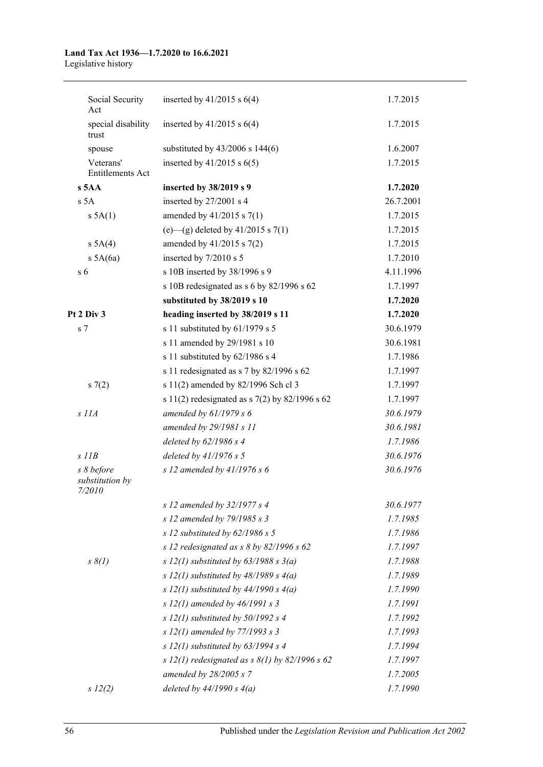| Social Security<br>Act                  | inserted by $41/2015$ s $6(4)$                     | 1.7.2015  |
|-----------------------------------------|----------------------------------------------------|-----------|
| special disability<br>trust             | inserted by $41/2015$ s $6(4)$                     | 1.7.2015  |
| spouse                                  | substituted by 43/2006 s 144(6)                    | 1.6.2007  |
| Veterans'<br><b>Entitlements Act</b>    | inserted by $41/2015$ s $6(5)$                     | 1.7.2015  |
| $s$ 5AA                                 | inserted by 38/2019 s 9                            | 1.7.2020  |
| $s$ 5A                                  | inserted by 27/2001 s 4                            | 26.7.2001 |
| $s$ 5A(1)                               | amended by $41/2015$ s $7(1)$                      | 1.7.2015  |
|                                         | (e)—(g) deleted by $41/2015$ s $7(1)$              | 1.7.2015  |
| s 5A(4)                                 | amended by $41/2015$ s $7(2)$                      | 1.7.2015  |
| $s$ 5A(6a)                              | inserted by 7/2010 s 5                             | 1.7.2010  |
| s <sub>6</sub>                          | s 10B inserted by 38/1996 s 9                      | 4.11.1996 |
|                                         | s 10B redesignated as s 6 by 82/1996 s 62          | 1.7.1997  |
|                                         | substituted by 38/2019 s 10                        | 1.7.2020  |
| Pt 2 Div 3                              | heading inserted by 38/2019 s 11                   | 1.7.2020  |
| s <sub>7</sub>                          | s 11 substituted by 61/1979 s 5                    | 30.6.1979 |
|                                         | s 11 amended by 29/1981 s 10                       | 30.6.1981 |
|                                         | s 11 substituted by 62/1986 s 4                    | 1.7.1986  |
|                                         | s 11 redesignated as s 7 by 82/1996 s 62           | 1.7.1997  |
| $s \ 7(2)$                              | s 11(2) amended by 82/1996 Sch cl 3                | 1.7.1997  |
|                                         | s 11(2) redesignated as s 7(2) by 82/1996 s 62     | 1.7.1997  |
| $S$ 11A                                 | amended by $61/1979 s 6$                           | 30.6.1979 |
|                                         | amended by 29/1981 s 11                            | 30.6.1981 |
|                                         | deleted by $62/1986 s 4$                           | 1.7.1986  |
| $s$ $11B$                               | deleted by $41/1976 s 5$                           | 30.6.1976 |
| s 8 before<br>substitution by<br>7/2010 | s 12 amended by $41/1976 s 6$                      | 30.6.1976 |
|                                         | s 12 amended by 32/1977 s 4                        | 30.6.1977 |
|                                         | s 12 amended by 79/1985 s 3                        | 1.7.1985  |
|                                         | s 12 substituted by $62/1986$ s 5                  | 1.7.1986  |
|                                         | s 12 redesignated as $s$ 8 by 82/1996 s 62         | 1.7.1997  |
| $s \, \delta(l)$                        | s 12(1) substituted by 63/1988 s $3(a)$            | 1.7.1988  |
|                                         | s 12(1) substituted by $48/1989$ s $4(a)$          | 1.7.1989  |
|                                         | s 12(1) substituted by $44/1990$ s $4(a)$          | 1.7.1990  |
|                                         | s 12(1) amended by 46/1991 s 3                     | 1.7.1991  |
|                                         | s 12(1) substituted by $50/1992$ s 4               | 1.7.1992  |
|                                         | s 12(1) amended by 77/1993 s 3                     | 1.7.1993  |
|                                         | s $12(1)$ substituted by 63/1994 s 4               | 1.7.1994  |
|                                         | s 12(1) redesignated as s $8(1)$ by $82/1996$ s 62 | 1.7.1997  |
|                                         | amended by 28/2005 s 7                             | 1.7.2005  |
| $s\ 12(2)$                              | deleted by $44/1990 s 4(a)$                        | 1.7.1990  |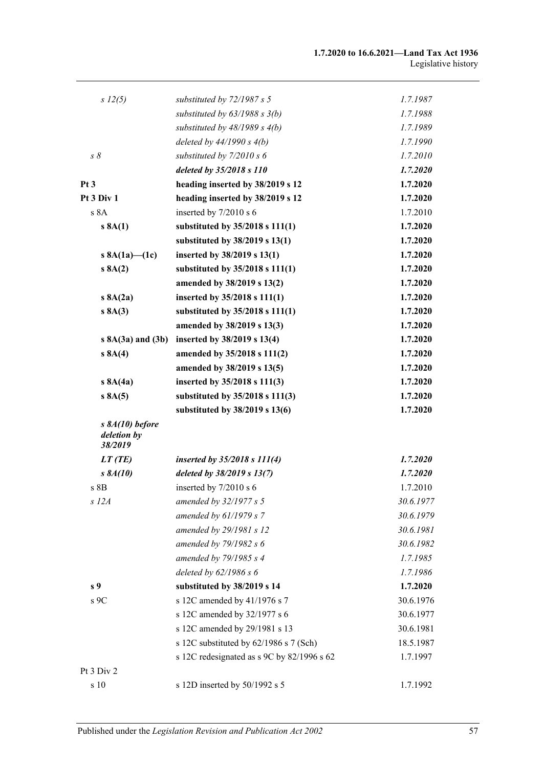| s 12(5)                                      | substituted by $72/1987 s 5$               | 1.7.1987  |
|----------------------------------------------|--------------------------------------------|-----------|
|                                              | substituted by $63/1988$ s $3(b)$          | 1.7.1988  |
|                                              | substituted by $48/1989$ s $4(b)$          | 1.7.1989  |
|                                              | deleted by $44/1990 s 4(b)$                | 1.7.1990  |
| $s \, \delta$                                | substituted by $7/2010 s 6$                | 1.7.2010  |
|                                              | deleted by 35/2018 s 110                   | 1.7.2020  |
| Pt 3                                         | heading inserted by 38/2019 s 12           | 1.7.2020  |
| <b>Pt 3 Div 1</b>                            | heading inserted by 38/2019 s 12           | 1.7.2020  |
| s 8A                                         | inserted by 7/2010 s 6                     | 1.7.2010  |
| s 8A(1)                                      | substituted by 35/2018 s 111(1)            | 1.7.2020  |
|                                              | substituted by 38/2019 s 13(1)             | 1.7.2020  |
| s $8A(1a)$ (1c)                              | inserted by 38/2019 s 13(1)                | 1.7.2020  |
| s 8A(2)                                      | substituted by 35/2018 s 111(1)            | 1.7.2020  |
|                                              | amended by 38/2019 s 13(2)                 | 1.7.2020  |
| s 8A(2a)                                     | inserted by 35/2018 s 111(1)               | 1.7.2020  |
| s 8A(3)                                      | substituted by 35/2018 s 111(1)            | 1.7.2020  |
|                                              | amended by 38/2019 s 13(3)                 | 1.7.2020  |
| $s 8A(3a)$ and $(3b)$                        | inserted by 38/2019 s 13(4)                | 1.7.2020  |
| s 8A(4)                                      | amended by 35/2018 s 111(2)                | 1.7.2020  |
|                                              | amended by 38/2019 s 13(5)                 | 1.7.2020  |
| s 8A(4a)                                     | inserted by 35/2018 s 111(3)               | 1.7.2020  |
| s 8A(5)                                      | substituted by 35/2018 s 111(3)            | 1.7.2020  |
|                                              | substituted by 38/2019 s 13(6)             | 1.7.2020  |
| $s\,8A(10)$ before<br>deletion by<br>38/2019 |                                            |           |
| LT(TE)                                       | inserted by $35/2018$ s $111(4)$           | 1.7.2020  |
| $s\,8A(10)$                                  | deleted by 38/2019 s 13(7)                 | 1.7.2020  |
| s8B                                          | inserted by 7/2010 s 6                     | 1.7.2010  |
| s 12A                                        | amended by 32/1977 s 5                     | 30.6.1977 |
|                                              | amended by $61/1979 s$ 7                   | 30.6.1979 |
|                                              | amended by 29/1981 s 12                    | 30.6.1981 |
|                                              | amended by 79/1982 s 6                     | 30.6.1982 |
|                                              | amended by $79/1985 s 4$                   | 1.7.1985  |
|                                              | deleted by $62/1986 s 6$                   | 1.7.1986  |
| s 9                                          | substituted by 38/2019 s 14                | 1.7.2020  |
| $s$ 9 $C$                                    | s 12C amended by 41/1976 s 7               | 30.6.1976 |
|                                              | s 12C amended by 32/1977 s 6               | 30.6.1977 |
|                                              | s 12C amended by 29/1981 s 13              | 30.6.1981 |
|                                              | s 12C substituted by 62/1986 s 7 (Sch)     | 18.5.1987 |
|                                              | s 12C redesignated as s 9C by 82/1996 s 62 | 1.7.1997  |
| Pt 3 Div 2                                   |                                            |           |
| s 10                                         | s 12D inserted by 50/1992 s 5              | 1.7.1992  |
|                                              |                                            |           |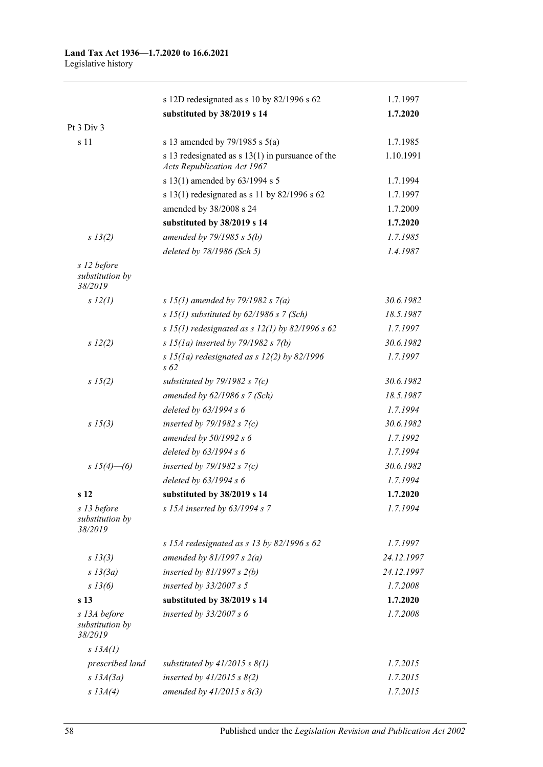|                                            | s 12D redesignated as s 10 by 82/1996 s 62                                        | 1.7.1997   |
|--------------------------------------------|-----------------------------------------------------------------------------------|------------|
|                                            | substituted by 38/2019 s 14                                                       | 1.7.2020   |
| Pt 3 Div 3                                 |                                                                                   |            |
| s 11                                       | s 13 amended by $79/1985$ s $5(a)$                                                | 1.7.1985   |
|                                            | s 13 redesignated as $s$ 13(1) in pursuance of the<br>Acts Republication Act 1967 | 1.10.1991  |
|                                            | s 13(1) amended by 63/1994 s 5                                                    | 1.7.1994   |
|                                            | s 13(1) redesignated as s 11 by $82/1996$ s 62                                    | 1.7.1997   |
|                                            | amended by 38/2008 s 24                                                           | 1.7.2009   |
|                                            | substituted by 38/2019 s 14                                                       | 1.7.2020   |
| $s\,13(2)$                                 | amended by $79/1985 s 5(b)$                                                       | 1.7.1985   |
|                                            | deleted by 78/1986 (Sch 5)                                                        | 1.4.1987   |
| s 12 before<br>substitution by<br>38/2019  |                                                                                   |            |
| $s\,12(1)$                                 | s 15(1) amended by 79/1982 s 7(a)                                                 | 30.6.1982  |
|                                            | s 15(1) substituted by $62/1986$ s 7 (Sch)                                        | 18.5.1987  |
|                                            | s 15(1) redesignated as s 12(1) by 82/1996 s 62                                   | 1.7.1997   |
| $s\ 12(2)$                                 | s 15(1a) inserted by 79/1982 s 7(b)                                               | 30.6.1982  |
|                                            | s 15(1a) redesignated as s 12(2) by 82/1996<br>$s\,62$                            | 1.7.1997   |
| s 15(2)                                    | substituted by $79/1982$ s $7(c)$                                                 | 30.6.1982  |
|                                            | amended by $62/1986$ s 7 (Sch)                                                    | 18.5.1987  |
|                                            | deleted by $63/1994 s 6$                                                          | 1.7.1994   |
| s 15(3)                                    | inserted by $79/1982$ s $7(c)$                                                    | 30.6.1982  |
|                                            | amended by $50/1992 s 6$                                                          | 1.7.1992   |
|                                            | deleted by $63/1994 s 6$                                                          | 1.7.1994   |
| s $15(4)$ - (6)                            | inserted by $79/1982$ s $7(c)$                                                    | 30.6.1982  |
|                                            | deleted by $63/1994 s 6$                                                          | 1.7.1994   |
| s 12                                       | substituted by 38/2019 s 14                                                       | 1.7.2020   |
| s 13 before<br>substitution by<br>38/2019  | s 15A inserted by $63/1994$ s 7                                                   | 1.7.1994   |
|                                            | s 15A redesignated as s 13 by 82/1996 s 62                                        | 1.7.1997   |
| s 13(3)                                    | amended by $81/1997 s 2(a)$                                                       | 24.12.1997 |
| $s$ 13(3a)                                 | inserted by $81/1997 s 2(b)$                                                      | 24.12.1997 |
| s 13(6)                                    | inserted by $33/2007 s 5$                                                         | 1.7.2008   |
| s <sub>13</sub>                            | substituted by 38/2019 s 14                                                       | 1.7.2020   |
| s 13A before<br>substitution by<br>38/2019 | inserted by $33/2007 s$ 6                                                         | 1.7.2008   |
| $s$ 13A(1)                                 |                                                                                   |            |
| prescribed land                            | substituted by $41/2015$ s $8(1)$                                                 | 1.7.2015   |
| $s$ 13A(3a)                                | inserted by $41/2015$ s $8(2)$                                                    | 1.7.2015   |
| $s$ 13A(4)                                 | amended by $41/2015 s 8(3)$                                                       | 1.7.2015   |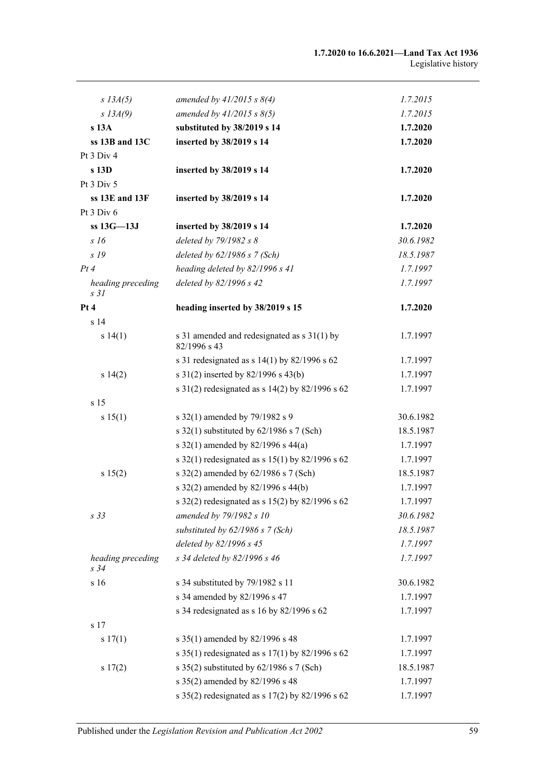| $s$ 13A(5)                   | amended by $41/2015 s 8(4)$                                   | 1.7.2015  |
|------------------------------|---------------------------------------------------------------|-----------|
| $S$ 13A(9)                   | amended by $41/2015 s 8(5)$                                   | 1.7.2015  |
| s 13A                        | substituted by 38/2019 s 14                                   | 1.7.2020  |
| ss 13B and 13C               | inserted by 38/2019 s 14                                      | 1.7.2020  |
| Pt 3 Div 4                   |                                                               |           |
| s 13D                        | inserted by 38/2019 s 14                                      | 1.7.2020  |
| Pt 3 Div 5                   |                                                               |           |
| ss 13E and 13F               | inserted by 38/2019 s 14                                      | 1.7.2020  |
| Pt 3 Div 6                   |                                                               |           |
| ss 13G-13J                   | inserted by 38/2019 s 14                                      | 1.7.2020  |
| s16                          | deleted by 79/1982 s 8                                        | 30.6.1982 |
| s <sub>19</sub>              | deleted by $62/1986$ s 7 (Sch)                                | 18.5.1987 |
| Pt4                          | heading deleted by 82/1996 s 41                               | 1.7.1997  |
| heading preceding            | deleted by 82/1996 s 42                                       | 1.7.1997  |
| s <sub>31</sub>              |                                                               |           |
| Pt 4                         | heading inserted by 38/2019 s 15                              | 1.7.2020  |
| s <sub>14</sub>              |                                                               |           |
| s 14(1)                      | s 31 amended and redesignated as $s$ 31(1) by<br>82/1996 s 43 | 1.7.1997  |
|                              | s 31 redesignated as s $14(1)$ by 82/1996 s 62                | 1.7.1997  |
| s 14(2)                      | s 31(2) inserted by 82/1996 s 43(b)                           | 1.7.1997  |
|                              | s $31(2)$ redesignated as s $14(2)$ by $82/1996$ s 62         | 1.7.1997  |
| s <sub>15</sub>              |                                                               |           |
| s 15(1)                      | s 32(1) amended by 79/1982 s 9                                | 30.6.1982 |
|                              | s $32(1)$ substituted by $62/1986$ s 7 (Sch)                  | 18.5.1987 |
|                              | s $32(1)$ amended by $82/1996$ s $44(a)$                      | 1.7.1997  |
|                              | s $32(1)$ redesignated as s $15(1)$ by $82/1996$ s 62         | 1.7.1997  |
| s 15(2)                      | s 32(2) amended by 62/1986 s 7 (Sch)                          | 18.5.1987 |
|                              | s 32(2) amended by 82/1996 s 44(b)                            | 1.7.1997  |
|                              | s $32(2)$ redesignated as s $15(2)$ by $82/1996$ s 62         | 1.7.1997  |
| s <sub>33</sub>              | amended by 79/1982 s 10                                       | 30.6.1982 |
|                              | substituted by $62/1986$ s 7 (Sch)                            | 18.5.1987 |
|                              | deleted by 82/1996 s 45                                       | 1.7.1997  |
| heading preceding<br>$s\,34$ | s 34 deleted by 82/1996 s 46                                  | 1.7.1997  |
| s 16                         | s 34 substituted by 79/1982 s 11                              | 30.6.1982 |
|                              | s 34 amended by 82/1996 s 47                                  | 1.7.1997  |
|                              | s 34 redesignated as s 16 by 82/1996 s 62                     | 1.7.1997  |
| s 17                         |                                                               |           |
| s 17(1)                      | s 35(1) amended by 82/1996 s 48                               | 1.7.1997  |
|                              | s 35(1) redesignated as s 17(1) by 82/1996 s 62               | 1.7.1997  |
| s 17(2)                      | s $35(2)$ substituted by $62/1986$ s 7 (Sch)                  | 18.5.1987 |
|                              | s 35(2) amended by 82/1996 s 48                               | 1.7.1997  |
|                              | s 35(2) redesignated as s 17(2) by 82/1996 s 62               | 1.7.1997  |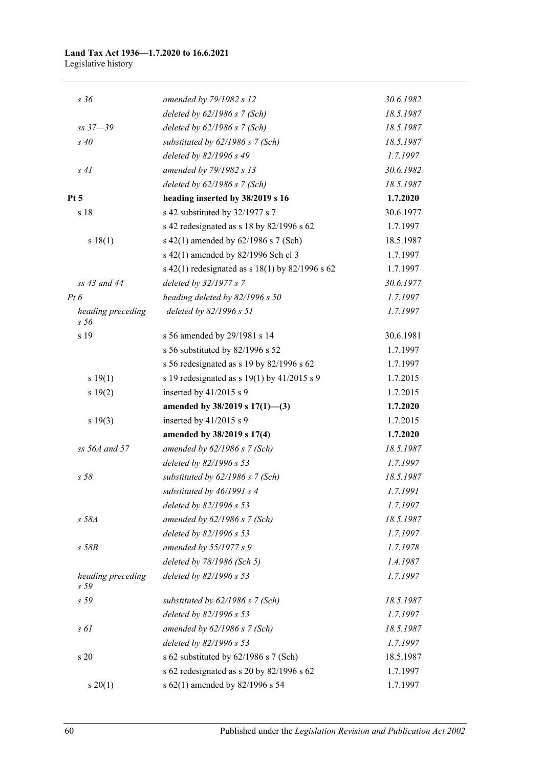| s36                                  | amended by 79/1982 s 12                         | 30.6.1982 |
|--------------------------------------|-------------------------------------------------|-----------|
|                                      | deleted by $62/1986$ s $7$ (Sch)                | 18.5.1987 |
| $ss\,37 - 39$                        | deleted by $62/1986$ s 7 (Sch)                  | 18.5.1987 |
| $s\,40$                              | substituted by $62/1986$ s 7 (Sch)              | 18.5.1987 |
|                                      | deleted by 82/1996 s 49                         | 1.7.1997  |
| s41                                  | amended by 79/1982 s 13                         | 30.6.1982 |
|                                      | deleted by $62/1986$ s 7 (Sch)                  | 18.5.1987 |
| $Pt\,5$                              | heading inserted by 38/2019 s 16                | 1.7.2020  |
| s 18                                 | s 42 substituted by 32/1977 s 7                 | 30.6.1977 |
|                                      | s 42 redesignated as s 18 by 82/1996 s 62       | 1.7.1997  |
| s 18(1)                              | s 42(1) amended by 62/1986 s 7 (Sch)            | 18.5.1987 |
|                                      | s 42(1) amended by 82/1996 Sch cl 3             | 1.7.1997  |
|                                      | s 42(1) redesignated as s 18(1) by 82/1996 s 62 | 1.7.1997  |
| ss 43 and 44                         | deleted by 32/1977 s 7                          | 30.6.1977 |
| $Pt\ 6$                              | heading deleted by 82/1996 s 50                 | 1.7.1997  |
| heading preceding<br>s <sub>56</sub> | deleted by 82/1996 s 51                         | 1.7.1997  |
| s 19                                 | s 56 amended by 29/1981 s 14                    | 30.6.1981 |
|                                      | s 56 substituted by 82/1996 s 52                | 1.7.1997  |
|                                      | s 56 redesignated as s 19 by 82/1996 s 62       | 1.7.1997  |
| s 19(1)                              | s 19 redesignated as s 19(1) by 41/2015 s 9     | 1.7.2015  |
| s 19(2)                              | inserted by 41/2015 s 9                         | 1.7.2015  |
|                                      | amended by $38/2019$ s $17(1)$ —(3)             | 1.7.2020  |
| s 19(3)                              | inserted by $41/2015$ s 9                       | 1.7.2015  |
|                                      | amended by 38/2019 s 17(4)                      | 1.7.2020  |
| ss 56A and 57                        | amended by $62/1986 s$ 7 (Sch)                  | 18.5.1987 |
|                                      | deleted by 82/1996 s 53                         | 1.7.1997  |
| s <sub>58</sub>                      | substituted by $62/1986$ s 7 (Sch)              | 18.5.1987 |
|                                      | substituted by 46/1991 s 4                      | 1.7.1991  |
|                                      | deleted by 82/1996 s 53                         | 1.7.1997  |
| s 58A                                | amended by $62/1986$ s 7 (Sch)                  | 18.5.1987 |
|                                      | deleted by 82/1996 s 53                         | 1.7.1997  |
| $s$ 58 $B$                           | amended by 55/1977 s 9                          | 1.7.1978  |
|                                      | deleted by 78/1986 (Sch 5)                      | 1.4.1987  |
| heading preceding<br>s <sub>59</sub> | deleted by 82/1996 s 53                         | 1.7.1997  |
| s 59                                 | substituted by $62/1986$ s 7 (Sch)              | 18.5.1987 |
|                                      | deleted by 82/1996 s 53                         | 1.7.1997  |
| $s \theta l$                         | amended by $62/1986$ s 7 (Sch)                  | 18.5.1987 |
|                                      | deleted by 82/1996 s 53                         | 1.7.1997  |
| s 20                                 | s 62 substituted by $62/1986$ s 7 (Sch)         | 18.5.1987 |
|                                      | s 62 redesignated as s 20 by 82/1996 s 62       | 1.7.1997  |
| $s \ 20(1)$                          | s 62(1) amended by 82/1996 s 54                 | 1.7.1997  |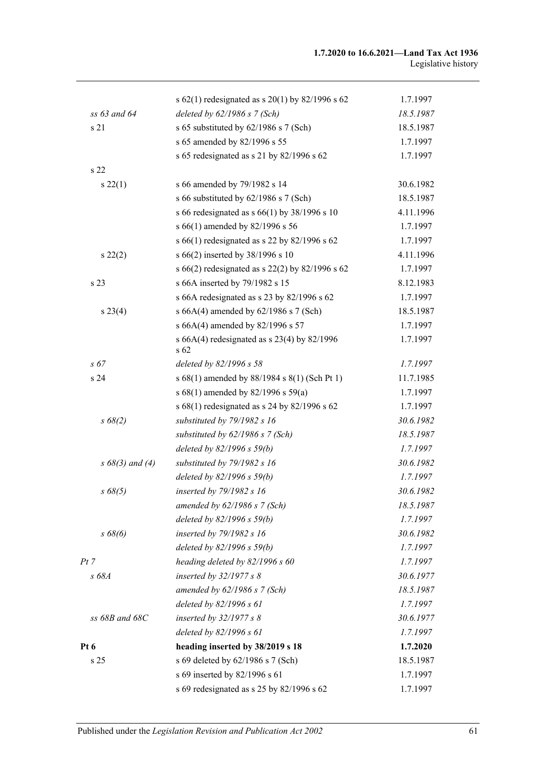|                    | s $62(1)$ redesignated as s $20(1)$ by 82/1996 s 62            | 1.7.1997  |
|--------------------|----------------------------------------------------------------|-----------|
| $ss 63$ and $64$   | deleted by $62/1986$ s 7 (Sch)                                 | 18.5.1987 |
| s 21               | s 65 substituted by $62/1986$ s 7 (Sch)                        | 18.5.1987 |
|                    | s 65 amended by 82/1996 s 55                                   | 1.7.1997  |
|                    | s 65 redesignated as s 21 by 82/1996 s 62                      | 1.7.1997  |
| s 22               |                                                                |           |
| $s\,22(1)$         | s 66 amended by 79/1982 s 14                                   | 30.6.1982 |
|                    | s 66 substituted by 62/1986 s 7 (Sch)                          | 18.5.1987 |
|                    | s 66 redesignated as s $66(1)$ by 38/1996 s 10                 | 4.11.1996 |
|                    | s 66(1) amended by 82/1996 s 56                                | 1.7.1997  |
|                    | s $66(1)$ redesignated as s 22 by 82/1996 s 62                 | 1.7.1997  |
| s 22(2)            | s 66(2) inserted by 38/1996 s 10                               | 4.11.1996 |
|                    | s 66(2) redesignated as s 22(2) by 82/1996 s 62                | 1.7.1997  |
| s 23               | s 66A inserted by 79/1982 s 15                                 | 8.12.1983 |
|                    | s 66A redesignated as s 23 by 82/1996 s 62                     | 1.7.1997  |
| s 23(4)            | s $66A(4)$ amended by $62/1986$ s 7 (Sch)                      | 18.5.1987 |
|                    | s 66A(4) amended by 82/1996 s 57                               | 1.7.1997  |
|                    | s $66A(4)$ redesignated as s 23(4) by 82/1996<br>$\sqrt{5}$ 62 | 1.7.1997  |
| $s\,67$            | deleted by 82/1996 s 58                                        | 1.7.1997  |
| s <sub>24</sub>    | s 68(1) amended by 88/1984 s 8(1) (Sch Pt 1)                   | 11.7.1985 |
|                    | s 68(1) amended by 82/1996 s 59(a)                             | 1.7.1997  |
|                    | s $68(1)$ redesignated as s 24 by 82/1996 s 62                 | 1.7.1997  |
| $s\,68(2)$         | substituted by 79/1982 s 16                                    | 30.6.1982 |
|                    | substituted by $62/1986$ s 7 (Sch)                             | 18.5.1987 |
|                    | deleted by 82/1996 s 59(b)                                     | 1.7.1997  |
| $s\,68(3)$ and (4) | substituted by 79/1982 s 16                                    | 30.6.1982 |
|                    | deleted by 82/1996 s 59(b)                                     | 1.7.1997  |
| $s\,68(5)$         | inserted by 79/1982 s 16                                       | 30.6.1982 |
|                    | amended by $62/1986$ s 7 (Sch)                                 | 18.5.1987 |
|                    | deleted by 82/1996 s 59(b)                                     | 1.7.1997  |
| $s\,68(6)$         | inserted by 79/1982 s 16                                       | 30.6.1982 |
|                    | deleted by $82/1996 s 59(b)$                                   | 1.7.1997  |
| Pt 7               | heading deleted by 82/1996 s 60                                | 1.7.1997  |
| s 68A              | inserted by 32/1977 s 8                                        | 30.6.1977 |
|                    | amended by 62/1986 s 7 (Sch)                                   | 18.5.1987 |
|                    | deleted by 82/1996 s 61                                        | 1.7.1997  |
| ss 68B and 68C     | inserted by 32/1977 s 8                                        | 30.6.1977 |
|                    | deleted by 82/1996 s 61                                        | 1.7.1997  |
| Pt 6               | heading inserted by 38/2019 s 18                               | 1.7.2020  |
| s 25               | s 69 deleted by 62/1986 s 7 (Sch)                              | 18.5.1987 |
|                    | s 69 inserted by 82/1996 s 61                                  | 1.7.1997  |
|                    | s 69 redesignated as s 25 by 82/1996 s 62                      | 1.7.1997  |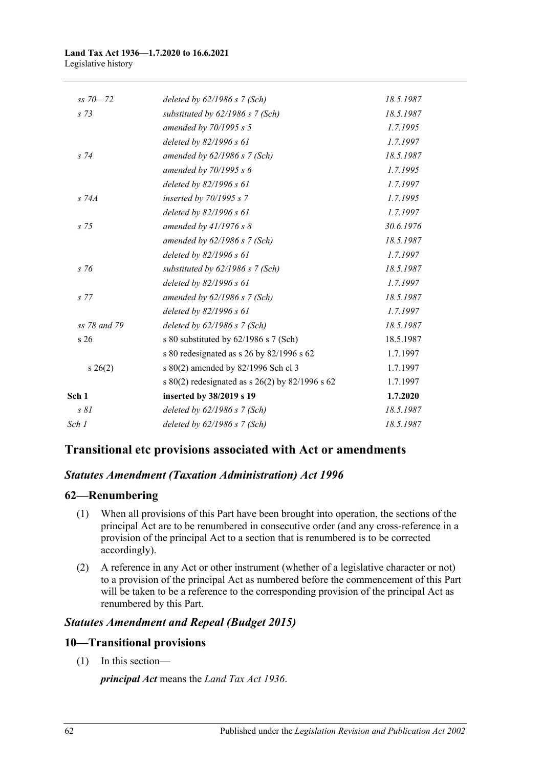| $ss\,70 - 72$   | deleted by $62/1986$ s 7 (Sch)                        | 18.5.1987 |
|-----------------|-------------------------------------------------------|-----------|
| S <sub>73</sub> | substituted by $62/1986$ s 7 (Sch)                    | 18.5.1987 |
|                 | amended by 70/1995 s 5                                | 1.7.1995  |
|                 | deleted by 82/1996 s 61                               | 1.7.1997  |
| $s\,74$         | amended by $62/1986$ s 7 (Sch)                        | 18.5.1987 |
|                 | amended by $70/1995 s 6$                              | 1.7.1995  |
|                 | deleted by 82/1996 s 61                               | 1.7.1997  |
| $S$ 74 $A$      | inserted by 70/1995 s 7                               | 1.7.1995  |
|                 | deleted by 82/1996 s 61                               | 1.7.1997  |
| $s\,75$         | amended by $41/1976 s 8$                              | 30.6.1976 |
|                 | amended by $62/1986$ s 7 (Sch)                        | 18.5.1987 |
|                 | deleted by 82/1996 s 61                               | 1.7.1997  |
| s 76            | substituted by $62/1986$ s 7 (Sch)                    | 18.5.1987 |
|                 | deleted by 82/1996 s 61                               | 1.7.1997  |
| $s$ 77          | amended by $62/1986$ s 7 (Sch)                        | 18.5.1987 |
|                 | deleted by $82/1996 s 61$                             | 1.7.1997  |
| ss 78 and 79    | deleted by $62/1986$ s 7 (Sch)                        | 18.5.1987 |
| s <sub>26</sub> | s 80 substituted by $62/1986$ s 7 (Sch)               | 18.5.1987 |
|                 | s 80 redesignated as s 26 by 82/1996 s 62             | 1.7.1997  |
| $s \; 26(2)$    | s 80(2) amended by 82/1996 Sch cl 3                   | 1.7.1997  |
|                 | s $80(2)$ redesignated as s $26(2)$ by $82/1996$ s 62 | 1.7.1997  |
| Sch 1           | inserted by 38/2019 s 19                              | 1.7.2020  |
| s81             | deleted by $62/1986$ s 7 (Sch)                        | 18.5.1987 |
| Sch 1           | deleted by $62/1986$ s 7 (Sch)                        | 18.5.1987 |
|                 |                                                       |           |

# **Transitional etc provisions associated with Act or amendments**

## *Statutes Amendment (Taxation Administration) Act 1996*

#### **62—Renumbering**

- (1) When all provisions of this Part have been brought into operation, the sections of the principal Act are to be renumbered in consecutive order (and any cross-reference in a provision of the principal Act to a section that is renumbered is to be corrected accordingly).
- (2) A reference in any Act or other instrument (whether of a legislative character or not) to a provision of the principal Act as numbered before the commencement of this Part will be taken to be a reference to the corresponding provision of the principal Act as renumbered by this Part.

#### *Statutes Amendment and Repeal (Budget 2015)*

## **10—Transitional provisions**

(1) In this section—

*principal Act* means the *[Land Tax Act](http://www.legislation.sa.gov.au/index.aspx?action=legref&type=act&legtitle=Land%20Tax%20Act%201936) 1936*.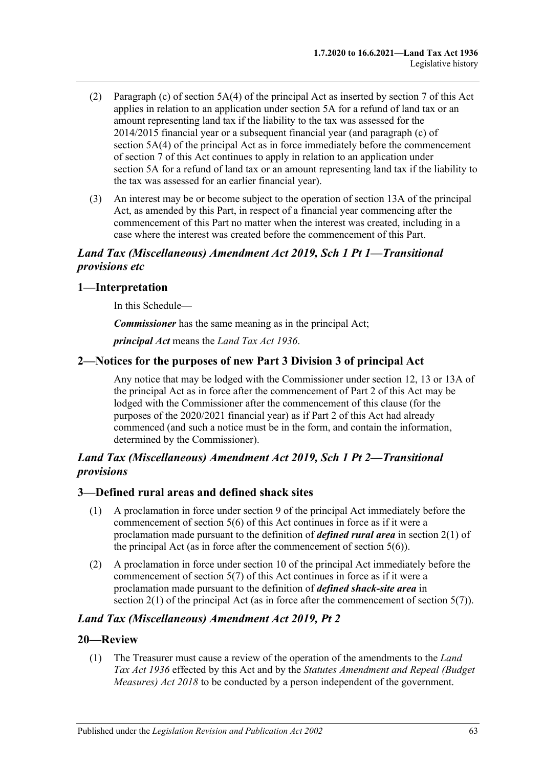- (2) Paragraph (c) of section 5A(4) of the principal Act as inserted by section 7 of this Act applies in relation to an application under section 5A for a refund of land tax or an amount representing land tax if the liability to the tax was assessed for the 2014/2015 financial year or a subsequent financial year (and paragraph (c) of section 5A(4) of the principal Act as in force immediately before the commencement of section 7 of this Act continues to apply in relation to an application under section 5A for a refund of land tax or an amount representing land tax if the liability to the tax was assessed for an earlier financial year).
- (3) An interest may be or become subject to the operation of section 13A of the principal Act, as amended by this Part, in respect of a financial year commencing after the commencement of this Part no matter when the interest was created, including in a case where the interest was created before the commencement of this Part.

### *Land Tax (Miscellaneous) Amendment Act 2019, Sch 1 Pt 1—Transitional provisions etc*

#### **1—Interpretation**

In this Schedule—

*Commissioner* has the same meaning as in the principal Act;

*principal Act* means the *[Land Tax Act](http://www.legislation.sa.gov.au/index.aspx?action=legref&type=act&legtitle=Land%20Tax%20Act%201936) 1936*.

#### **2—Notices for the purposes of new Part 3 Division 3 of principal Act**

Any notice that may be lodged with the Commissioner under section 12, 13 or 13A of the principal Act as in force after the commencement of Part 2 of this Act may be lodged with the Commissioner after the commencement of this clause (for the purposes of the 2020/2021 financial year) as if Part 2 of this Act had already commenced (and such a notice must be in the form, and contain the information, determined by the Commissioner).

#### *Land Tax (Miscellaneous) Amendment Act 2019, Sch 1 Pt 2—Transitional provisions*

#### **3—Defined rural areas and defined shack sites**

- (1) A proclamation in force under section 9 of the principal Act immediately before the commencement of section 5(6) of this Act continues in force as if it were a proclamation made pursuant to the definition of *defined rural area* in section 2(1) of the principal Act (as in force after the commencement of section 5(6)).
- (2) A proclamation in force under section 10 of the principal Act immediately before the commencement of section 5(7) of this Act continues in force as if it were a proclamation made pursuant to the definition of *defined shack-site area* in section  $2(1)$  of the principal Act (as in force after the commencement of section  $5(7)$ ).

#### *Land Tax (Miscellaneous) Amendment Act 2019, Pt 2*

#### **20—Review**

(1) The Treasurer must cause a review of the operation of the amendments to the *[Land](http://www.legislation.sa.gov.au/index.aspx?action=legref&type=act&legtitle=Land%20Tax%20Act%201936)  [Tax Act](http://www.legislation.sa.gov.au/index.aspx?action=legref&type=act&legtitle=Land%20Tax%20Act%201936) 1936* effected by this Act and by the *[Statutes Amendment and Repeal \(Budget](http://www.legislation.sa.gov.au/index.aspx?action=legref&type=act&legtitle=Statutes%20Amendment%20and%20Repeal%20(Budget%20Measures)%20Act%202018)  [Measures\) Act](http://www.legislation.sa.gov.au/index.aspx?action=legref&type=act&legtitle=Statutes%20Amendment%20and%20Repeal%20(Budget%20Measures)%20Act%202018) 2018* to be conducted by a person independent of the government.